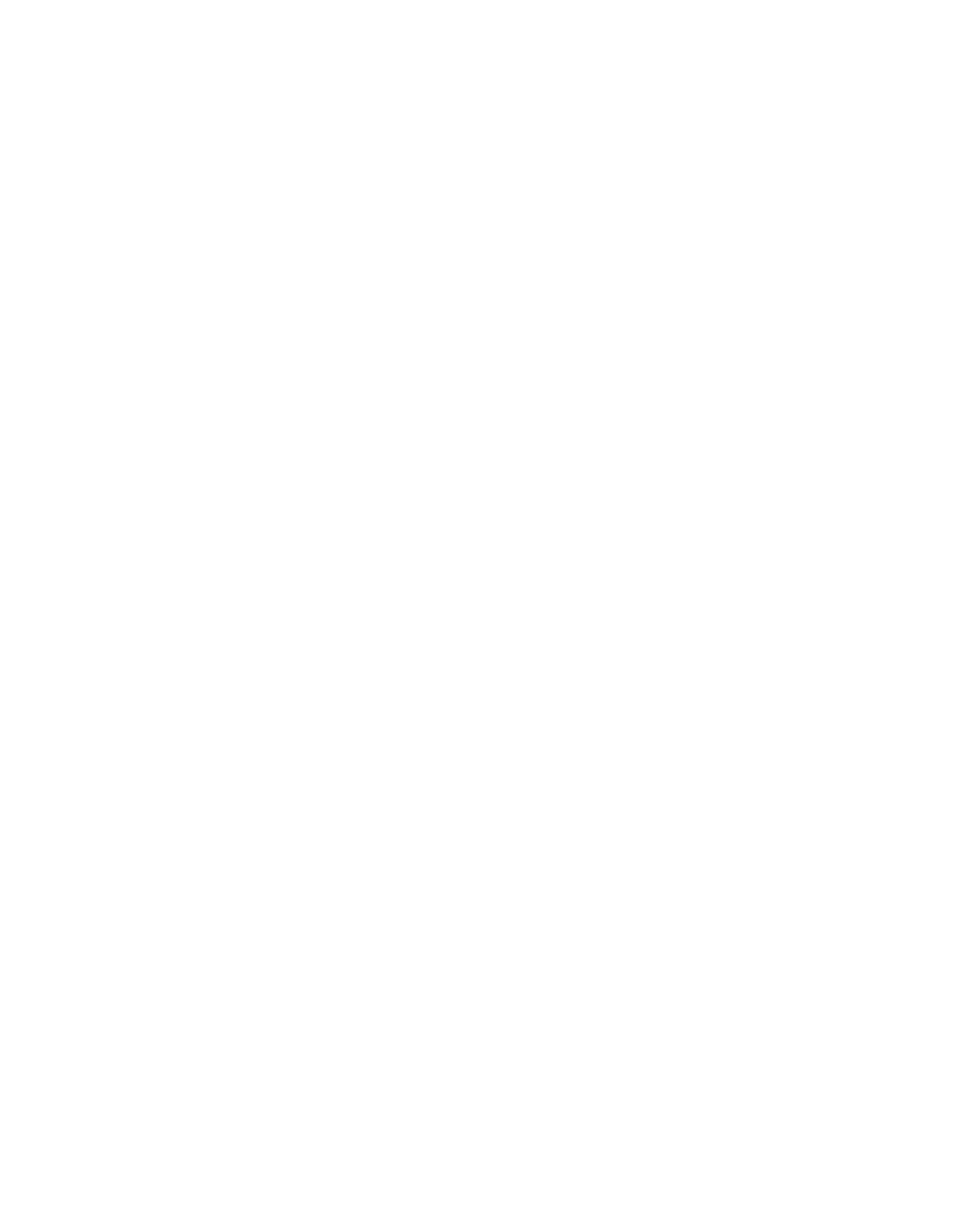**No. 08-1234** 

# In The Supreme Court of the United States

JAMAL KIYEMBA, NEXT FRIEND, et al.,

--------------------------------- ♦ ---------------------------------

*Petitioners,* 

================================================================

v.

BARACK OBAMA, PRESIDENT OF THE UNITED STATES, et al.,

*Respondents.* 

**On Writ Of Certiorari To The United States Court Of Appeals For The District Of Columbia Circuit** 

--------------------------------- ♦ ---------------------------------

--------------------------------- ♦ ---------------------------------

**BRIEF OF INTERNATIONAL LAW EXPERTS AS**  *AMICI CURIAE* **IN SUPPORT OF PETITIONERS** 

--------------------------------- ♦ ---------------------------------

HOPE R. METCALF 127 Wall Street New Haven, CT 06510 (203) 432-9404

OONA A. HATHAWAY (*Counsel of Record*) 127 Wall Street New Haven, CT 06510  $(203)$  436-8969

December 2009

*Counsel for Amici*

 ${\rm COCKLE}$  LAW BRIEF PRINTING CO. (800) 225-6964 OR CALL COLLECT (402) 342-2831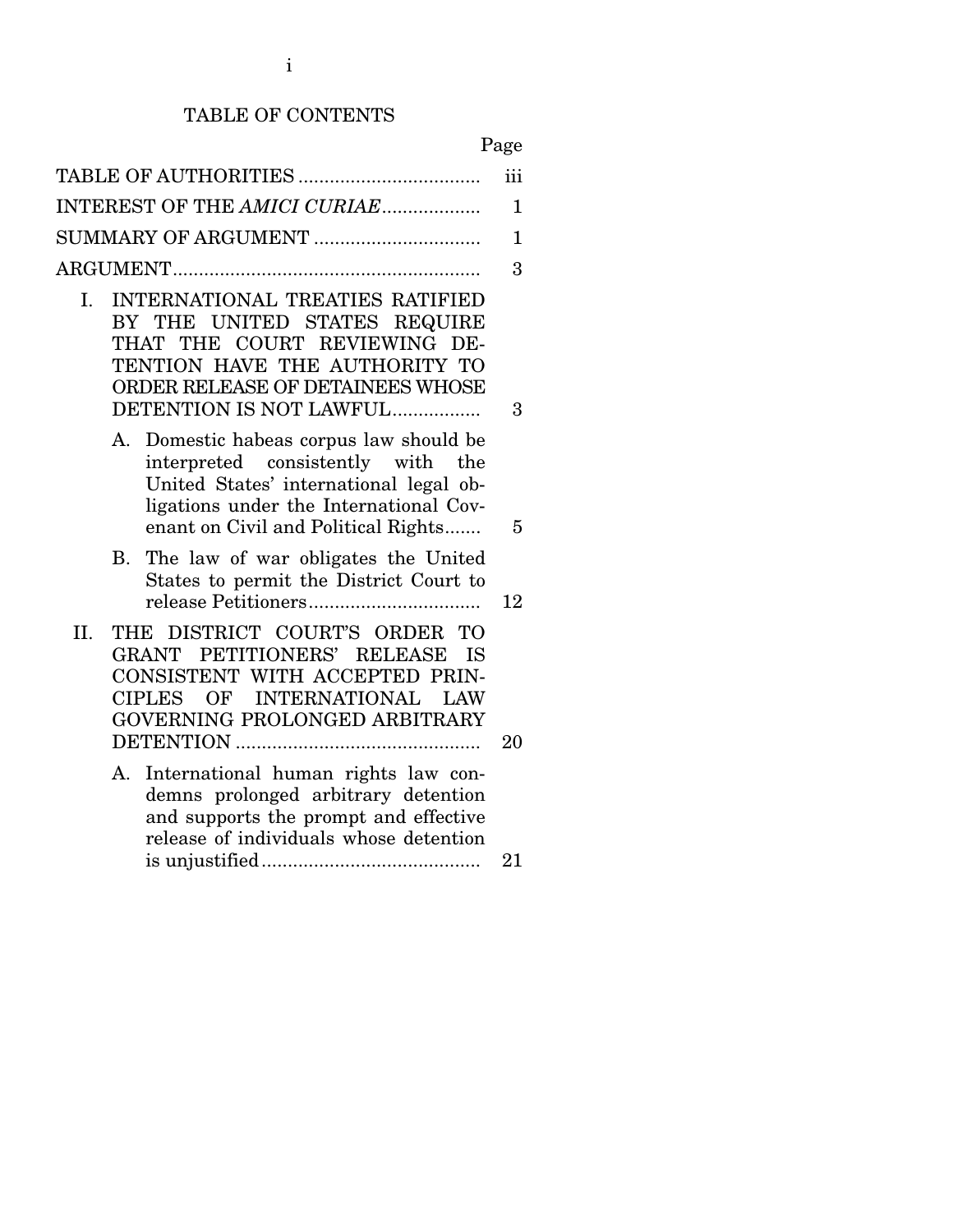## TABLE OF CONTENTS

## Page

|     |                                                                                                                                                                                                            | iii          |
|-----|------------------------------------------------------------------------------------------------------------------------------------------------------------------------------------------------------------|--------------|
|     | INTEREST OF THE AMICI CURIAE                                                                                                                                                                               | $\mathbf{1}$ |
|     | SUMMARY OF ARGUMENT                                                                                                                                                                                        | $\mathbf{1}$ |
|     |                                                                                                                                                                                                            | 3            |
| Ι.  | INTERNATIONAL TREATIES RATIFIED<br>BY THE UNITED STATES REQUIRE<br>THAT THE COURT REVIEWING DE-<br>TENTION HAVE THE AUTHORITY TO<br>ORDER RELEASE OF DETAINEES WHOSE<br>DETENTION IS NOT LAWFUL            | 3            |
|     | Domestic habeas corpus law should be<br>A.<br>interpreted consistently with the<br>United States' international legal ob-<br>ligations under the International Cov-<br>enant on Civil and Political Rights | 5            |
|     | B. The law of war obligates the United<br>States to permit the District Court to                                                                                                                           | 12           |
| II. | THE DISTRICT COURT'S ORDER TO<br>GRANT PETITIONERS' RELEASE<br><b>IS</b><br>CONSISTENT WITH ACCEPTED PRIN-<br>CIPLES OF INTERNATIONAL LAW<br>GOVERNING PROLONGED ARBITRARY                                 | 20           |
|     | International human rights law con-<br>А.<br>demns prolonged arbitrary detention<br>and supports the prompt and effective<br>release of individuals whose detention                                        | 21           |
|     |                                                                                                                                                                                                            |              |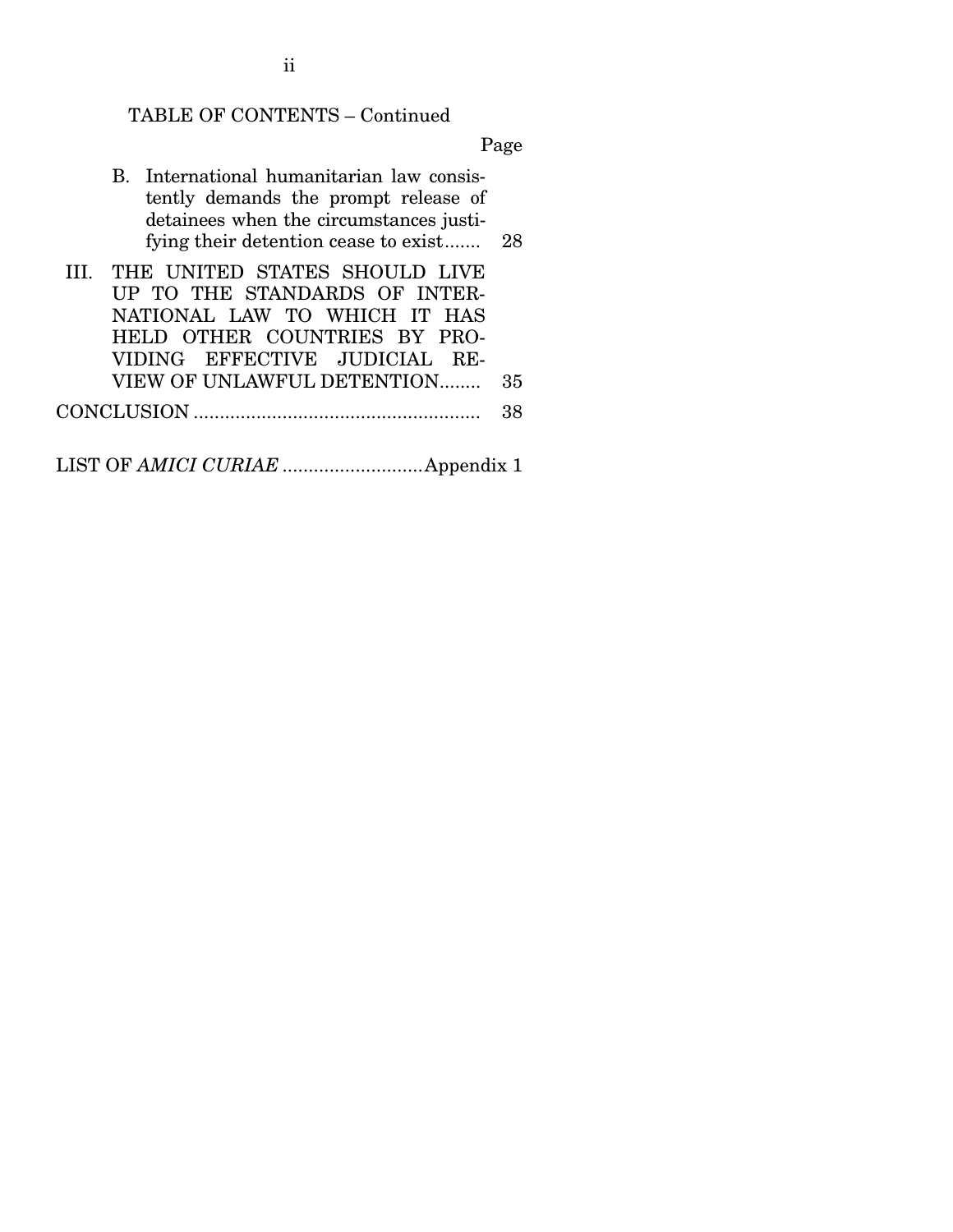### TABLE OF CONTENTS – Continued

Page

| B. International humanitarian law consis-<br>tently demands the prompt release of<br>detainees when the circumstances justi-<br>fying their detention cease to exist 28 |  |
|-------------------------------------------------------------------------------------------------------------------------------------------------------------------------|--|
| THE UNITED STATES SHOULD LIVE<br>UP TO THE STANDARDS OF INTER-<br>NATIONAL LAW TO WHICH IT HAS<br>LD OTHER COUNTRIES BY PRO-                                            |  |

VIDING EFFECTIVE JUDICIAL RE-VIEW OF UNLAWFUL DETENTION........ 35

CONCLUSION ....................................................... 38

LIST OF *AMICI CURIAE* ........................... Appendix 1

ii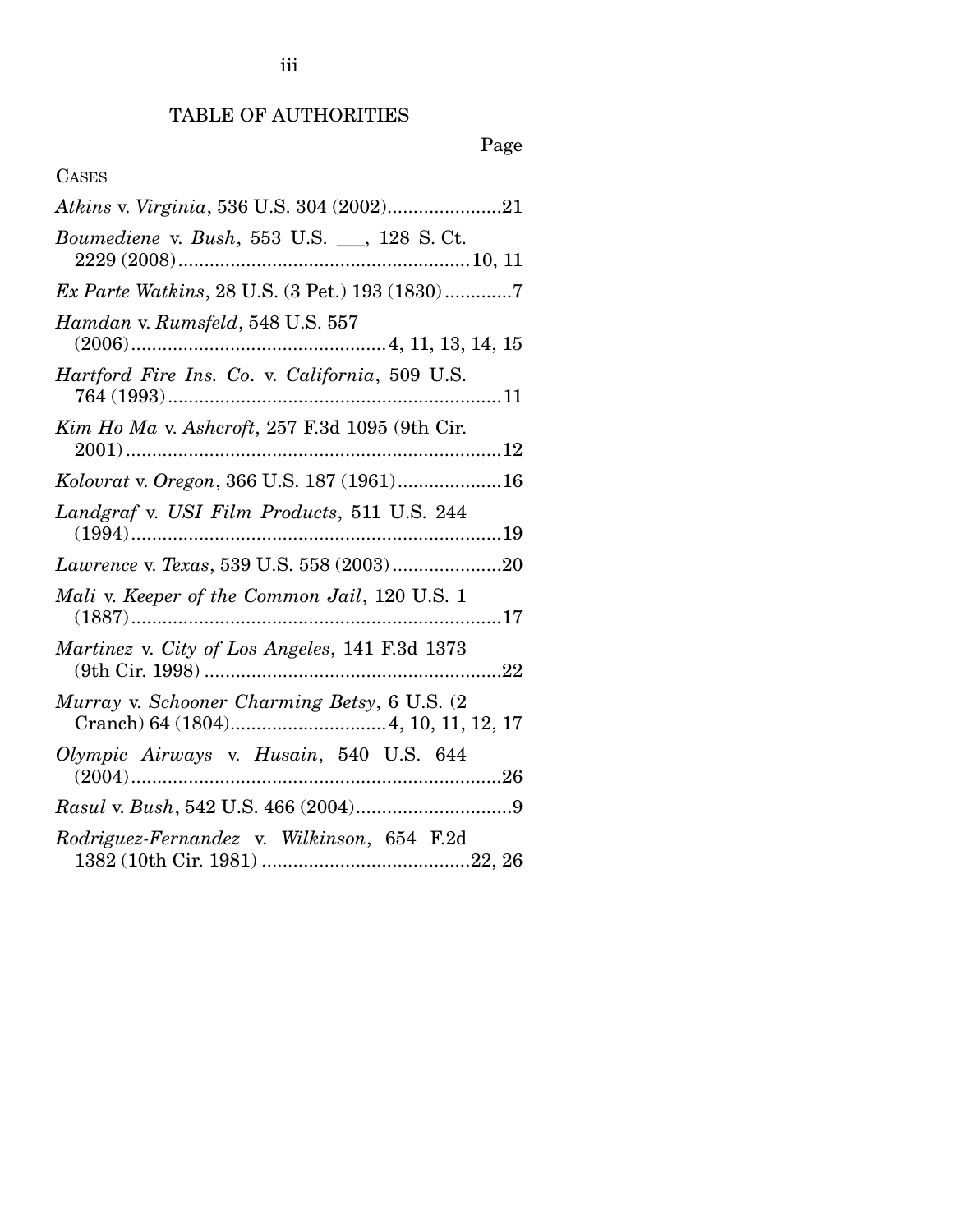# Page

## CASES

| Boumediene v. Bush, 553 U.S. __, 128 S. Ct.                                         |
|-------------------------------------------------------------------------------------|
| Ex Parte Watkins, 28 U.S. (3 Pet.) 193 (1830)7                                      |
| Hamdan v. Rumsfeld, 548 U.S. 557                                                    |
| Hartford Fire Ins. Co. v. California, 509 U.S.                                      |
| Kim Ho Ma v. Ashcroft, 257 F.3d 1095 (9th Cir.                                      |
| Kolovrat v. Oregon, 366 U.S. 187 (1961)16                                           |
| Landgraf v. USI Film Products, 511 U.S. 244                                         |
| Lawrence v. Texas, 539 U.S. 558 (2003)20                                            |
| Mali v. Keeper of the Common Jail, 120 U.S. 1                                       |
| Martinez v. City of Los Angeles, 141 F.3d 1373                                      |
| Murray v. Schooner Charming Betsy, 6 U.S. (2<br>Cranch) 64 (1804) 4, 10, 11, 12, 17 |
| Olympic Airways v. Husain, 540 U.S. 644                                             |
|                                                                                     |
| Rodriguez-Fernandez v. Wilkinson, 654 F.2d                                          |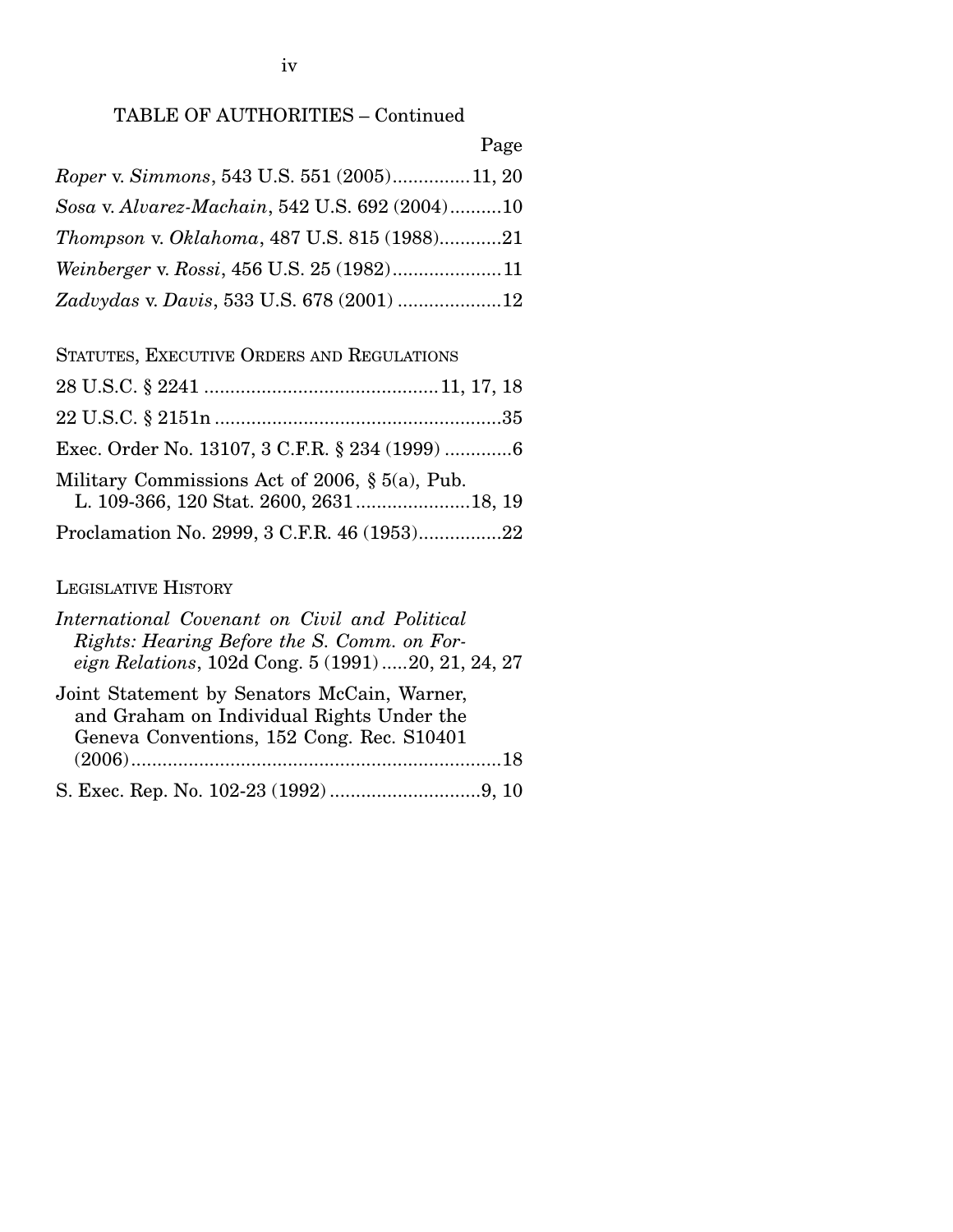Page

| Roper v. Simmons, 543 U.S. 551 (2005)11, 20    |  |
|------------------------------------------------|--|
| Sosa v. Alvarez-Machain, 542 U.S. 692 (2004)10 |  |
| Thompson v. Oklahoma, 487 U.S. 815 (1988)21    |  |
| Weinberger v. Rossi, 456 U.S. 25 (1982)11      |  |
|                                                |  |

STATUTES, EXECUTIVE ORDERS AND REGULATIONS

| Exec. Order No. 13107, 3 C.F.R. § 234 (1999) 6    |  |
|---------------------------------------------------|--|
| Military Commissions Act of 2006, $\S$ 5(a), Pub. |  |
| Proclamation No. 2999, 3 C.F.R. 46 (1953)22       |  |

### LEGISLATIVE HISTORY

| International Covenant on Civil and Political<br>Rights: Hearing Before the S. Comm. on For-<br>eign Relations, 102d Cong. 5 (1991)20, 21, 24, 27 |
|---------------------------------------------------------------------------------------------------------------------------------------------------|
| Joint Statement by Senators McCain, Warner,<br>and Graham on Individual Rights Under the<br>Geneva Conventions, 152 Cong. Rec. S10401             |
|                                                                                                                                                   |
|                                                                                                                                                   |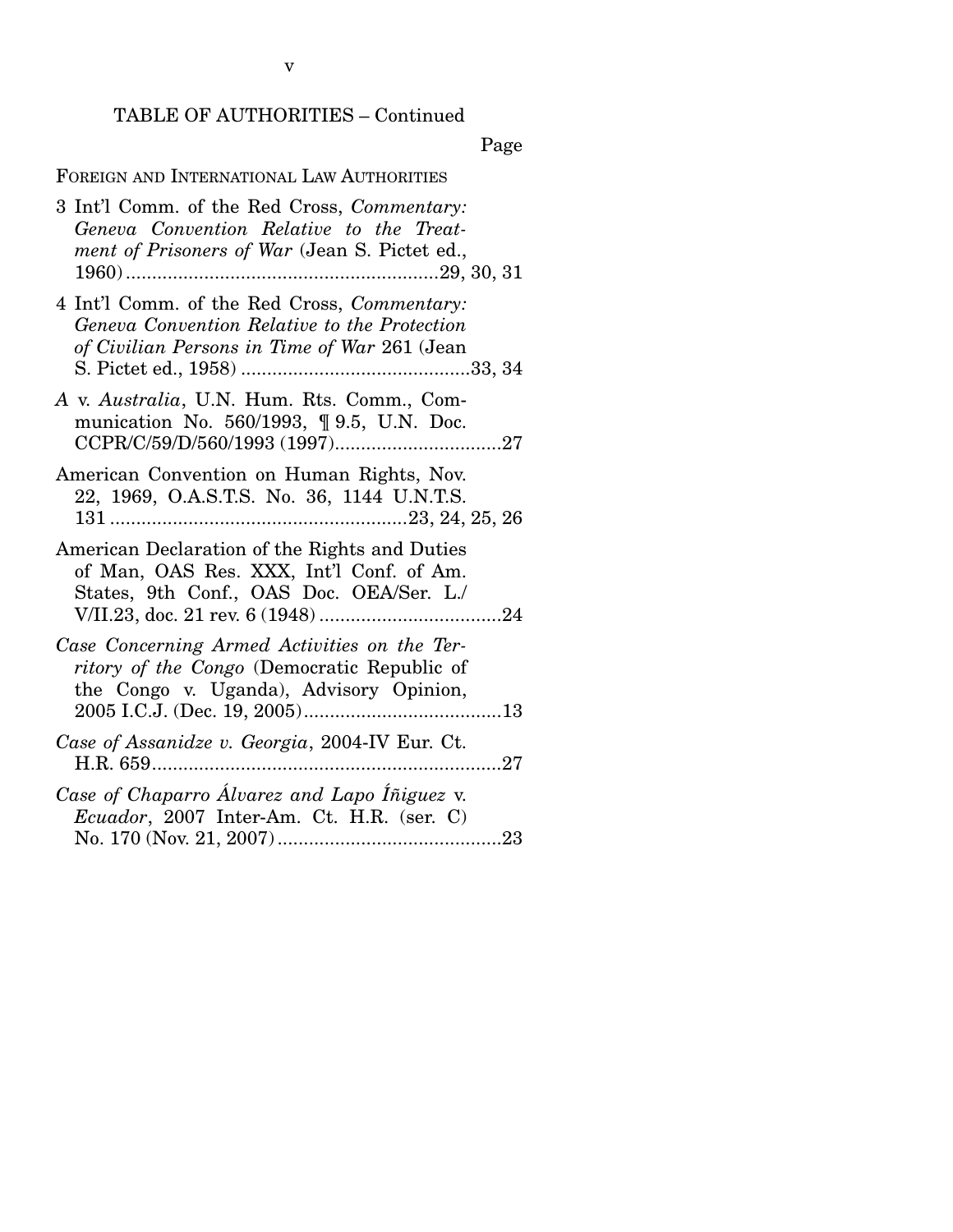## Page

FOREIGN AND INTERNATIONAL LAW AUTHORITIES

| 3 Int'l Comm. of the Red Cross, Commentary:<br>Geneva Convention Relative to the Treat-<br>ment of Prisoners of War (Jean S. Pictet ed.,    |
|---------------------------------------------------------------------------------------------------------------------------------------------|
| 4 Int'l Comm. of the Red Cross, Commentary:<br>Geneva Convention Relative to the Protection<br>of Civilian Persons in Time of War 261 (Jean |
| A v. Australia, U.N. Hum. Rts. Comm., Com-<br>munication No. 560/1993, [9.5, U.N. Doc.                                                      |
| American Convention on Human Rights, Nov.<br>22, 1969, O.A.S.T.S. No. 36, 1144 U.N.T.S.                                                     |
| American Declaration of the Rights and Duties<br>of Man, OAS Res. XXX, Int'l Conf. of Am.<br>States, 9th Conf., OAS Doc. OEA/Ser. L./       |
| Case Concerning Armed Activities on the Ter-<br>ritory of the Congo (Democratic Republic of<br>the Congo v. Uganda), Advisory Opinion,      |
| Case of Assanidze v. Georgia, 2004-IV Eur. Ct.<br>$H.R. 659$<br>27                                                                          |
| Case of Chaparro Álvarez and Lapo Iniguez v.<br>Ecuador, 2007 Inter-Am. Ct. H.R. (ser. C)                                                   |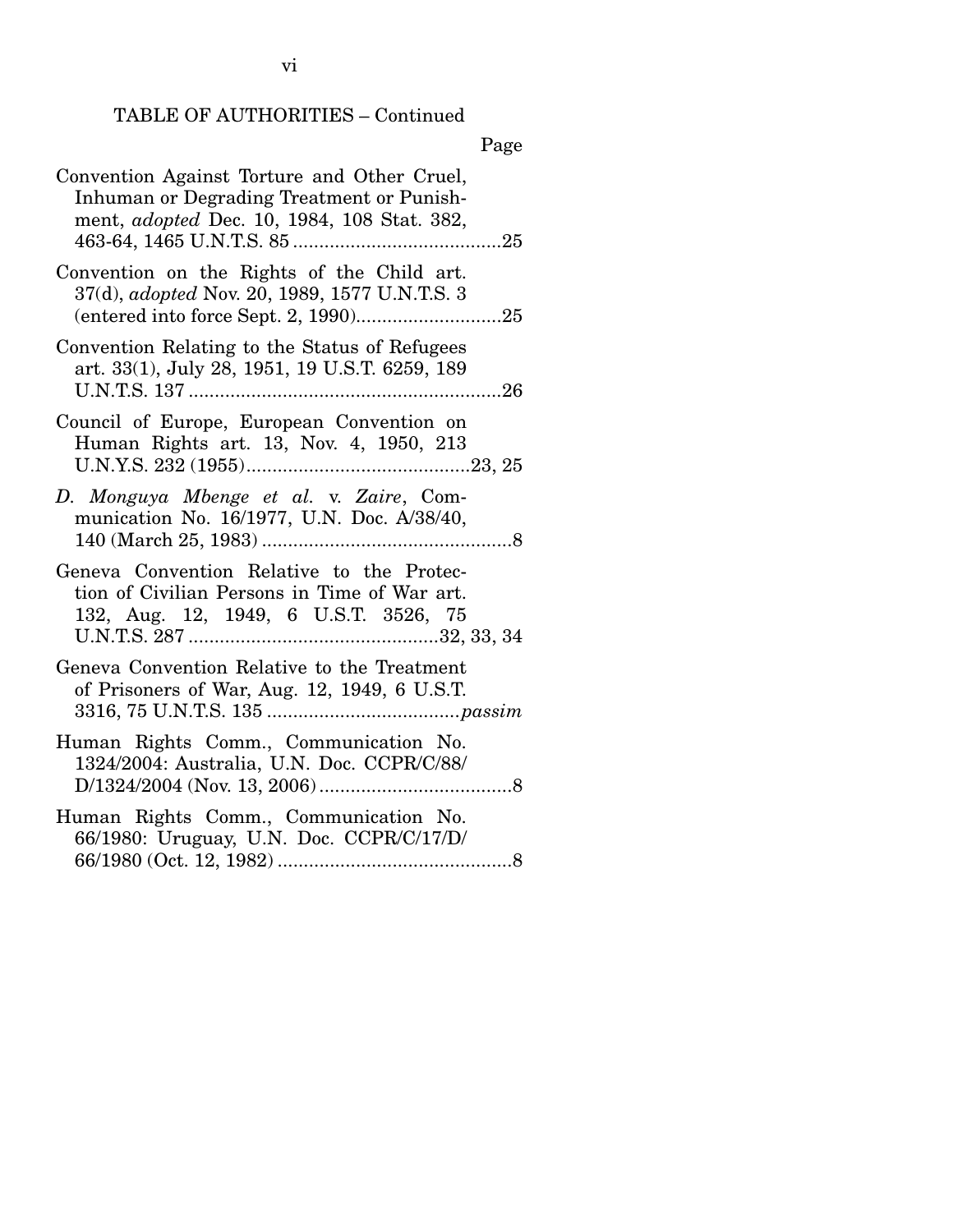|                                                                                                                                         | Page |
|-----------------------------------------------------------------------------------------------------------------------------------------|------|
| Convention Against Torture and Other Cruel,<br>Inhuman or Degrading Treatment or Punish-<br>ment, adopted Dec. 10, 1984, 108 Stat. 382, |      |
| Convention on the Rights of the Child art.<br>37(d), adopted Nov. 20, 1989, 1577 U.N.T.S. 3<br>(entered into force Sept. 2, 1990)25     |      |
| Convention Relating to the Status of Refugees<br>art. 33(1), July 28, 1951, 19 U.S.T. 6259, 189                                         |      |
| Council of Europe, European Convention on<br>Human Rights art. 13, Nov. 4, 1950, 213                                                    |      |
| D. Monguya Mbenge et al. v. Zaire, Com-<br>munication No. 16/1977, U.N. Doc. A/38/40,                                                   |      |
| Geneva Convention Relative to the Protec-<br>tion of Civilian Persons in Time of War art.<br>132, Aug. 12, 1949, 6 U.S.T. 3526, 75      |      |
| Geneva Convention Relative to the Treatment<br>of Prisoners of War, Aug. 12, 1949, 6 U.S.T.                                             |      |
| Human Rights Comm., Communication No.<br>1324/2004: Australia, U.N. Doc. CCPR/C/88/                                                     |      |
| Human Rights Comm., Communication No.<br>66/1980: Uruguay, U.N. Doc. CCPR/C/17/D/                                                       |      |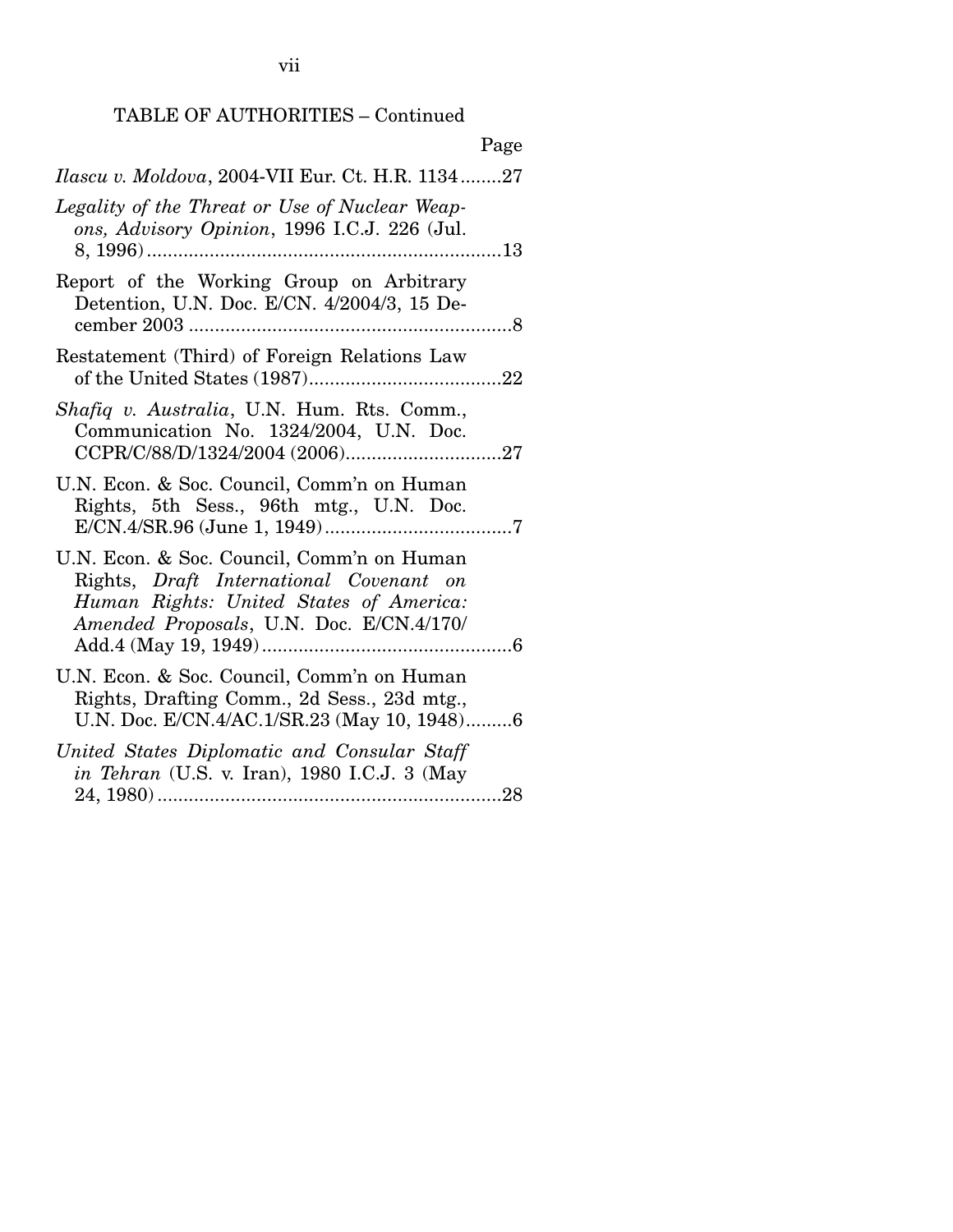|                                                                                                                                                                              | Page |
|------------------------------------------------------------------------------------------------------------------------------------------------------------------------------|------|
| Ilascu v. Moldova, 2004-VII Eur. Ct. H.R. 113427                                                                                                                             |      |
| Legality of the Threat or Use of Nuclear Weap-<br>ons, Advisory Opinion, 1996 I.C.J. 226 (Jul.<br>8, 1996)                                                                   |      |
| Report of the Working Group on Arbitrary<br>Detention, U.N. Doc. E/CN. 4/2004/3, 15 De-                                                                                      |      |
| Restatement (Third) of Foreign Relations Law                                                                                                                                 |      |
| Shafiq v. Australia, U.N. Hum. Rts. Comm.,<br>Communication No. 1324/2004, U.N. Doc.                                                                                         |      |
| U.N. Econ. & Soc. Council, Comm'n on Human<br>Rights, 5th Sess., 96th mtg., U.N. Doc.                                                                                        |      |
| U.N. Econ. & Soc. Council, Comm'n on Human<br>Rights, Draft International Covenant on<br>Human Rights: United States of America:<br>Amended Proposals, U.N. Doc. E/CN.4/170/ |      |
| U.N. Econ. & Soc. Council, Comm'n on Human<br>Rights, Drafting Comm., 2d Sess., 23d mtg.,<br>U.N. Doc. E/CN.4/AC.1/SR.23 (May 10, 1948)6                                     |      |
| United States Diplomatic and Consular Staff<br>in Tehran (U.S. v. Iran), 1980 I.C.J. 3 (May                                                                                  |      |

24, 1980) .................................................................. 28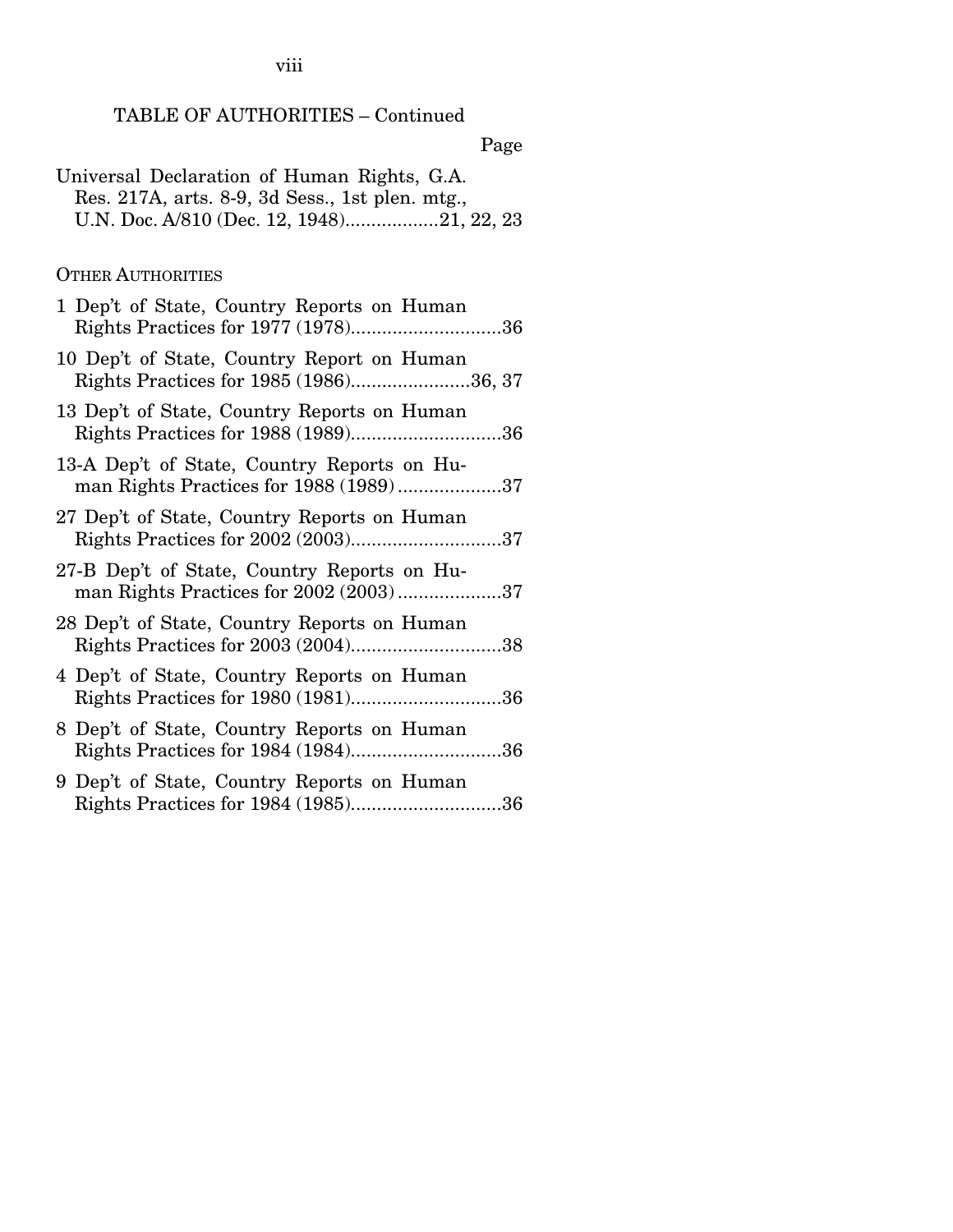viii

## TABLE OF AUTHORITIES – Continued

| Page                                                                                           |
|------------------------------------------------------------------------------------------------|
| Universal Declaration of Human Rights, G.A.<br>Res. 217A, arts. 8-9, 3d Sess., 1st plen. mtg., |
| <b>OTHER AUTHORITIES</b>                                                                       |
| 1 Dep't of State, Country Reports on Human<br>Rights Practices for 1977 (1978)36               |
| 10 Dep't of State, Country Report on Human<br>Rights Practices for 1985 (1986)36, 37           |
| 13 Dep't of State, Country Reports on Human<br>Rights Practices for 1988 (1989)36              |
| 13-A Dep't of State, Country Reports on Hu-<br>man Rights Practices for 1988 (1989)37          |
| 27 Dep't of State, Country Reports on Human                                                    |
| 27-B Dep't of State, Country Reports on Hu-<br>man Rights Practices for 2002 (2003)37          |
| 28 Dep't of State, Country Reports on Human<br>Rights Practices for 2003 (2004)38              |
| 4 Dep't of State, Country Reports on Human                                                     |
| 8 Dep't of State, Country Reports on Human<br>Rights Practices for 1984 (1984)36               |
| 9 Dep't of State, Country Reports on Human<br>Rights Practices for 1984 (1985)36               |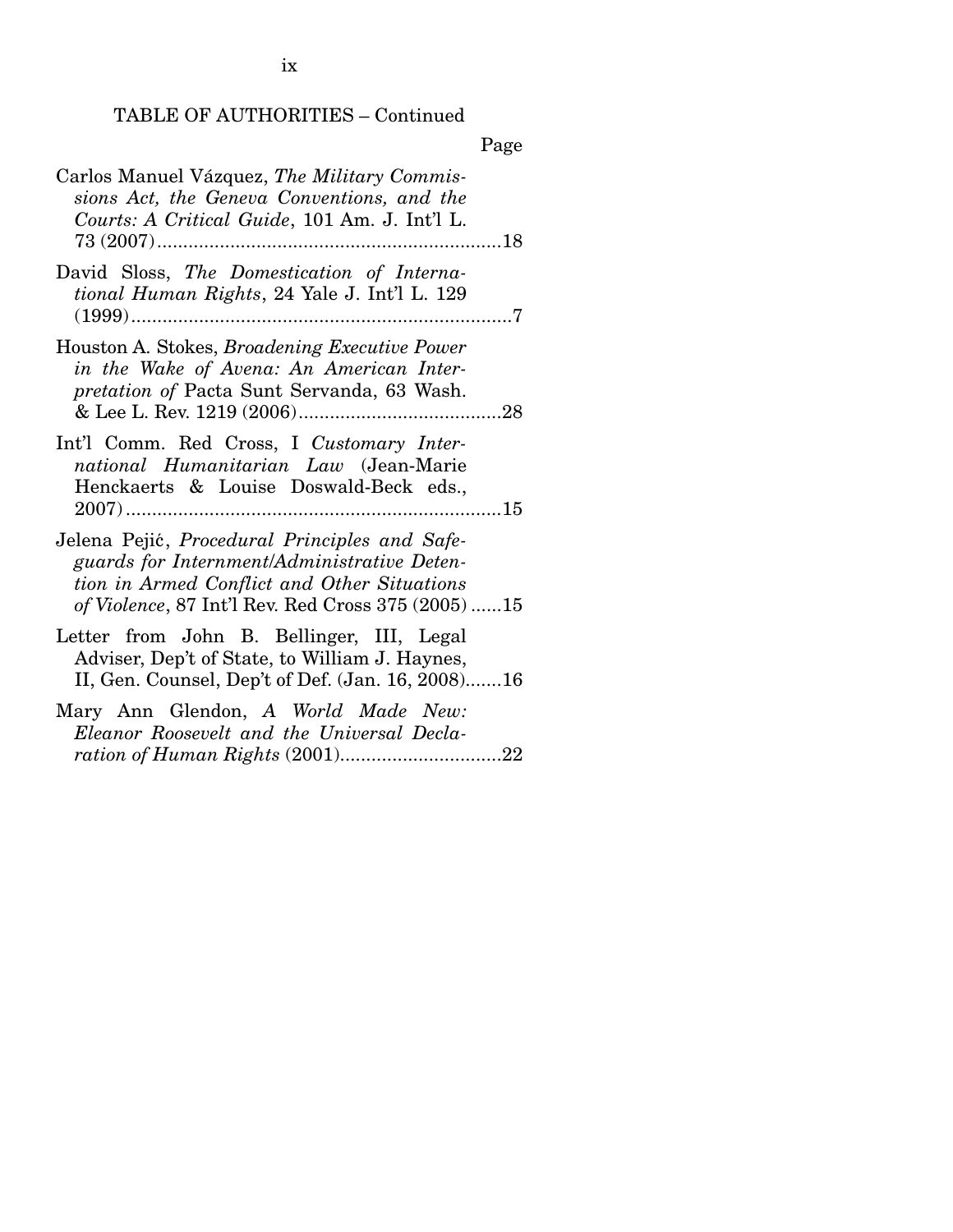ix

## TABLE OF AUTHORITIES – Continued

|--|

| Carlos Manuel Vázquez, The Military Commis-<br>sions Act, the Geneva Conventions, and the<br>Courts: A Critical Guide, 101 Am. J. Int'l L.                                                       |
|--------------------------------------------------------------------------------------------------------------------------------------------------------------------------------------------------|
| David Sloss, The Domestication of Interna-<br>tional Human Rights, 24 Yale J. Int'l L. 129                                                                                                       |
| Houston A. Stokes, <i>Broadening Executive Power</i><br>in the Wake of Avena: An American Inter-<br>pretation of Pacta Sunt Servanda, 63 Wash.                                                   |
| Int'l Comm. Red Cross, I Customary Inter-<br>national Humanitarian Law (Jean-Marie<br>Henckaerts & Louise Doswald-Beck eds.,<br>15                                                               |
| Jelena Pejić, Procedural Principles and Safe-<br>guards for Internment/Administrative Deten-<br>tion in Armed Conflict and Other Situations<br>of Violence, 87 Int'l Rev. Red Cross 375 (2005)15 |
| Letter from John B. Bellinger, III, Legal<br>Adviser, Dep't of State, to William J. Haynes,<br>II, Gen. Counsel, Dep't of Def. (Jan. 16, 2008)16                                                 |
| Mary Ann Glendon, A World Made New:<br>Eleanor Roosevelt and the Universal Decla-                                                                                                                |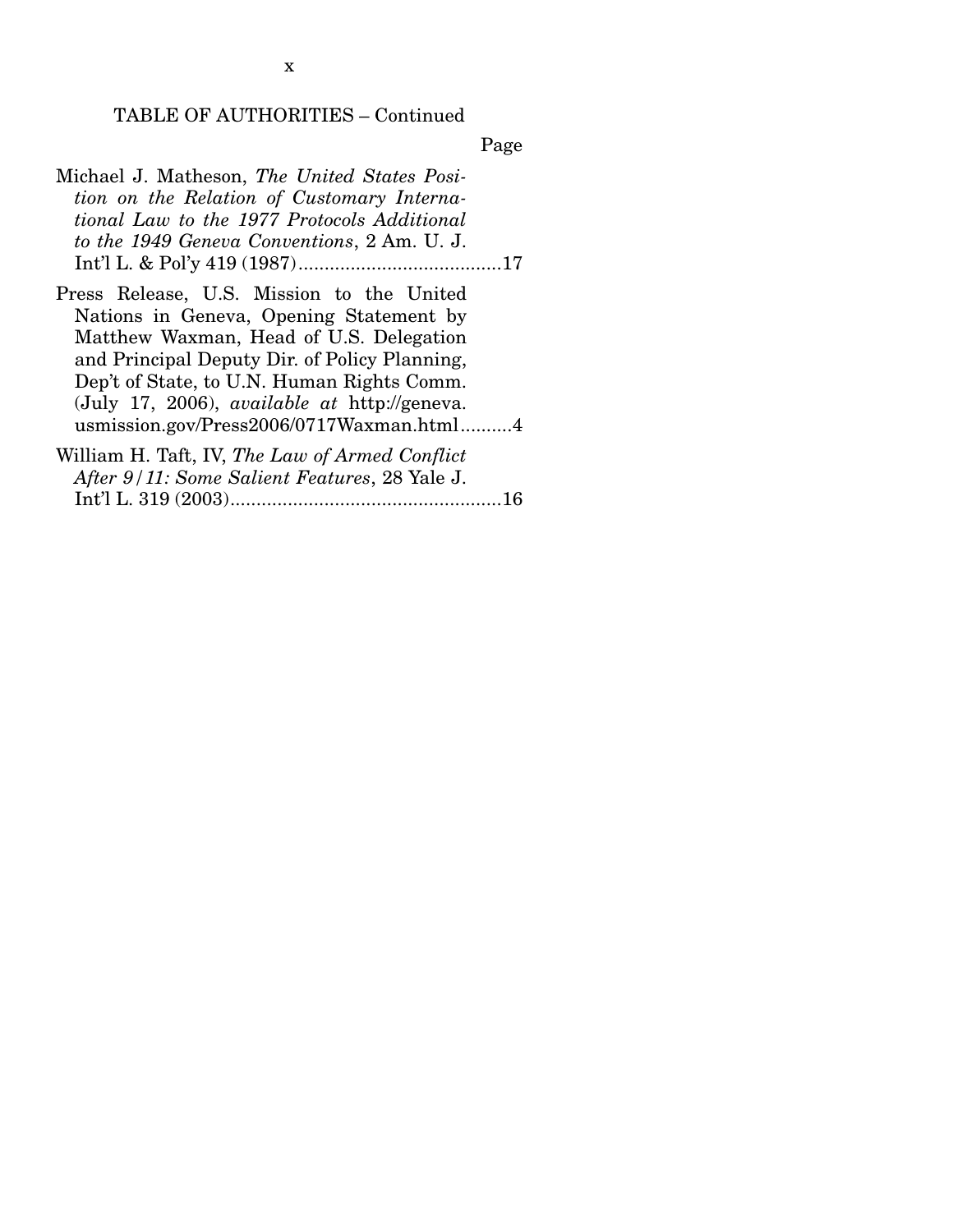Page

- Michael J. Matheson, *The United States Position on the Relation of Customary International Law to the 1977 Protocols Additional to the 1949 Geneva Conventions*, 2 Am. U. J. Int'l L. & Pol'y 419 (1987) ....................................... 17
- Press Release, U.S. Mission to the United Nations in Geneva, Opening Statement by Matthew Waxman, Head of U.S. Delegation and Principal Deputy Dir. of Policy Planning, Dep't of State, to U.N. Human Rights Comm. (July 17, 2006), *available at* http://geneva. usmission.gov/Press2006/0717Waxman.html .......... 4
- William H. Taft, IV, *The Law of Armed Conflict After 9/11: Some Salient Features*, 28 Yale J. Int'l L. 319 (2003) .................................................... 16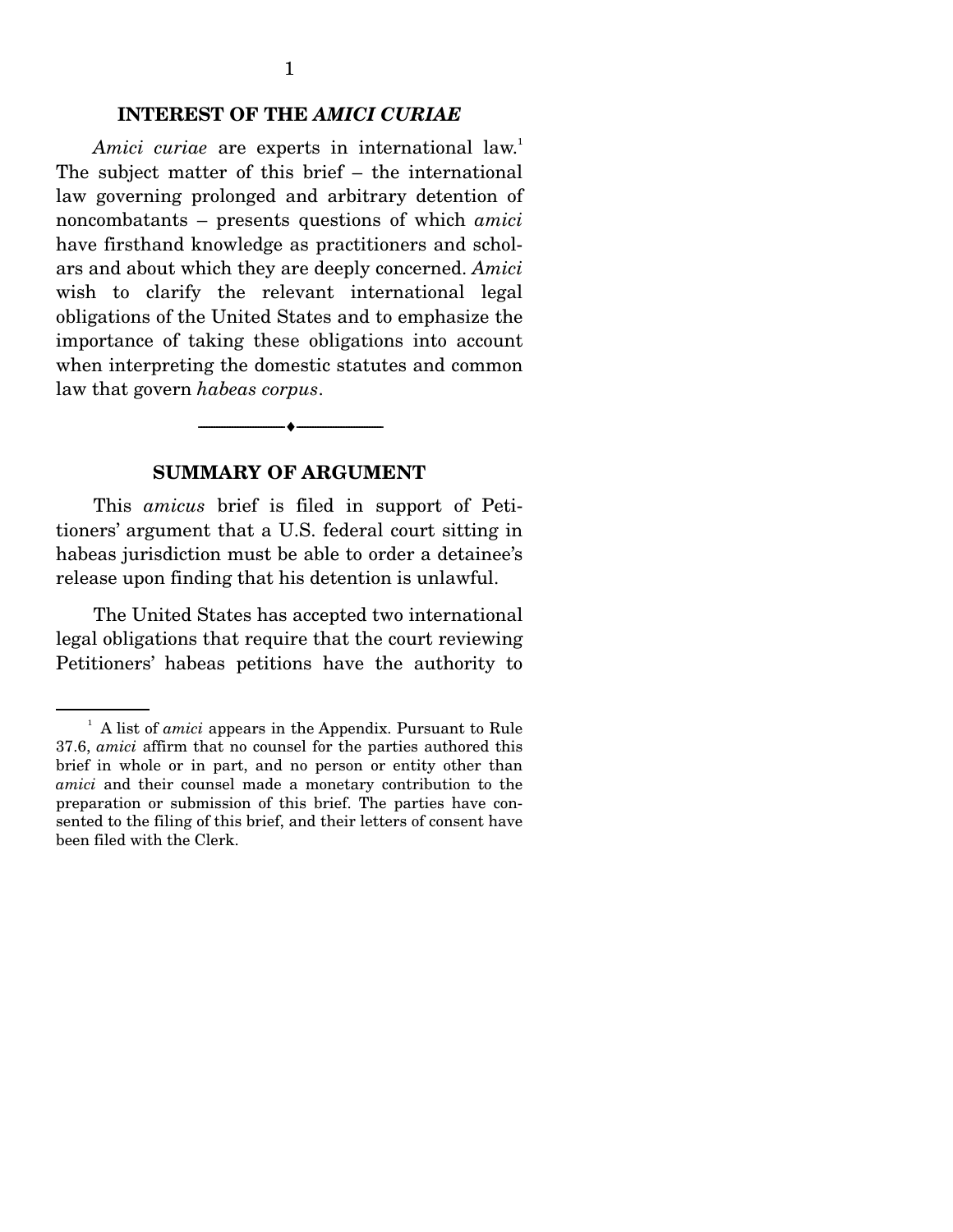*Amici curiae* are experts in international law.<sup>1</sup> The subject matter of this brief – the international law governing prolonged and arbitrary detention of noncombatants – presents questions of which *amici*  have firsthand knowledge as practitioners and scholars and about which they are deeply concerned. *Amici*  wish to clarify the relevant international legal obligations of the United States and to emphasize the importance of taking these obligations into account when interpreting the domestic statutes and common law that govern *habeas corpus*.

### **SUMMARY OF ARGUMENT**

--------------------------------- ♦ ---------------------------------

 This *amicus* brief is filed in support of Petitioners' argument that a U.S. federal court sitting in habeas jurisdiction must be able to order a detainee's release upon finding that his detention is unlawful.

 The United States has accepted two international legal obligations that require that the court reviewing Petitioners' habeas petitions have the authority to

<sup>&</sup>lt;sup>1</sup> A list of *amici* appears in the Appendix. Pursuant to Rule 37.6, *amici* affirm that no counsel for the parties authored this brief in whole or in part, and no person or entity other than *amici* and their counsel made a monetary contribution to the preparation or submission of this brief. The parties have consented to the filing of this brief, and their letters of consent have been filed with the Clerk.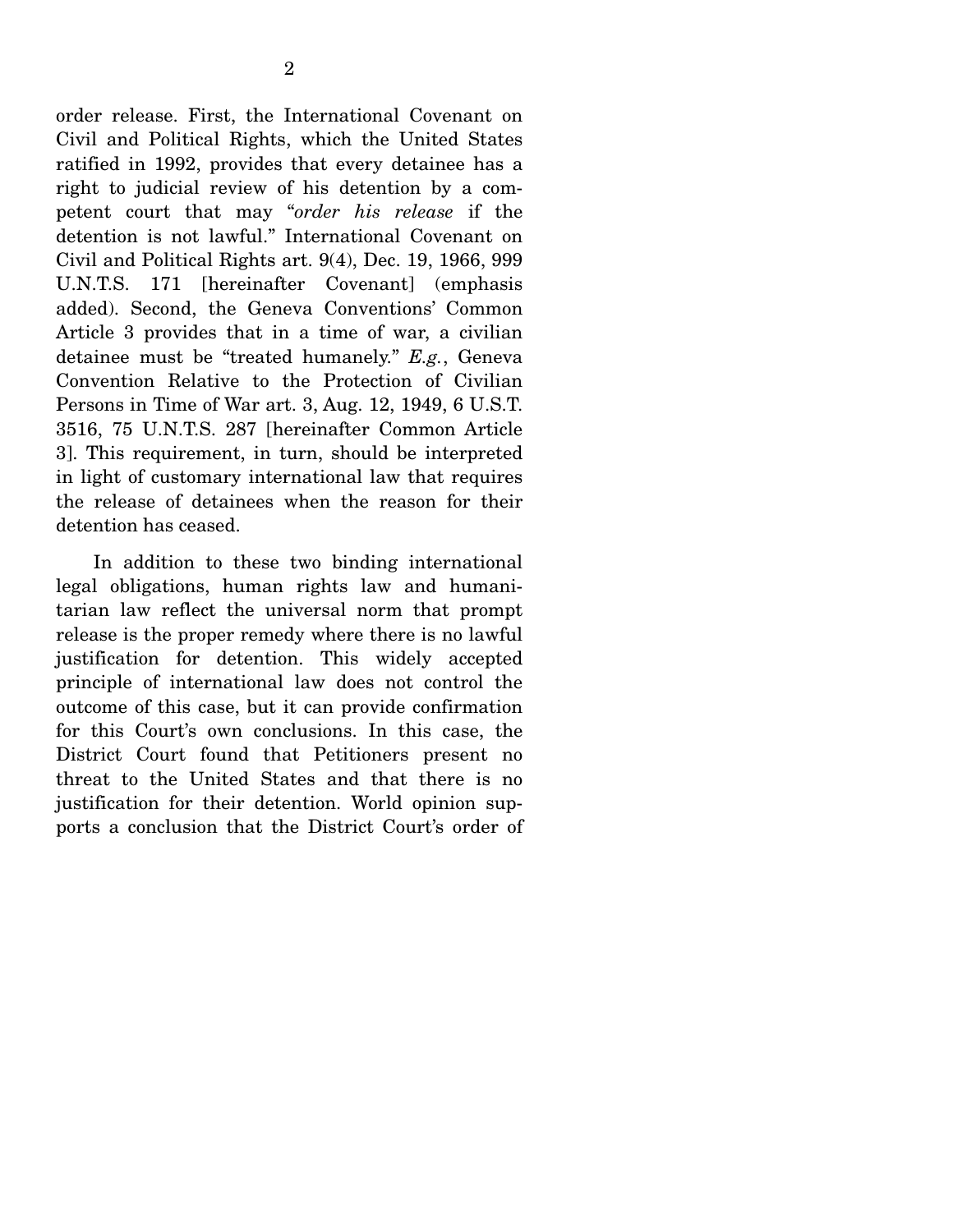order release. First, the International Covenant on Civil and Political Rights, which the United States ratified in 1992, provides that every detainee has a right to judicial review of his detention by a competent court that may "*order his release* if the detention is not lawful." International Covenant on Civil and Political Rights art. 9(4), Dec. 19, 1966, 999 U.N.T.S. 171 [hereinafter Covenant] (emphasis added). Second, the Geneva Conventions' Common Article 3 provides that in a time of war, a civilian detainee must be "treated humanely." *E.g.*, Geneva Convention Relative to the Protection of Civilian Persons in Time of War art. 3, Aug. 12, 1949, 6 U.S.T. 3516, 75 U.N.T.S. 287 [hereinafter Common Article 3]. This requirement, in turn, should be interpreted in light of customary international law that requires the release of detainees when the reason for their detention has ceased.

 In addition to these two binding international legal obligations, human rights law and humanitarian law reflect the universal norm that prompt release is the proper remedy where there is no lawful justification for detention. This widely accepted principle of international law does not control the outcome of this case, but it can provide confirmation for this Court's own conclusions. In this case, the District Court found that Petitioners present no threat to the United States and that there is no justification for their detention. World opinion supports a conclusion that the District Court's order of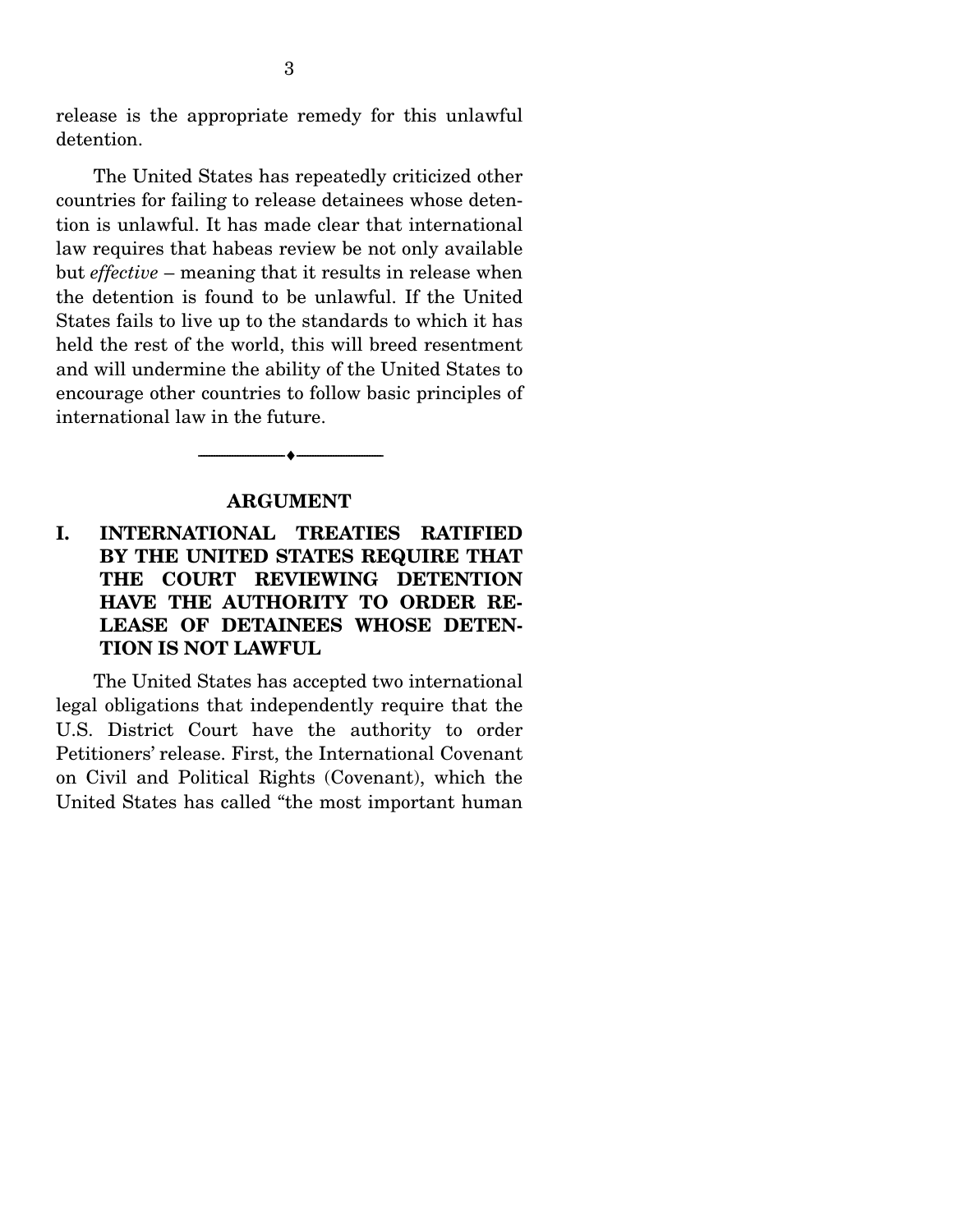release is the appropriate remedy for this unlawful detention.

 The United States has repeatedly criticized other countries for failing to release detainees whose detention is unlawful. It has made clear that international law requires that habeas review be not only available but *effective* – meaning that it results in release when the detention is found to be unlawful. If the United States fails to live up to the standards to which it has held the rest of the world, this will breed resentment and will undermine the ability of the United States to encourage other countries to follow basic principles of international law in the future.

#### **ARGUMENT**

--------------------------------- ♦ ---------------------------------

### **I. INTERNATIONAL TREATIES RATIFIED BY THE UNITED STATES REQUIRE THAT THE COURT REVIEWING DETENTION HAVE THE AUTHORITY TO ORDER RE-LEASE OF DETAINEES WHOSE DETEN-TION IS NOT LAWFUL**

 The United States has accepted two international legal obligations that independently require that the U.S. District Court have the authority to order Petitioners' release. First, the International Covenant on Civil and Political Rights (Covenant), which the United States has called "the most important human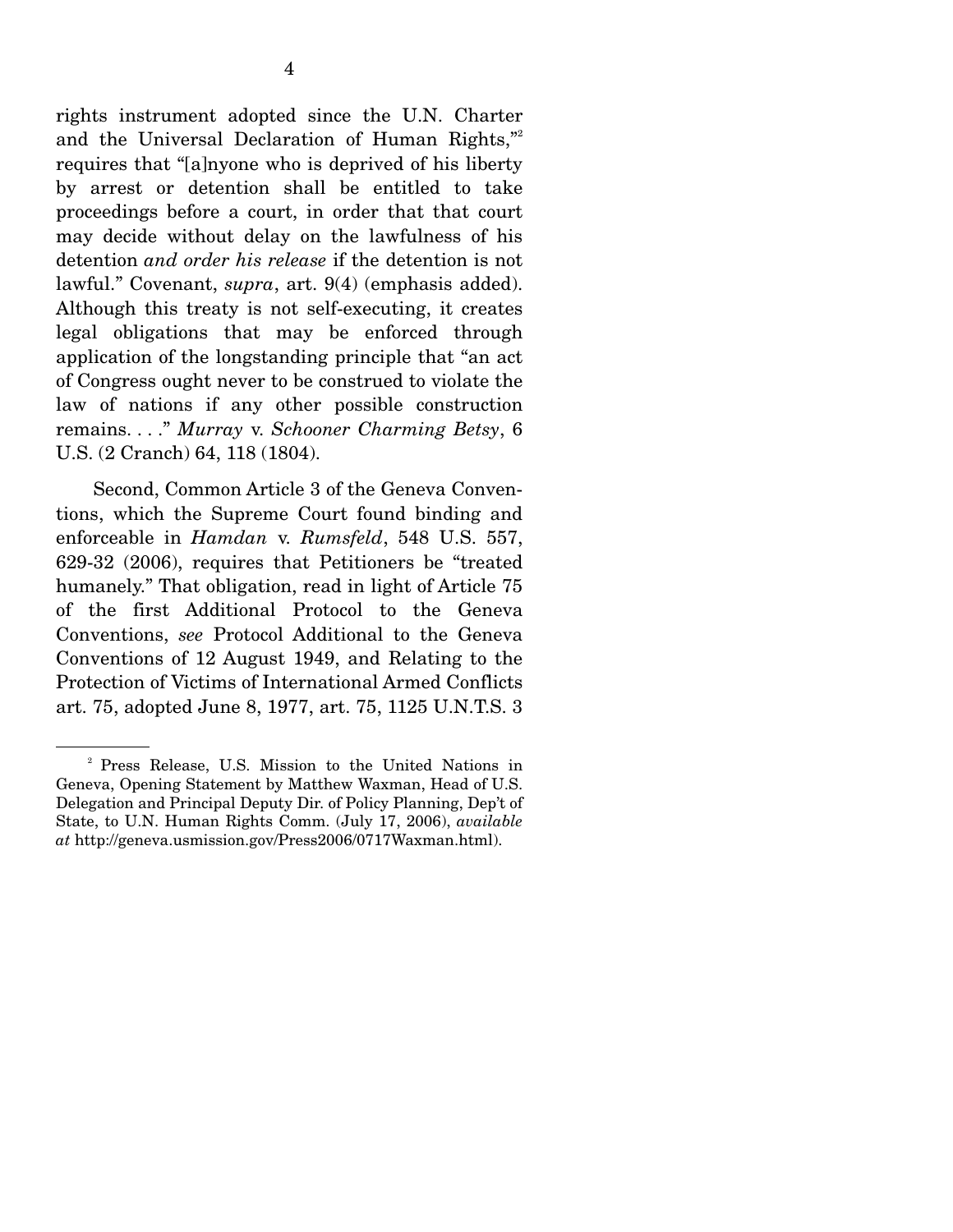rights instrument adopted since the U.N. Charter and the Universal Declaration of Human Rights,"<sup>2</sup> requires that "[a]nyone who is deprived of his liberty by arrest or detention shall be entitled to take proceedings before a court, in order that that court may decide without delay on the lawfulness of his detention *and order his release* if the detention is not lawful." Covenant, *supra*, art. 9(4) (emphasis added). Although this treaty is not self-executing, it creates legal obligations that may be enforced through application of the longstanding principle that "an act of Congress ought never to be construed to violate the law of nations if any other possible construction remains. . . ." *Murray* v. *Schooner Charming Betsy*, 6 U.S. (2 Cranch) 64, 118 (1804).

 Second, Common Article 3 of the Geneva Conventions, which the Supreme Court found binding and enforceable in *Hamdan* v. *Rumsfeld*, 548 U.S. 557, 629-32 (2006), requires that Petitioners be "treated humanely." That obligation, read in light of Article 75 of the first Additional Protocol to the Geneva Conventions, *see* Protocol Additional to the Geneva Conventions of 12 August 1949, and Relating to the Protection of Victims of International Armed Conflicts art. 75, adopted June 8, 1977, art. 75, 1125 U.N.T.S. 3

<sup>2</sup> Press Release, U.S. Mission to the United Nations in Geneva, Opening Statement by Matthew Waxman, Head of U.S. Delegation and Principal Deputy Dir. of Policy Planning, Dep't of State, to U.N. Human Rights Comm. (July 17, 2006), *available at* http://geneva.usmission.gov/Press2006/0717Waxman.html).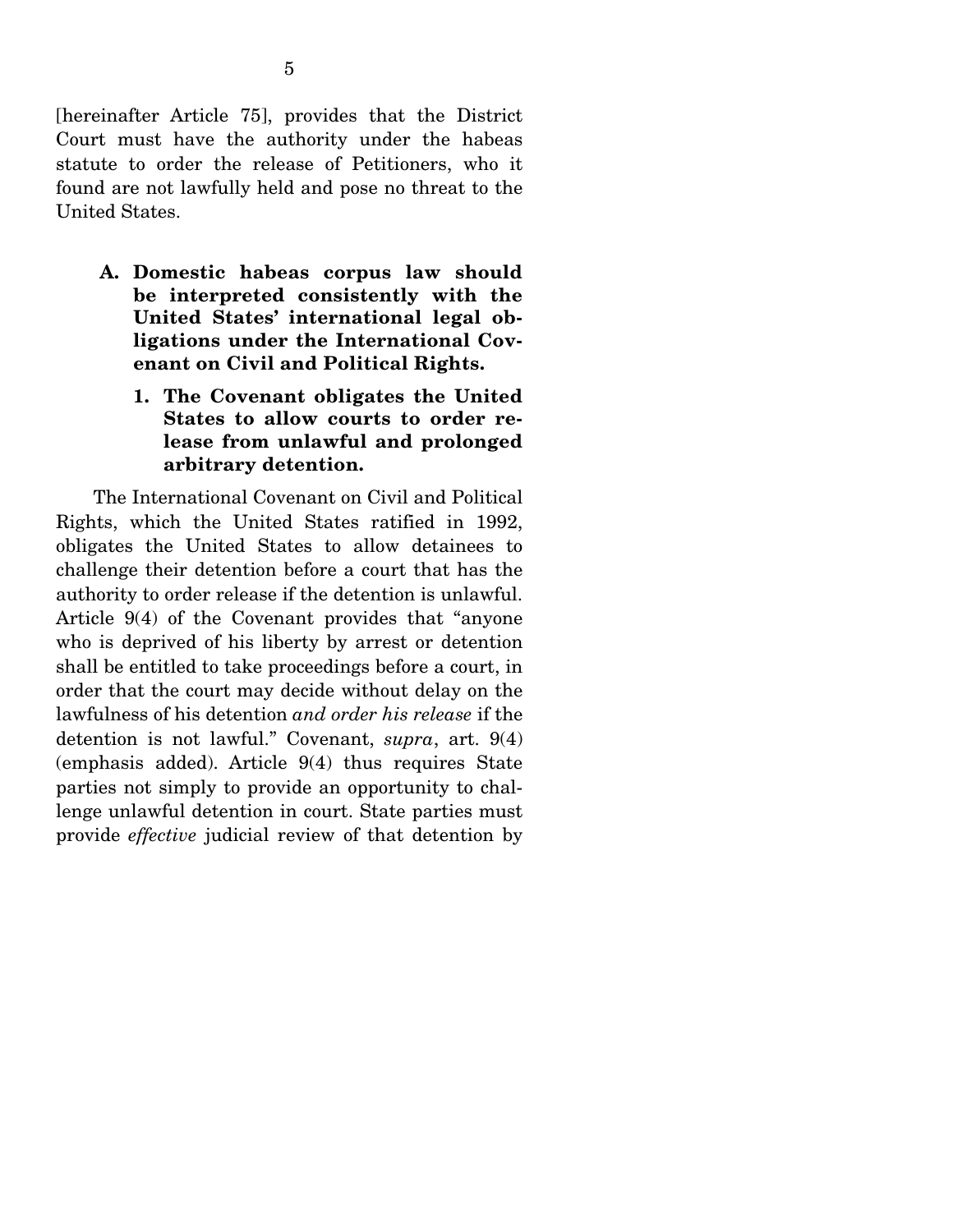[hereinafter Article 75], provides that the District Court must have the authority under the habeas statute to order the release of Petitioners, who it found are not lawfully held and pose no threat to the United States.

- **A. Domestic habeas corpus law should be interpreted consistently with the United States' international legal obligations under the International Covenant on Civil and Political Rights.** 
	- **1. The Covenant obligates the United States to allow courts to order release from unlawful and prolonged arbitrary detention.**

 The International Covenant on Civil and Political Rights, which the United States ratified in 1992, obligates the United States to allow detainees to challenge their detention before a court that has the authority to order release if the detention is unlawful. Article 9(4) of the Covenant provides that "anyone who is deprived of his liberty by arrest or detention shall be entitled to take proceedings before a court, in order that the court may decide without delay on the lawfulness of his detention *and order his release* if the detention is not lawful." Covenant, *supra*, art. 9(4) (emphasis added). Article 9(4) thus requires State parties not simply to provide an opportunity to challenge unlawful detention in court. State parties must provide *effective* judicial review of that detention by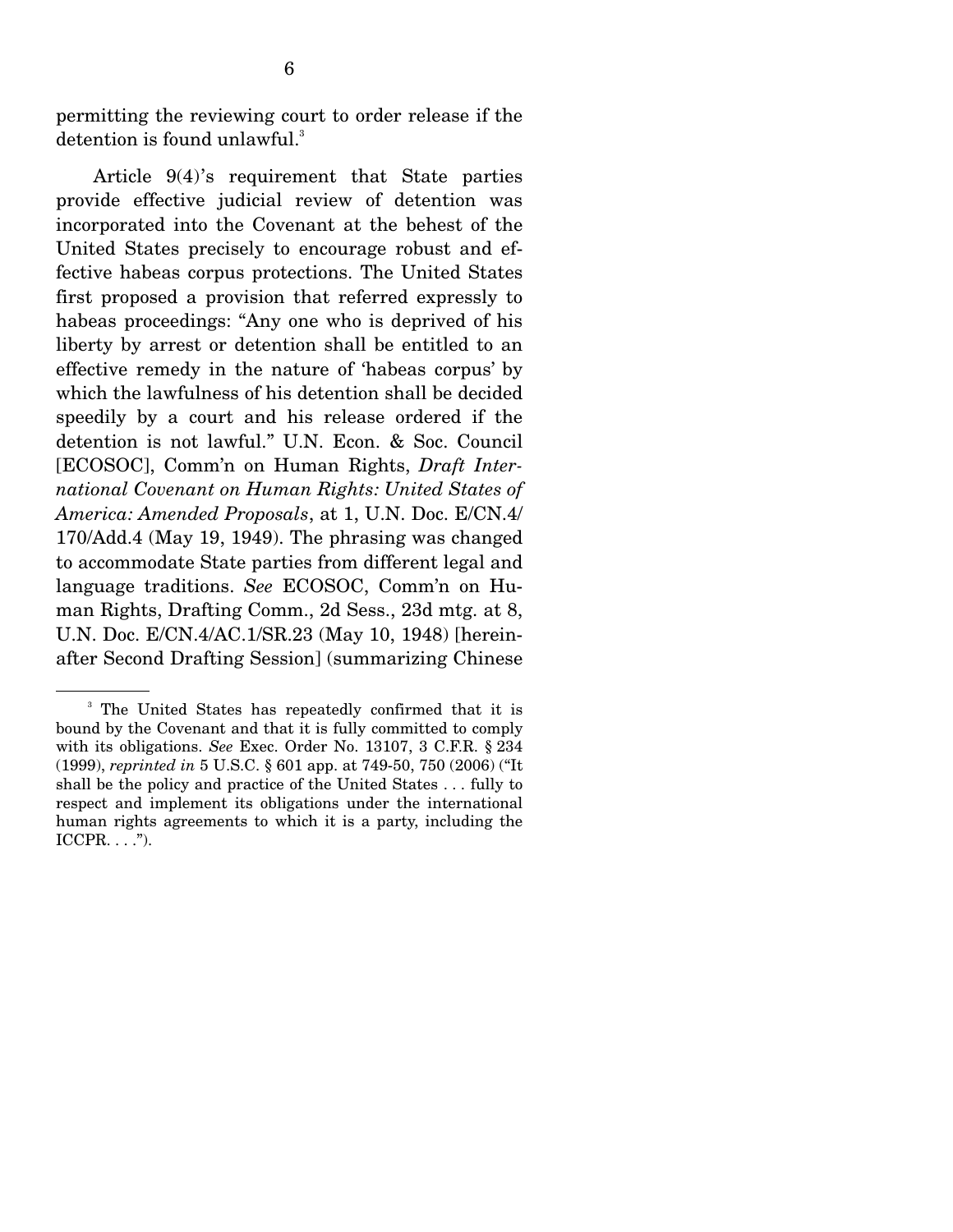permitting the reviewing court to order release if the detention is found unlawful.<sup>3</sup>

 Article 9(4)'s requirement that State parties provide effective judicial review of detention was incorporated into the Covenant at the behest of the United States precisely to encourage robust and effective habeas corpus protections. The United States first proposed a provision that referred expressly to habeas proceedings: "Any one who is deprived of his liberty by arrest or detention shall be entitled to an effective remedy in the nature of 'habeas corpus' by which the lawfulness of his detention shall be decided speedily by a court and his release ordered if the detention is not lawful." U.N. Econ. & Soc. Council [ECOSOC], Comm'n on Human Rights, *Draft International Covenant on Human Rights: United States of America: Amended Proposals*, at 1, U.N. Doc. E/CN.4/ 170/Add.4 (May 19, 1949). The phrasing was changed to accommodate State parties from different legal and language traditions. *See* ECOSOC, Comm'n on Human Rights, Drafting Comm., 2d Sess., 23d mtg. at 8, U.N. Doc. E/CN.4/AC.1/SR.23 (May 10, 1948) [hereinafter Second Drafting Session] (summarizing Chinese

<sup>&</sup>lt;sup>3</sup> The United States has repeatedly confirmed that it is bound by the Covenant and that it is fully committed to comply with its obligations. *See* Exec. Order No. 13107, 3 C.F.R. § 234 (1999), *reprinted in* 5 U.S.C. § 601 app. at 749-50, 750 (2006) ("It shall be the policy and practice of the United States . . . fully to respect and implement its obligations under the international human rights agreements to which it is a party, including the  $ICCPR. \ldots$ ").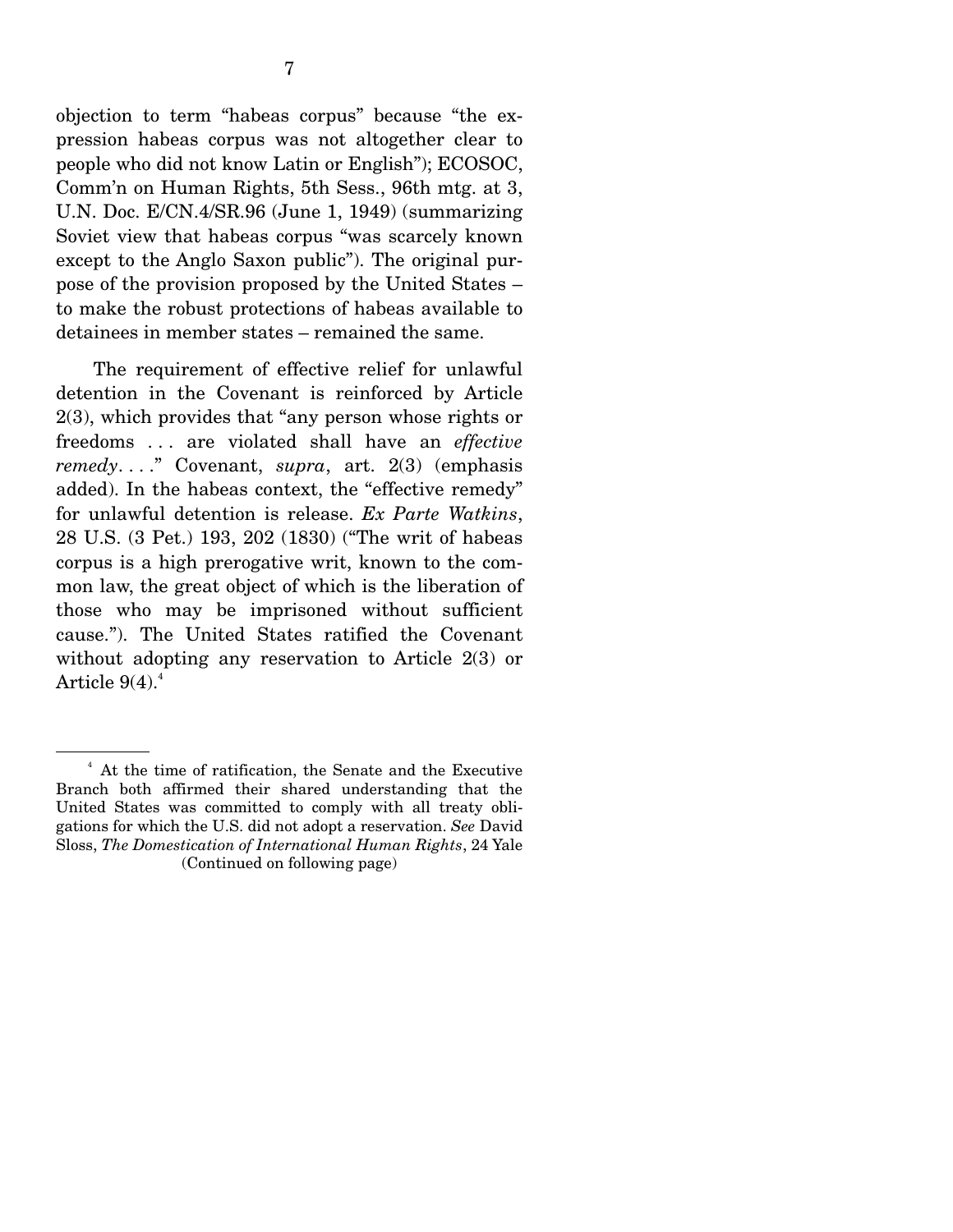objection to term "habeas corpus" because "the expression habeas corpus was not altogether clear to people who did not know Latin or English"); ECOSOC, Comm'n on Human Rights, 5th Sess., 96th mtg. at 3, U.N. Doc. E/CN.4/SR.96 (June 1, 1949) (summarizing Soviet view that habeas corpus "was scarcely known except to the Anglo Saxon public"). The original purpose of the provision proposed by the United States – to make the robust protections of habeas available to detainees in member states – remained the same.

 The requirement of effective relief for unlawful detention in the Covenant is reinforced by Article 2(3), which provides that "any person whose rights or freedoms . . . are violated shall have an *effective remedy*. . . ." Covenant, *supra*, art. 2(3) (emphasis added). In the habeas context, the "effective remedy" for unlawful detention is release. *Ex Parte Watkins*, 28 U.S. (3 Pet.) 193, 202 (1830) ("The writ of habeas corpus is a high prerogative writ, known to the common law, the great object of which is the liberation of those who may be imprisoned without sufficient cause."). The United States ratified the Covenant without adopting any reservation to Article 2(3) or Article  $9(4).$ <sup>4</sup>

<sup>4</sup> At the time of ratification, the Senate and the Executive Branch both affirmed their shared understanding that the United States was committed to comply with all treaty obligations for which the U.S. did not adopt a reservation. *See* David Sloss, *The Domestication of International Human Rights*, 24 Yale (Continued on following page)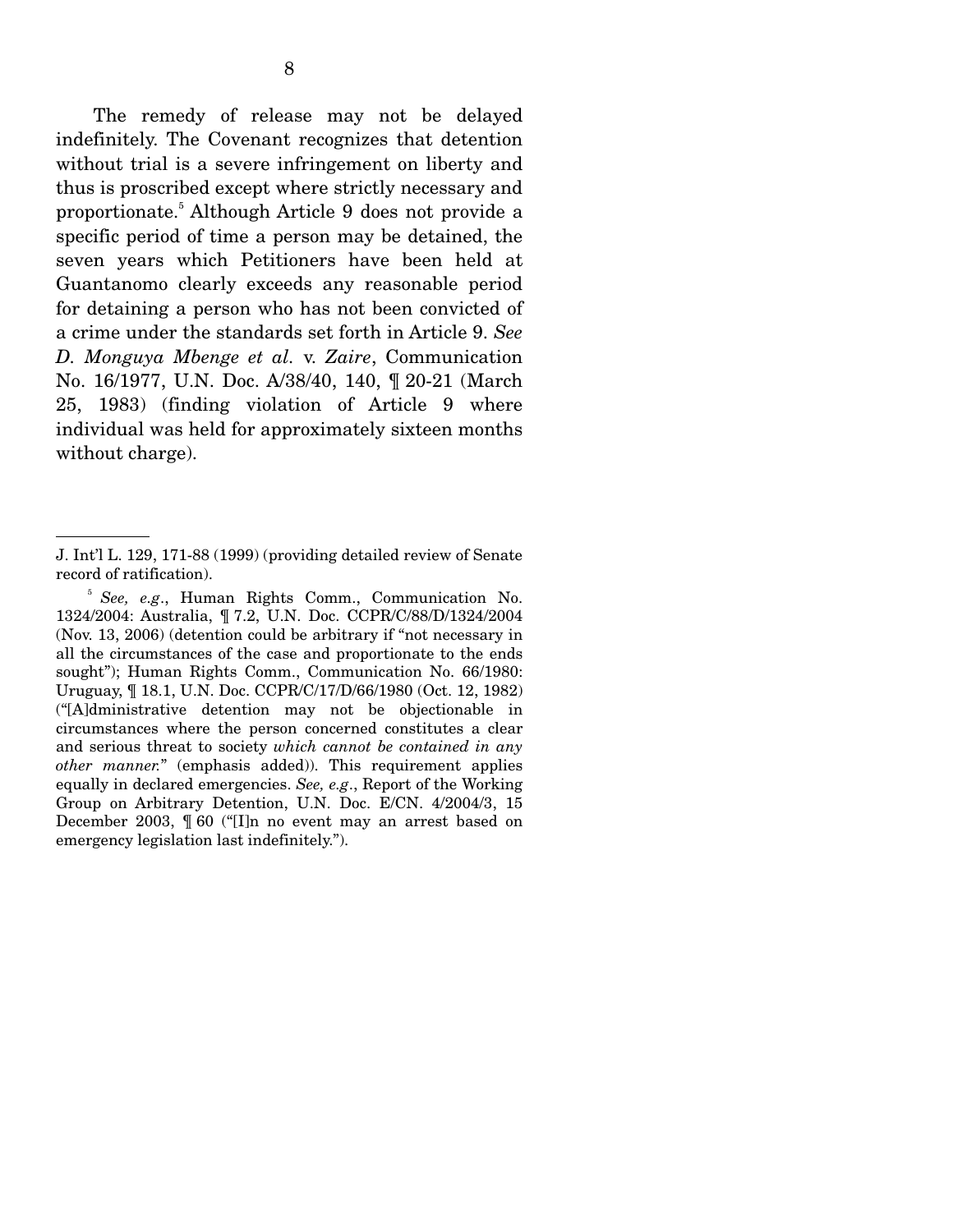The remedy of release may not be delayed indefinitely. The Covenant recognizes that detention without trial is a severe infringement on liberty and thus is proscribed except where strictly necessary and proportionate.<sup>5</sup> Although Article 9 does not provide a specific period of time a person may be detained, the seven years which Petitioners have been held at Guantanomo clearly exceeds any reasonable period for detaining a person who has not been convicted of a crime under the standards set forth in Article 9. *See D. Monguya Mbenge et al.* v. *Zaire*, Communication No. 16/1977, U.N. Doc. A/38/40, 140, ¶ 20-21 (March 25, 1983) (finding violation of Article 9 where individual was held for approximately sixteen months without charge).

J. Int'l L. 129, 171-88 (1999) (providing detailed review of Senate record of ratification).

<sup>5</sup> *See, e.g*., Human Rights Comm., Communication No. 1324/2004: Australia, ¶ 7.2, U.N. Doc. CCPR/C/88/D/1324/2004 (Nov. 13, 2006) (detention could be arbitrary if "not necessary in all the circumstances of the case and proportionate to the ends sought"); Human Rights Comm., Communication No. 66/1980: Uruguay, ¶ 18.1, U.N. Doc. CCPR/C/17/D/66/1980 (Oct. 12, 1982) ("[A]dministrative detention may not be objectionable in circumstances where the person concerned constitutes a clear and serious threat to society *which cannot be contained in any other manner.*" (emphasis added)). This requirement applies equally in declared emergencies. *See, e.g*., Report of the Working Group on Arbitrary Detention, U.N. Doc. E/CN. 4/2004/3, 15 December 2003, ¶ 60 ("[I]n no event may an arrest based on emergency legislation last indefinitely.").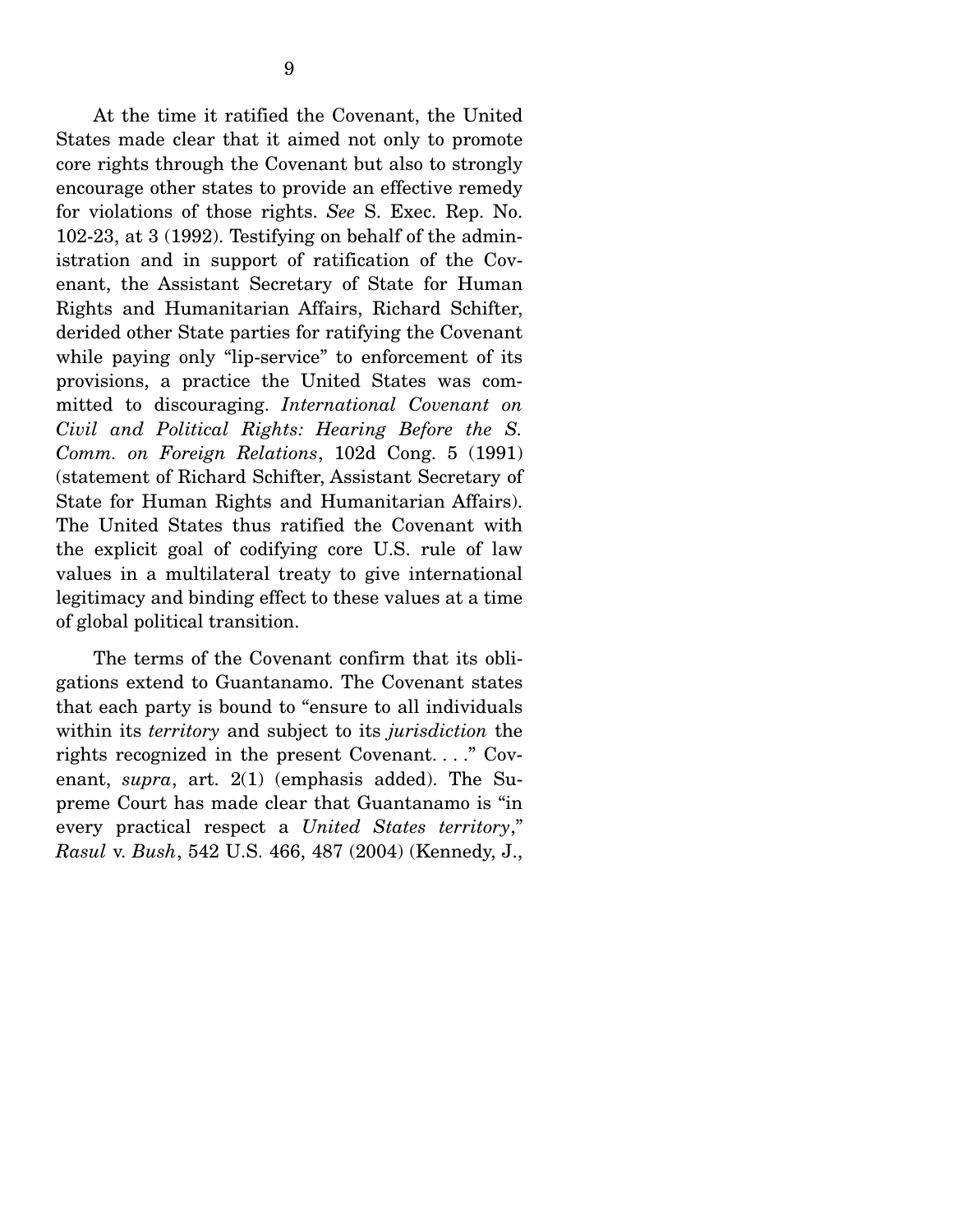At the time it ratified the Covenant, the United States made clear that it aimed not only to promote core rights through the Covenant but also to strongly encourage other states to provide an effective remedy for violations of those rights. *See* S. Exec. Rep. No. 102-23, at 3 (1992). Testifying on behalf of the administration and in support of ratification of the Covenant, the Assistant Secretary of State for Human Rights and Humanitarian Affairs, Richard Schifter, derided other State parties for ratifying the Covenant while paying only "lip-service" to enforcement of its provisions, a practice the United States was committed to discouraging. *International Covenant on Civil and Political Rights: Hearing Before the S. Comm. on Foreign Relations*, 102d Cong. 5 (1991) (statement of Richard Schifter, Assistant Secretary of State for Human Rights and Humanitarian Affairs). The United States thus ratified the Covenant with the explicit goal of codifying core U.S. rule of law values in a multilateral treaty to give international legitimacy and binding effect to these values at a time of global political transition.

 The terms of the Covenant confirm that its obligations extend to Guantanamo. The Covenant states that each party is bound to "ensure to all individuals within its *territory* and subject to its *jurisdiction* the rights recognized in the present Covenant. . . ." Covenant, *supra*, art. 2(1) (emphasis added). The Supreme Court has made clear that Guantanamo is "in every practical respect a *United States territory*," *Rasul* v. *Bush*, 542 U.S. 466, 487 (2004) (Kennedy, J.,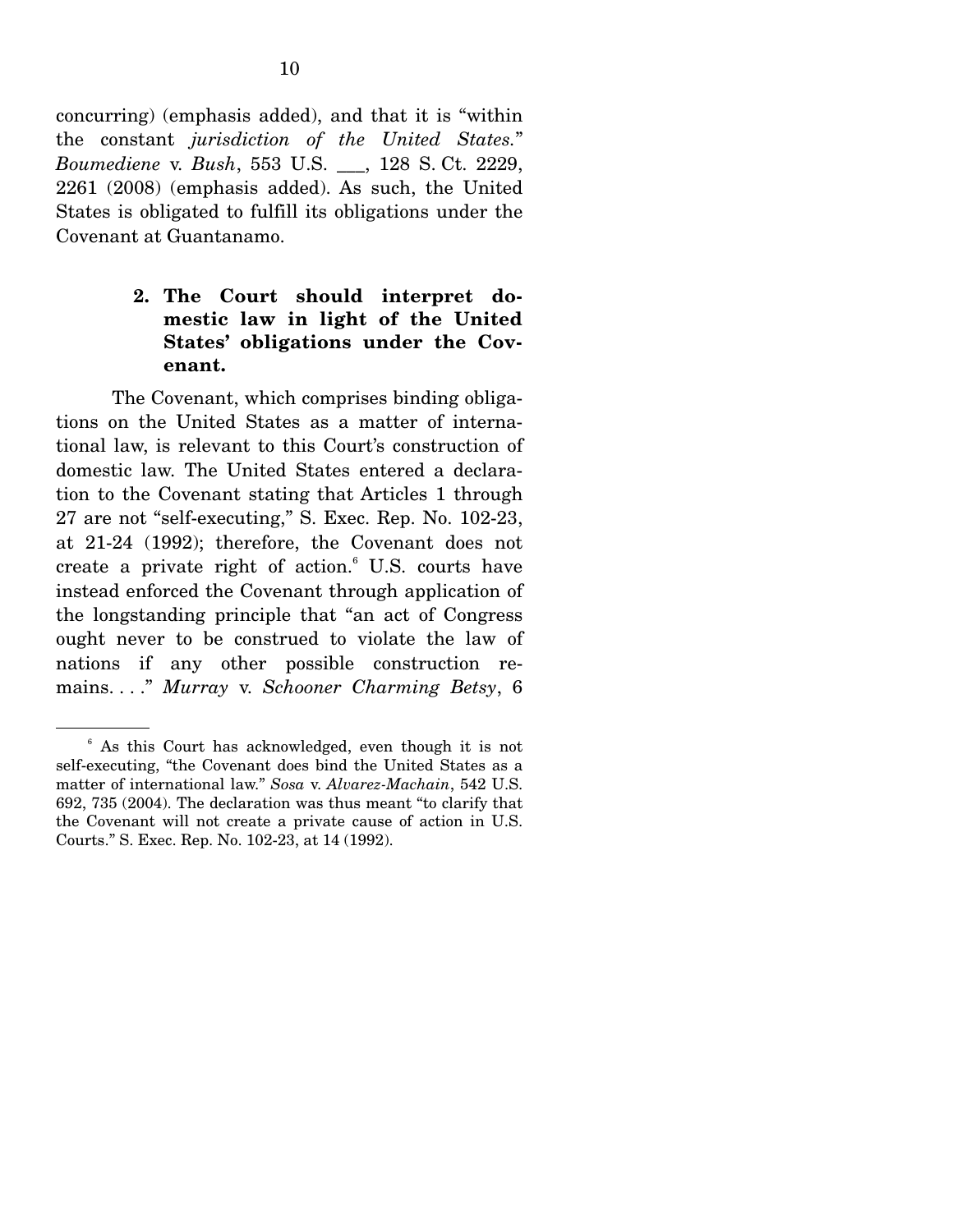concurring) (emphasis added), and that it is "within the constant *jurisdiction of the United States.*" *Boumediene* v. *Bush*, 553 U.S. \_\_\_, 128 S. Ct. 2229, 2261 (2008) (emphasis added). As such, the United States is obligated to fulfill its obligations under the Covenant at Guantanamo.

### **2. The Court should interpret domestic law in light of the United States' obligations under the Covenant.**

 The Covenant, which comprises binding obligations on the United States as a matter of international law, is relevant to this Court's construction of domestic law. The United States entered a declaration to the Covenant stating that Articles 1 through 27 are not "self-executing," S. Exec. Rep. No. 102-23, at 21-24 (1992); therefore, the Covenant does not create a private right of action. $6$  U.S. courts have instead enforced the Covenant through application of the longstanding principle that "an act of Congress ought never to be construed to violate the law of nations if any other possible construction remains. . . ." *Murray* v. *Schooner Charming Betsy*, 6

<sup>6</sup> As this Court has acknowledged, even though it is not self-executing, "the Covenant does bind the United States as a matter of international law." *Sosa* v. *Alvarez-Machain*, 542 U.S. 692, 735 (2004). The declaration was thus meant "to clarify that the Covenant will not create a private cause of action in U.S. Courts." S. Exec. Rep. No. 102-23, at 14 (1992).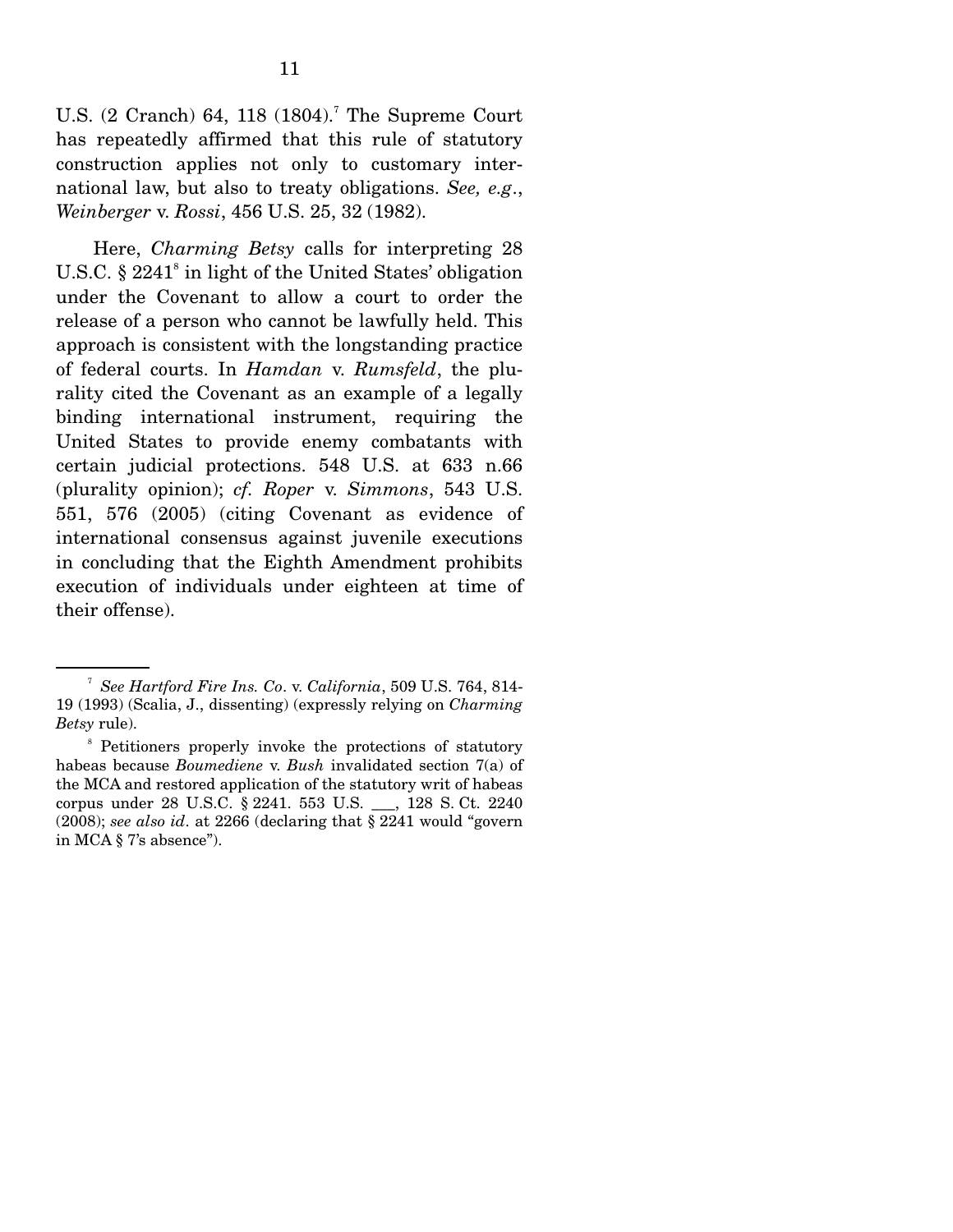U.S. (2 Cranch) 64, 118 (1804).<sup>7</sup> The Supreme Court has repeatedly affirmed that this rule of statutory construction applies not only to customary international law, but also to treaty obligations. *See, e.g*., *Weinberger* v. *Rossi*, 456 U.S. 25, 32 (1982).

 Here, *Charming Betsy* calls for interpreting 28 U.S.C. § 2241<sup>8</sup> in light of the United States' obligation under the Covenant to allow a court to order the release of a person who cannot be lawfully held. This approach is consistent with the longstanding practice of federal courts. In *Hamdan* v. *Rumsfeld*, the plurality cited the Covenant as an example of a legally binding international instrument, requiring the United States to provide enemy combatants with certain judicial protections. 548 U.S. at 633 n.66 (plurality opinion); *cf. Roper* v. *Simmons*, 543 U.S. 551, 576 (2005) (citing Covenant as evidence of international consensus against juvenile executions in concluding that the Eighth Amendment prohibits execution of individuals under eighteen at time of their offense).

<sup>7</sup> *See Hartford Fire Ins. Co*. v. *California*, 509 U.S. 764, 814- 19 (1993) (Scalia, J., dissenting) (expressly relying on *Charming Betsy* rule).

<sup>&</sup>lt;sup>8</sup> Petitioners properly invoke the protections of statutory habeas because *Boumediene* v. *Bush* invalidated section 7(a) of the MCA and restored application of the statutory writ of habeas corpus under 28 U.S.C. § 2241. 553 U.S. \_\_\_, 128 S. Ct. 2240 (2008); *see also id*. at 2266 (declaring that § 2241 would "govern in MCA § 7's absence").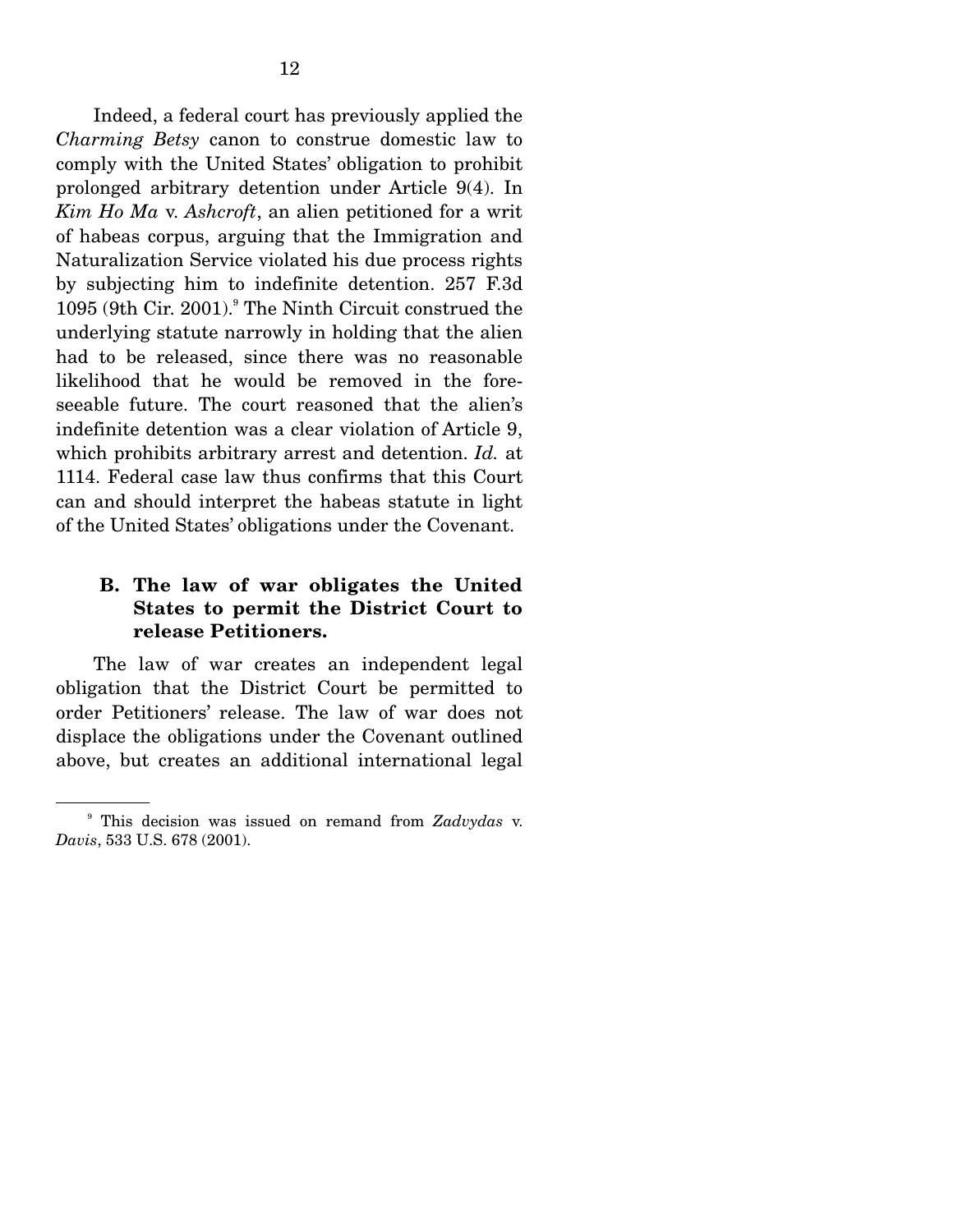Indeed, a federal court has previously applied the *Charming Betsy* canon to construe domestic law to comply with the United States' obligation to prohibit prolonged arbitrary detention under Article 9(4). In *Kim Ho Ma* v. *Ashcroft*, an alien petitioned for a writ of habeas corpus, arguing that the Immigration and Naturalization Service violated his due process rights by subjecting him to indefinite detention. 257 F.3d 1095 (9th Cir. 2001).<sup>9</sup> The Ninth Circuit construed the underlying statute narrowly in holding that the alien had to be released, since there was no reasonable likelihood that he would be removed in the foreseeable future. The court reasoned that the alien's indefinite detention was a clear violation of Article 9, which prohibits arbitrary arrest and detention. *Id.* at 1114. Federal case law thus confirms that this Court can and should interpret the habeas statute in light of the United States' obligations under the Covenant.

### **B. The law of war obligates the United States to permit the District Court to release Petitioners.**

 The law of war creates an independent legal obligation that the District Court be permitted to order Petitioners' release. The law of war does not displace the obligations under the Covenant outlined above, but creates an additional international legal

<sup>9</sup> This decision was issued on remand from *Zadvydas* v. *Davis*, 533 U.S. 678 (2001).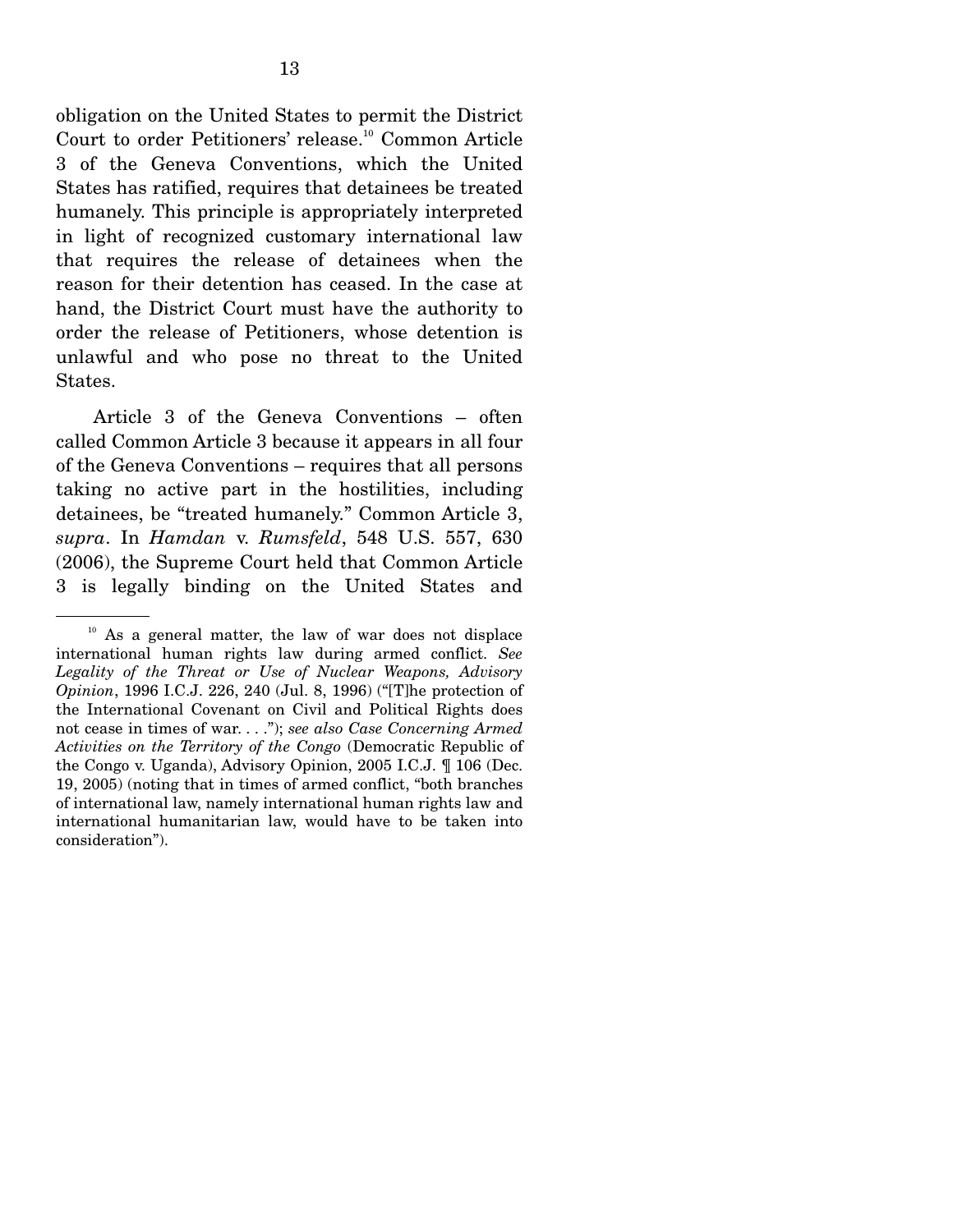obligation on the United States to permit the District Court to order Petitioners' release.<sup>10</sup> Common Article 3 of the Geneva Conventions, which the United States has ratified, requires that detainees be treated humanely. This principle is appropriately interpreted in light of recognized customary international law that requires the release of detainees when the reason for their detention has ceased. In the case at hand, the District Court must have the authority to order the release of Petitioners, whose detention is unlawful and who pose no threat to the United States.

 Article 3 of the Geneva Conventions – often called Common Article 3 because it appears in all four of the Geneva Conventions – requires that all persons taking no active part in the hostilities, including detainees, be "treated humanely." Common Article 3, *supra*. In *Hamdan* v. *Rumsfeld*, 548 U.S. 557, 630 (2006), the Supreme Court held that Common Article 3 is legally binding on the United States and

As a general matter, the law of war does not displace international human rights law during armed conflict. *See Legality of the Threat or Use of Nuclear Weapons, Advisory Opinion*, 1996 I.C.J. 226, 240 (Jul. 8, 1996) ("[T]he protection of the International Covenant on Civil and Political Rights does not cease in times of war. . . ."); *see also Case Concerning Armed Activities on the Territory of the Congo* (Democratic Republic of the Congo v. Uganda), Advisory Opinion, 2005 I.C.J. ¶ 106 (Dec. 19, 2005) (noting that in times of armed conflict, "both branches of international law, namely international human rights law and international humanitarian law, would have to be taken into consideration").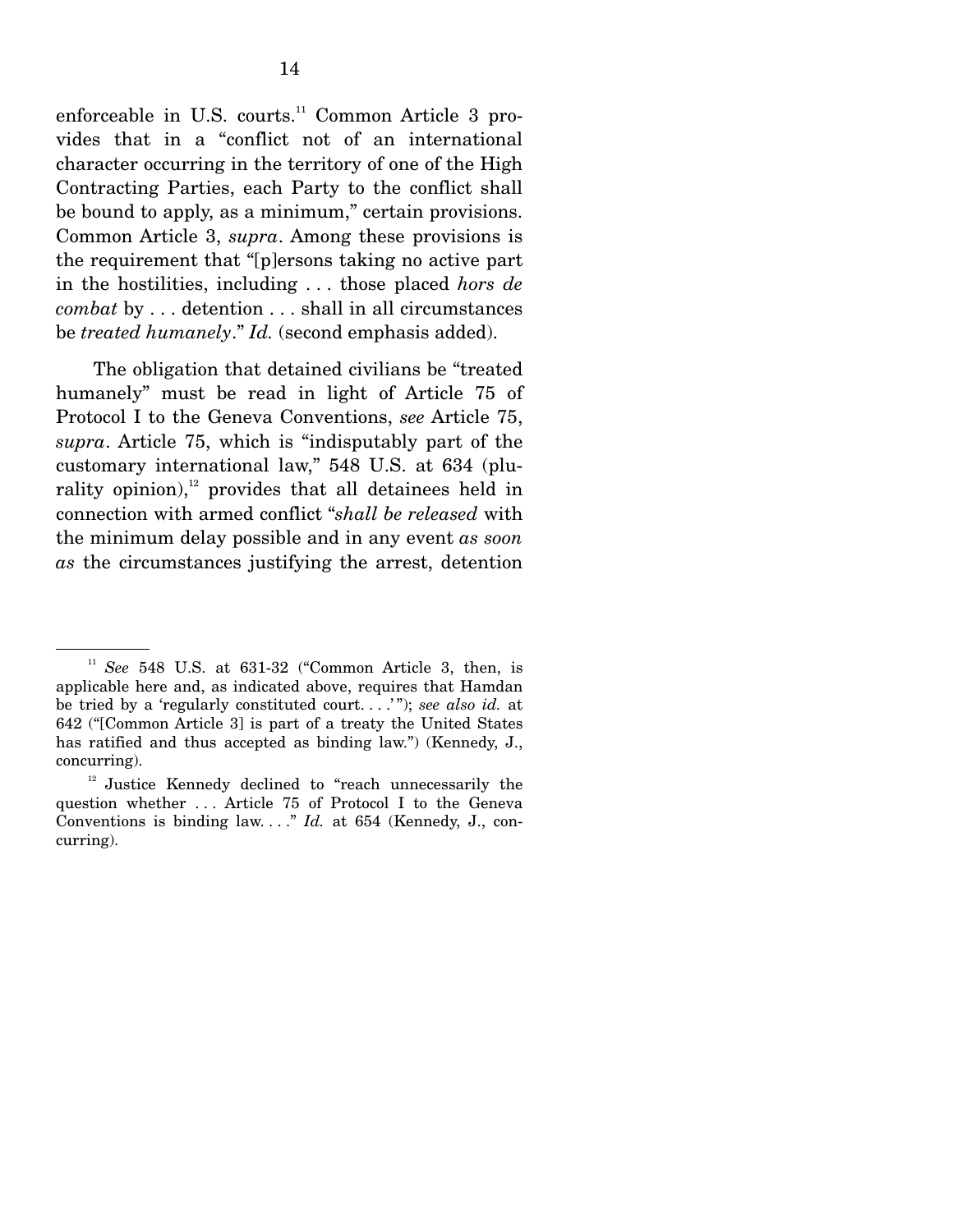enforceable in U.S. courts.<sup>11</sup> Common Article 3 provides that in a "conflict not of an international character occurring in the territory of one of the High Contracting Parties, each Party to the conflict shall be bound to apply, as a minimum," certain provisions. Common Article 3, *supra*. Among these provisions is the requirement that "[p]ersons taking no active part in the hostilities, including . . . those placed *hors de combat* by . . . detention . . . shall in all circumstances be *treated humanely*." *Id.* (second emphasis added).

 The obligation that detained civilians be "treated humanely" must be read in light of Article 75 of Protocol I to the Geneva Conventions, *see* Article 75, *supra*. Article 75, which is "indisputably part of the customary international law," 548 U.S. at 634 (plurality opinion), $12$  provides that all detainees held in connection with armed conflict "*shall be released* with the minimum delay possible and in any event *as soon as* the circumstances justifying the arrest, detention

<sup>11</sup> *See* 548 U.S. at 631-32 ("Common Article 3, then, is applicable here and, as indicated above, requires that Hamdan be tried by a 'regularly constituted court. . . .' "); *see also id.* at 642 ("[Common Article 3] is part of a treaty the United States has ratified and thus accepted as binding law.") (Kennedy, J., concurring).

<sup>&</sup>lt;sup>12</sup> Justice Kennedy declined to "reach unnecessarily the question whether . . . Article 75 of Protocol I to the Geneva Conventions is binding law. . . ." *Id.* at 654 (Kennedy, J., concurring).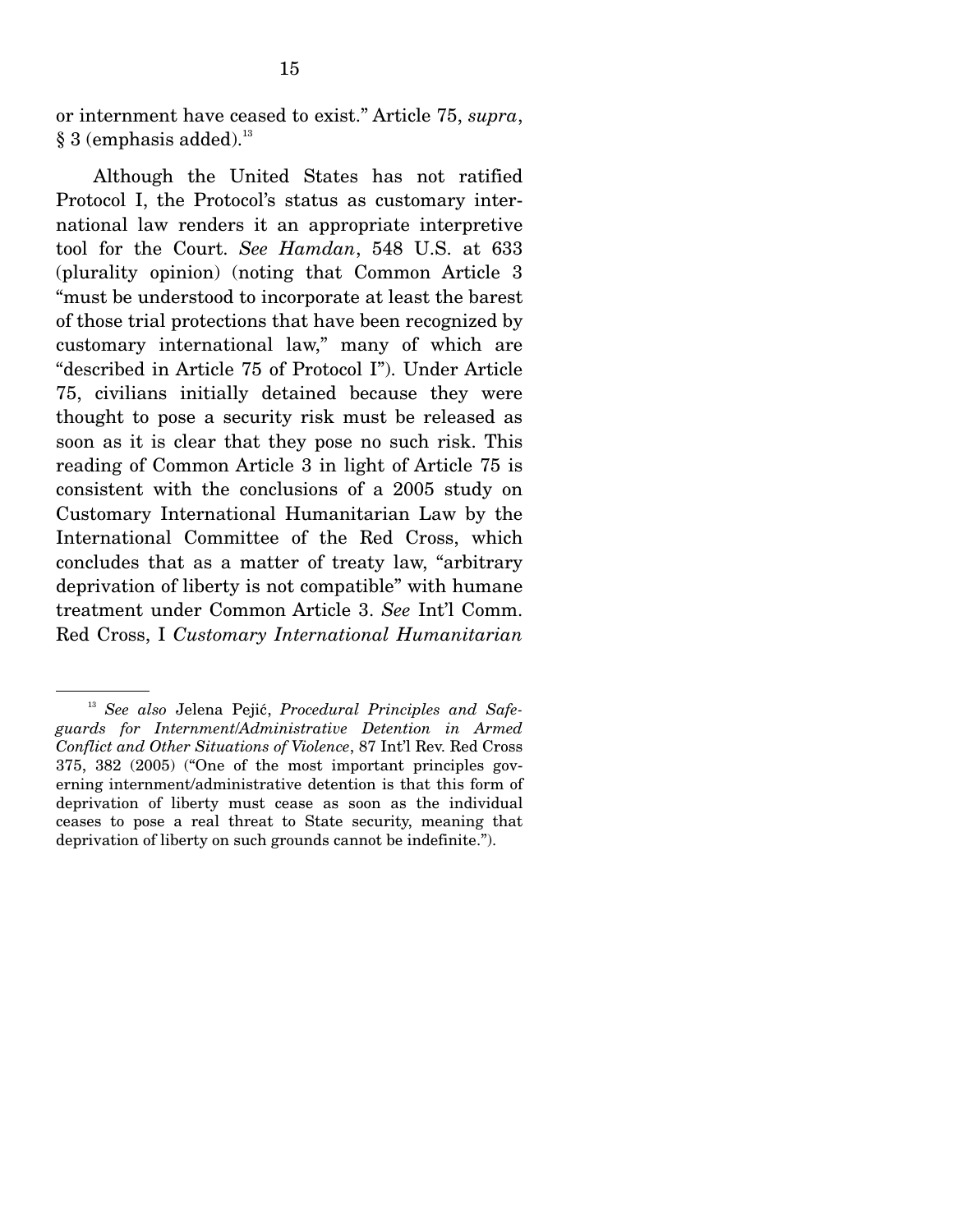or internment have ceased to exist." Article 75, *supra*,  $§ 3$  (emphasis added).<sup>13</sup>

 Although the United States has not ratified Protocol I, the Protocol's status as customary international law renders it an appropriate interpretive tool for the Court. *See Hamdan*, 548 U.S. at 633 (plurality opinion) (noting that Common Article 3 "must be understood to incorporate at least the barest of those trial protections that have been recognized by customary international law," many of which are "described in Article 75 of Protocol I"). Under Article 75, civilians initially detained because they were thought to pose a security risk must be released as soon as it is clear that they pose no such risk. This reading of Common Article 3 in light of Article 75 is consistent with the conclusions of a 2005 study on Customary International Humanitarian Law by the International Committee of the Red Cross, which concludes that as a matter of treaty law, "arbitrary deprivation of liberty is not compatible" with humane treatment under Common Article 3. *See* Int'l Comm. Red Cross, I *Customary International Humanitarian* 

<sup>&</sup>lt;sup>13</sup> See also Jelena Pejić, *Procedural Principles and Safeguards for Internment*/*Administrative Detention in Armed Conflict and Other Situations of Violence*, 87 Int'l Rev. Red Cross 375, 382 (2005) ("One of the most important principles governing internment/administrative detention is that this form of deprivation of liberty must cease as soon as the individual ceases to pose a real threat to State security, meaning that deprivation of liberty on such grounds cannot be indefinite.").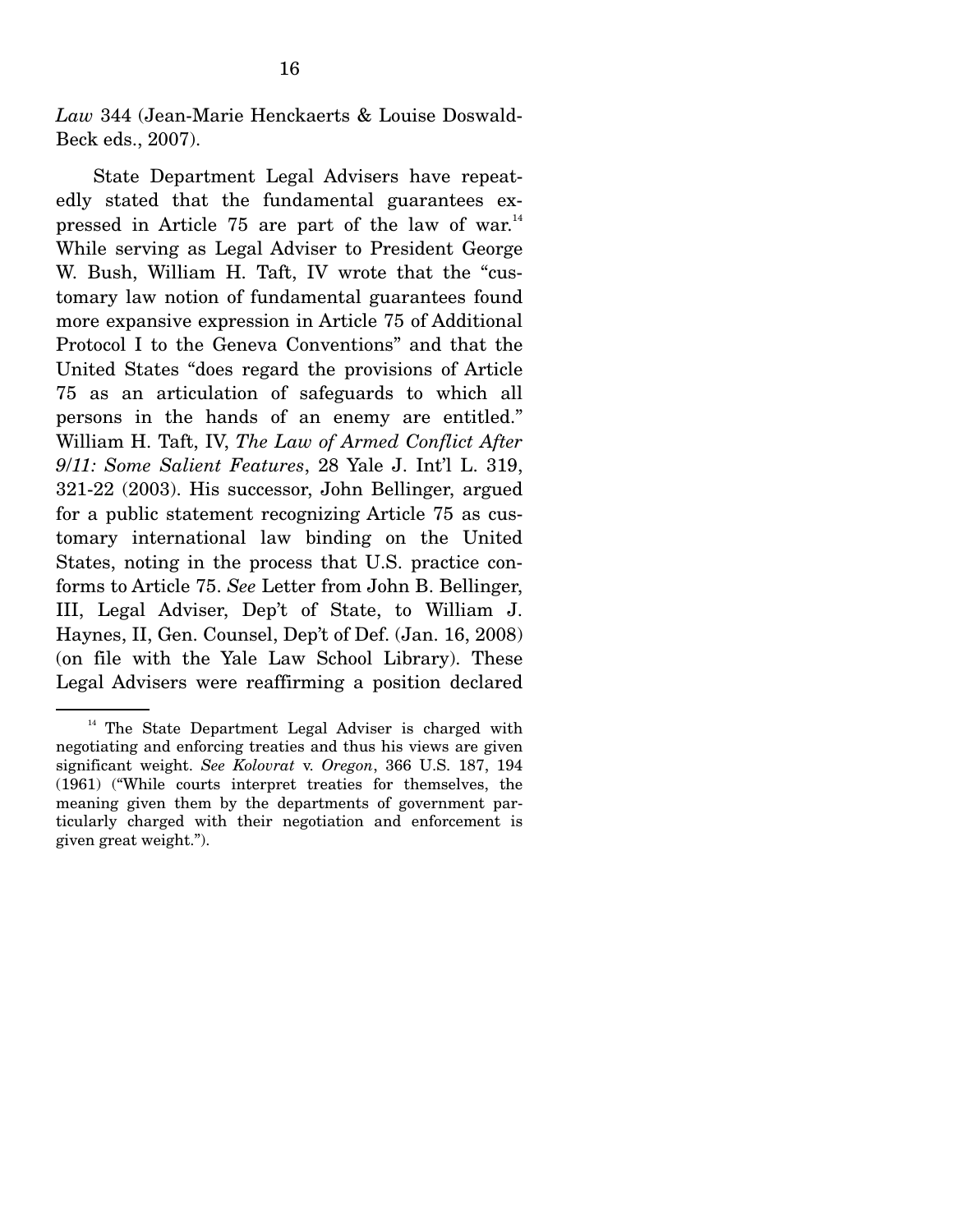*Law* 344 (Jean-Marie Henckaerts & Louise Doswald-Beck eds., 2007).

 State Department Legal Advisers have repeatedly stated that the fundamental guarantees expressed in Article 75 are part of the law of war.<sup>14</sup> While serving as Legal Adviser to President George W. Bush, William H. Taft, IV wrote that the "customary law notion of fundamental guarantees found more expansive expression in Article 75 of Additional Protocol I to the Geneva Conventions" and that the United States "does regard the provisions of Article 75 as an articulation of safeguards to which all persons in the hands of an enemy are entitled." William H. Taft, IV, *The Law of Armed Conflict After 9*/*11: Some Salient Features*, 28 Yale J. Int'l L. 319, 321-22 (2003). His successor, John Bellinger, argued for a public statement recognizing Article 75 as customary international law binding on the United States, noting in the process that U.S. practice conforms to Article 75. *See* Letter from John B. Bellinger, III, Legal Adviser, Dep't of State, to William J. Haynes, II, Gen. Counsel, Dep't of Def. (Jan. 16, 2008) (on file with the Yale Law School Library). These Legal Advisers were reaffirming a position declared

 $14$  The State Department Legal Adviser is charged with negotiating and enforcing treaties and thus his views are given significant weight. *See Kolovrat* v. *Oregon*, 366 U.S. 187, 194 (1961) ("While courts interpret treaties for themselves, the meaning given them by the departments of government particularly charged with their negotiation and enforcement is given great weight.").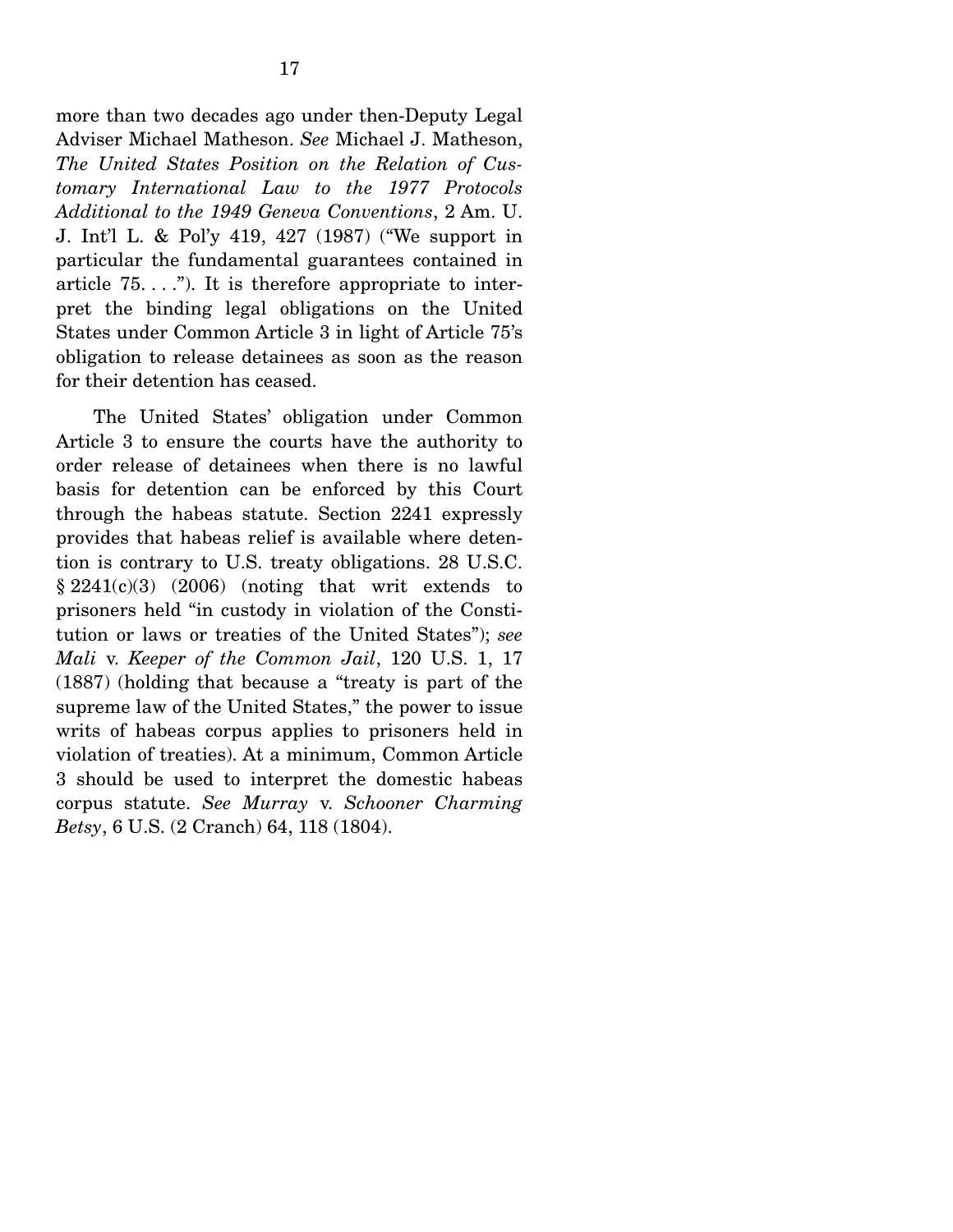more than two decades ago under then-Deputy Legal Adviser Michael Matheson. *See* Michael J. Matheson, *The United States Position on the Relation of Customary International Law to the 1977 Protocols Additional to the 1949 Geneva Conventions*, 2 Am. U. J. Int'l L. & Pol'y 419, 427 (1987) ("We support in particular the fundamental guarantees contained in article  $75. \ldots$ "). It is therefore appropriate to interpret the binding legal obligations on the United States under Common Article 3 in light of Article 75's obligation to release detainees as soon as the reason for their detention has ceased.

 The United States' obligation under Common Article 3 to ensure the courts have the authority to order release of detainees when there is no lawful basis for detention can be enforced by this Court through the habeas statute. Section 2241 expressly provides that habeas relief is available where detention is contrary to U.S. treaty obligations. 28 U.S.C.  $§ 2241(c)(3)$  (2006) (noting that writ extends to prisoners held "in custody in violation of the Constitution or laws or treaties of the United States"); *see Mali* v. *Keeper of the Common Jail*, 120 U.S. 1, 17 (1887) (holding that because a "treaty is part of the supreme law of the United States," the power to issue writs of habeas corpus applies to prisoners held in violation of treaties). At a minimum, Common Article 3 should be used to interpret the domestic habeas corpus statute. *See Murray* v. *Schooner Charming Betsy*, 6 U.S. (2 Cranch) 64, 118 (1804).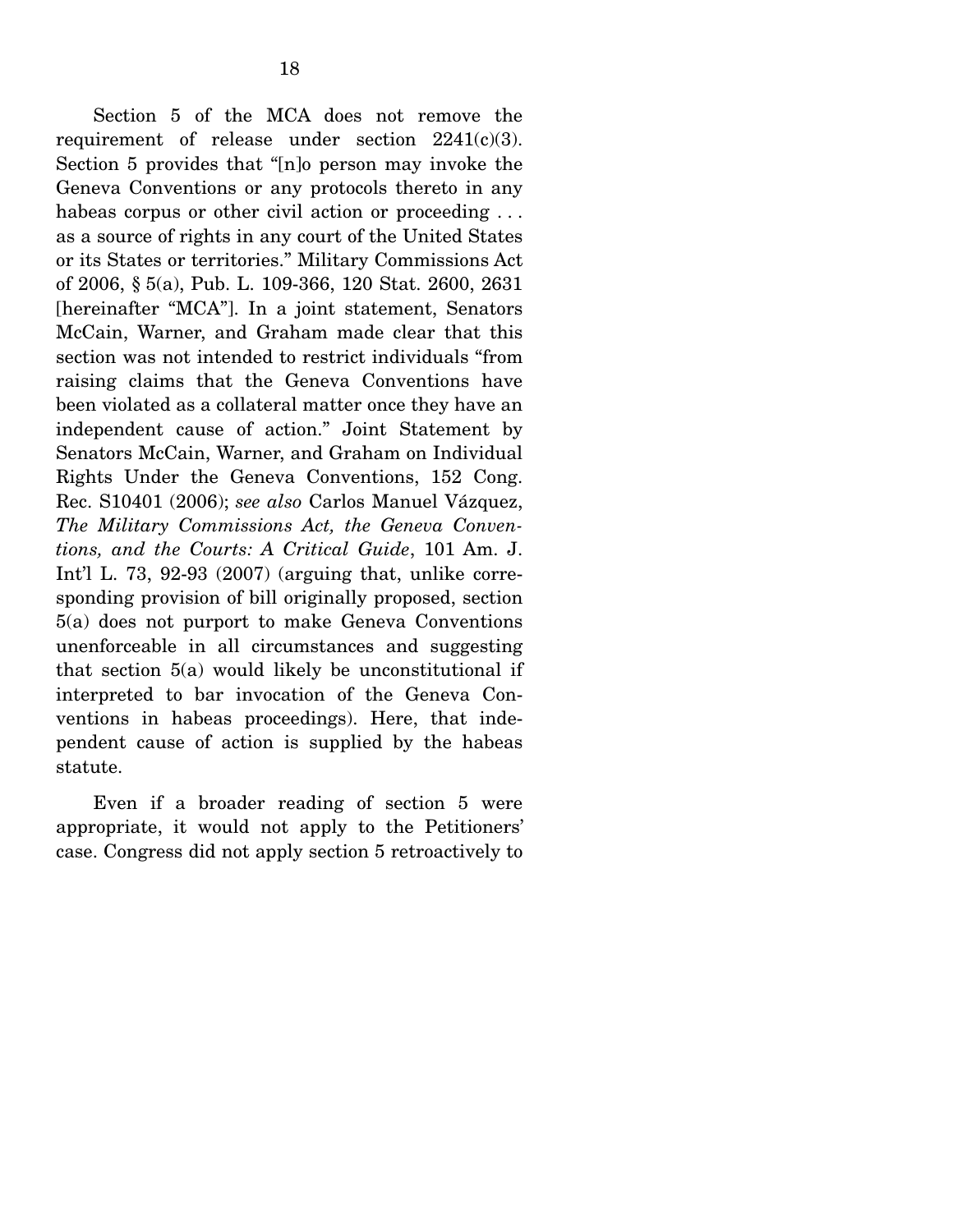Section 5 of the MCA does not remove the requirement of release under section 2241(c)(3). Section 5 provides that "[n]o person may invoke the Geneva Conventions or any protocols thereto in any habeas corpus or other civil action or proceeding ... as a source of rights in any court of the United States or its States or territories." Military Commissions Act of 2006, § 5(a), Pub. L. 109-366, 120 Stat. 2600, 2631 [hereinafter "MCA"]. In a joint statement, Senators McCain, Warner, and Graham made clear that this section was not intended to restrict individuals "from raising claims that the Geneva Conventions have been violated as a collateral matter once they have an independent cause of action." Joint Statement by Senators McCain, Warner, and Graham on Individual Rights Under the Geneva Conventions, 152 Cong. Rec. S10401 (2006); *see also* Carlos Manuel Vázquez, *The Military Commissions Act, the Geneva Conventions, and the Courts: A Critical Guide*, 101 Am. J. Int'l L. 73, 92-93 (2007) (arguing that, unlike corresponding provision of bill originally proposed, section 5(a) does not purport to make Geneva Conventions unenforceable in all circumstances and suggesting that section 5(a) would likely be unconstitutional if interpreted to bar invocation of the Geneva Conventions in habeas proceedings). Here, that independent cause of action is supplied by the habeas statute.

 Even if a broader reading of section 5 were appropriate, it would not apply to the Petitioners' case. Congress did not apply section 5 retroactively to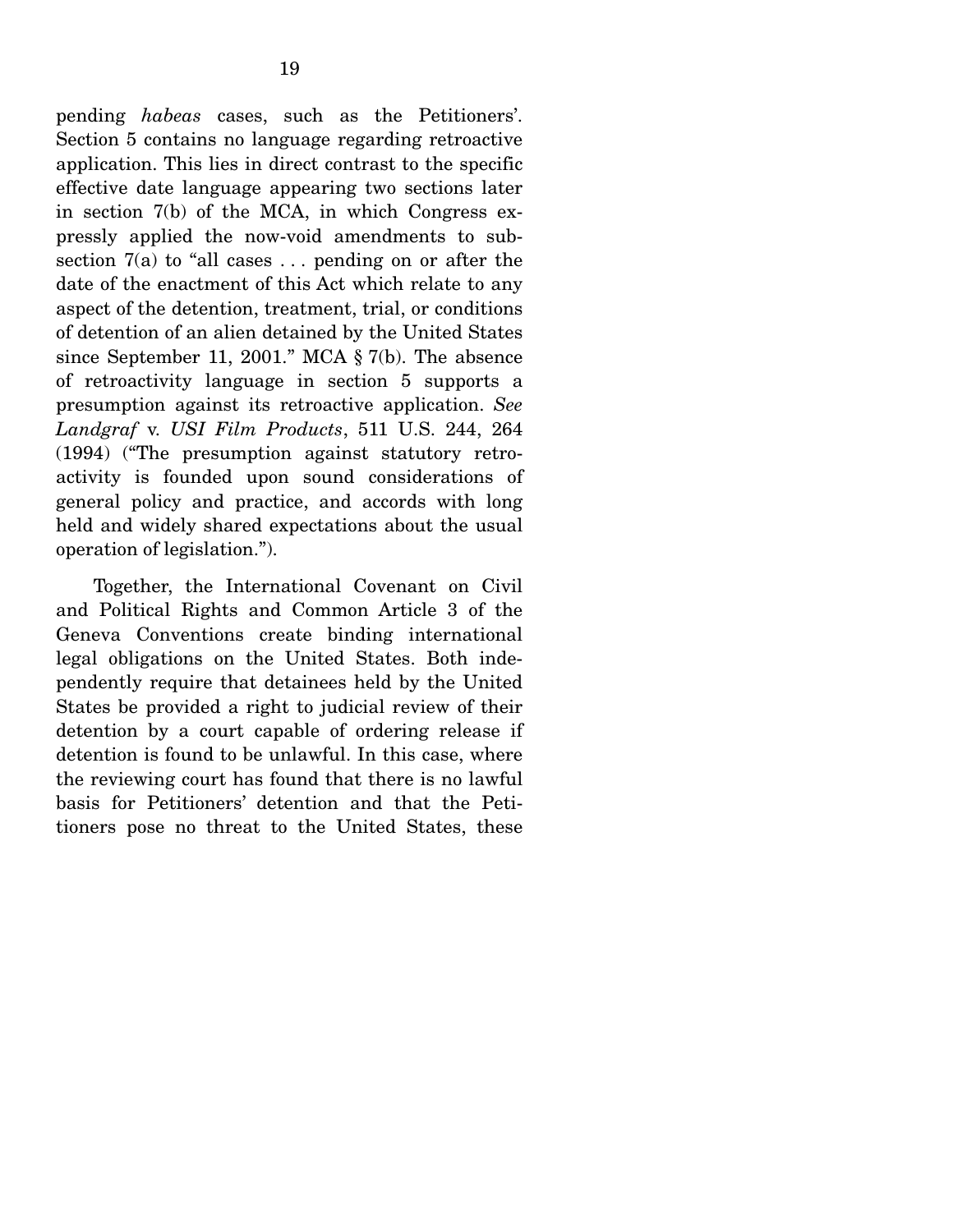pending *habeas* cases, such as the Petitioners'. Section 5 contains no language regarding retroactive application. This lies in direct contrast to the specific effective date language appearing two sections later in section 7(b) of the MCA, in which Congress expressly applied the now-void amendments to subsection  $7(a)$  to "all cases ... pending on or after the date of the enactment of this Act which relate to any aspect of the detention, treatment, trial, or conditions of detention of an alien detained by the United States since September 11, 2001." MCA § 7(b). The absence of retroactivity language in section 5 supports a presumption against its retroactive application. *See Landgraf* v. *USI Film Products*, 511 U.S. 244, 264 (1994) ("The presumption against statutory retroactivity is founded upon sound considerations of general policy and practice, and accords with long held and widely shared expectations about the usual operation of legislation.").

 Together, the International Covenant on Civil and Political Rights and Common Article 3 of the Geneva Conventions create binding international legal obligations on the United States. Both independently require that detainees held by the United States be provided a right to judicial review of their detention by a court capable of ordering release if detention is found to be unlawful. In this case, where the reviewing court has found that there is no lawful basis for Petitioners' detention and that the Petitioners pose no threat to the United States, these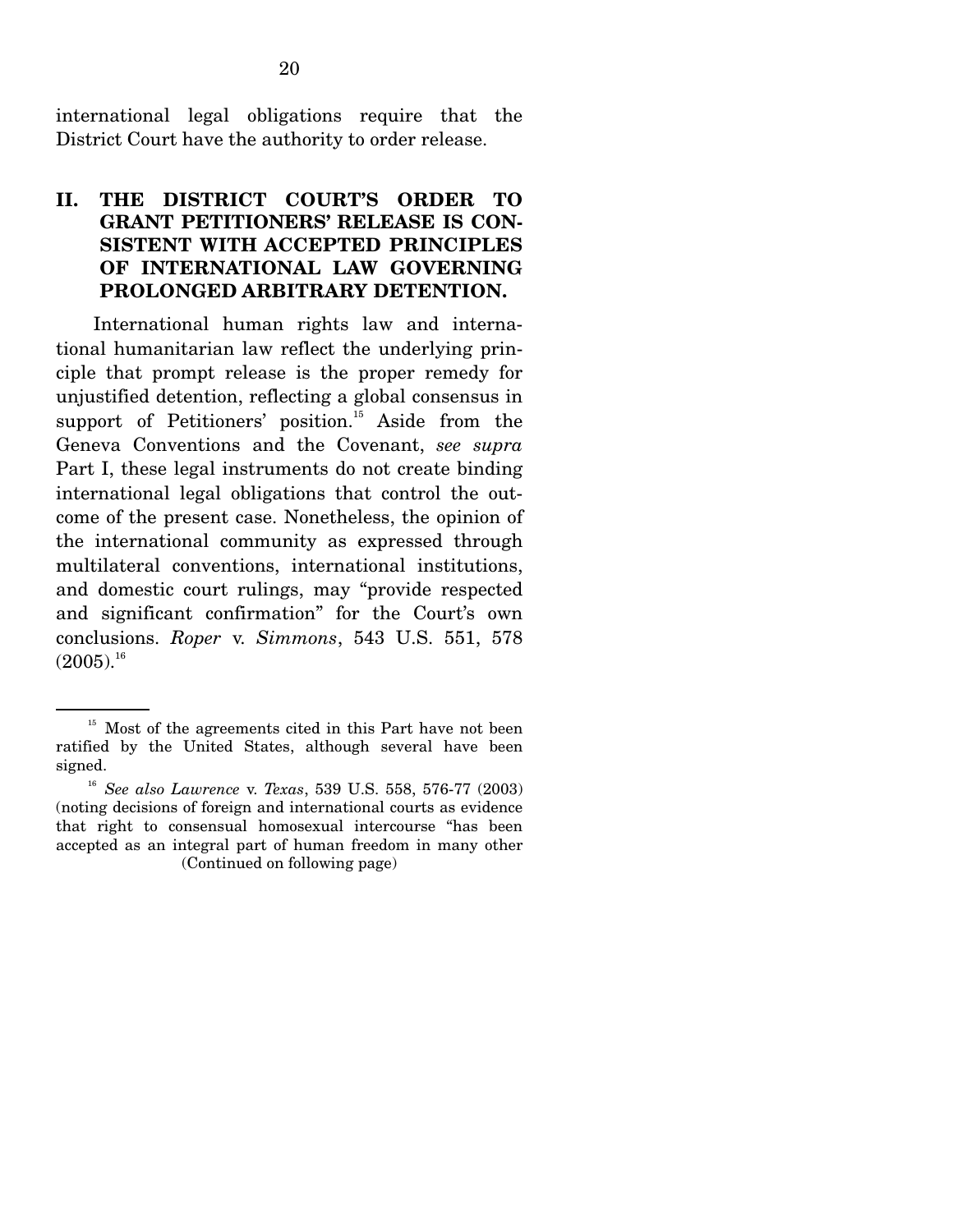international legal obligations require that the District Court have the authority to order release.

### **II. THE DISTRICT COURT'S ORDER TO GRANT PETITIONERS' RELEASE IS CON-SISTENT WITH ACCEPTED PRINCIPLES OF INTERNATIONAL LAW GOVERNING PROLONGED ARBITRARY DETENTION.**

 International human rights law and international humanitarian law reflect the underlying principle that prompt release is the proper remedy for unjustified detention, reflecting a global consensus in support of Petitioners' position.<sup>15</sup> Aside from the Geneva Conventions and the Covenant, *see supra*  Part I, these legal instruments do not create binding international legal obligations that control the outcome of the present case. Nonetheless, the opinion of the international community as expressed through multilateral conventions, international institutions, and domestic court rulings, may "provide respected and significant confirmation" for the Court's own conclusions. *Roper* v. *Simmons*, 543 U.S. 551, 578  $(2005).^{16}$ 

<sup>&</sup>lt;sup>15</sup> Most of the agreements cited in this Part have not been ratified by the United States, although several have been signed.

<sup>16</sup> *See also Lawrence* v. *Texas*, 539 U.S. 558, 576-77 (2003) (noting decisions of foreign and international courts as evidence that right to consensual homosexual intercourse "has been accepted as an integral part of human freedom in many other (Continued on following page)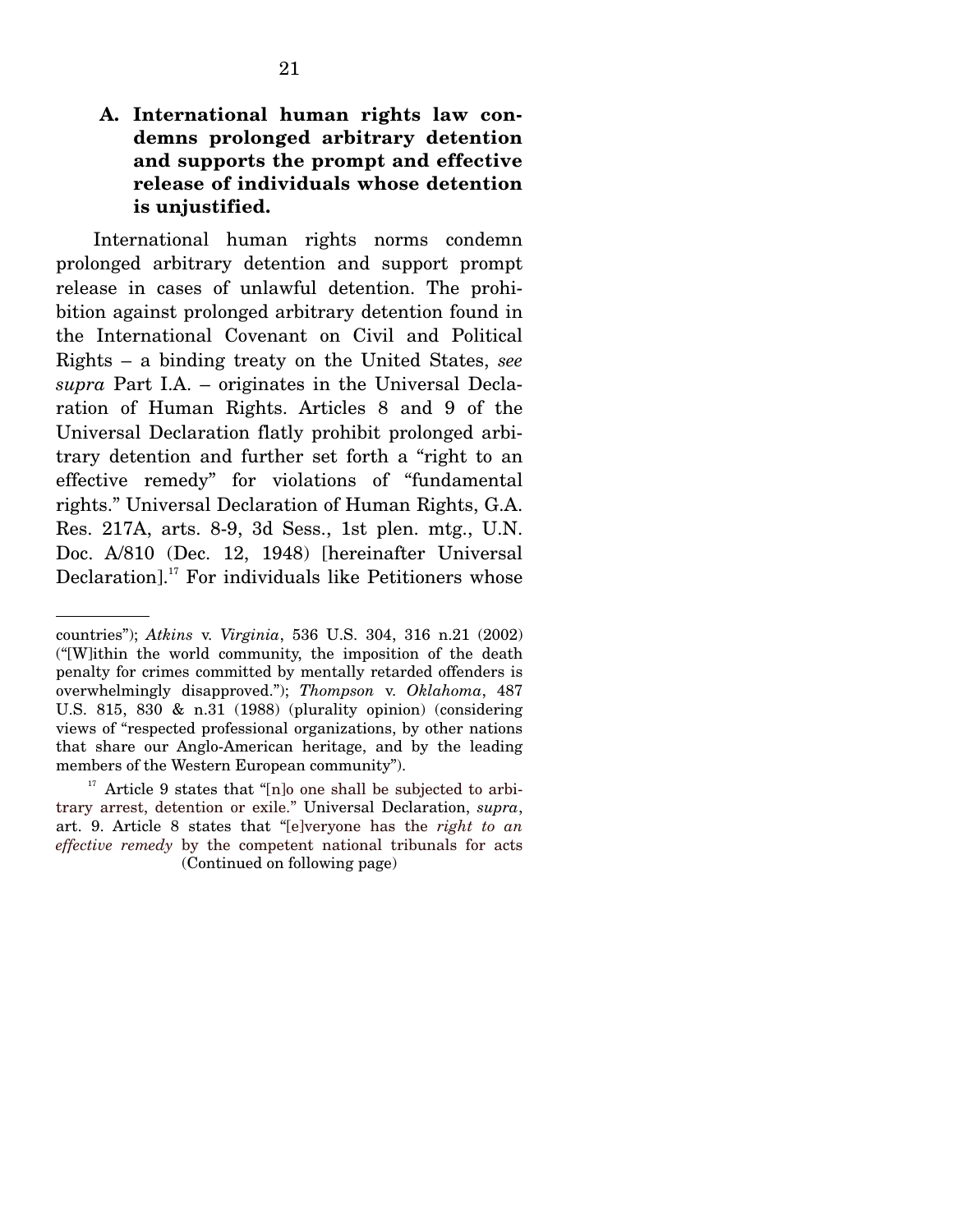### **A. International human rights law condemns prolonged arbitrary detention and supports the prompt and effective release of individuals whose detention is unjustified.**

 International human rights norms condemn prolonged arbitrary detention and support prompt release in cases of unlawful detention. The prohibition against prolonged arbitrary detention found in the International Covenant on Civil and Political Rights – a binding treaty on the United States, *see supra* Part I.A. – originates in the Universal Declaration of Human Rights. Articles 8 and 9 of the Universal Declaration flatly prohibit prolonged arbitrary detention and further set forth a "right to an effective remedy" for violations of "fundamental rights." Universal Declaration of Human Rights, G.A. Res. 217A, arts. 8-9, 3d Sess., 1st plen. mtg., U.N. Doc. A/810 (Dec. 12, 1948) [hereinafter Universal Declaration].<sup>17</sup> For individuals like Petitioners whose

countries"); *Atkins* v. *Virginia*, 536 U.S. 304, 316 n.21 (2002) ("[W]ithin the world community, the imposition of the death penalty for crimes committed by mentally retarded offenders is overwhelmingly disapproved."); *Thompson* v. *Oklahoma*, 487 U.S. 815, 830 & n.31 (1988) (plurality opinion) (considering views of "respected professional organizations, by other nations that share our Anglo-American heritage, and by the leading members of the Western European community").

 $17$  Article 9 states that "[n]o one shall be subjected to arbitrary arrest, detention or exile." Universal Declaration, *supra*, art. 9. Article 8 states that "[e]veryone has the *right to an effective remedy* by the competent national tribunals for acts (Continued on following page)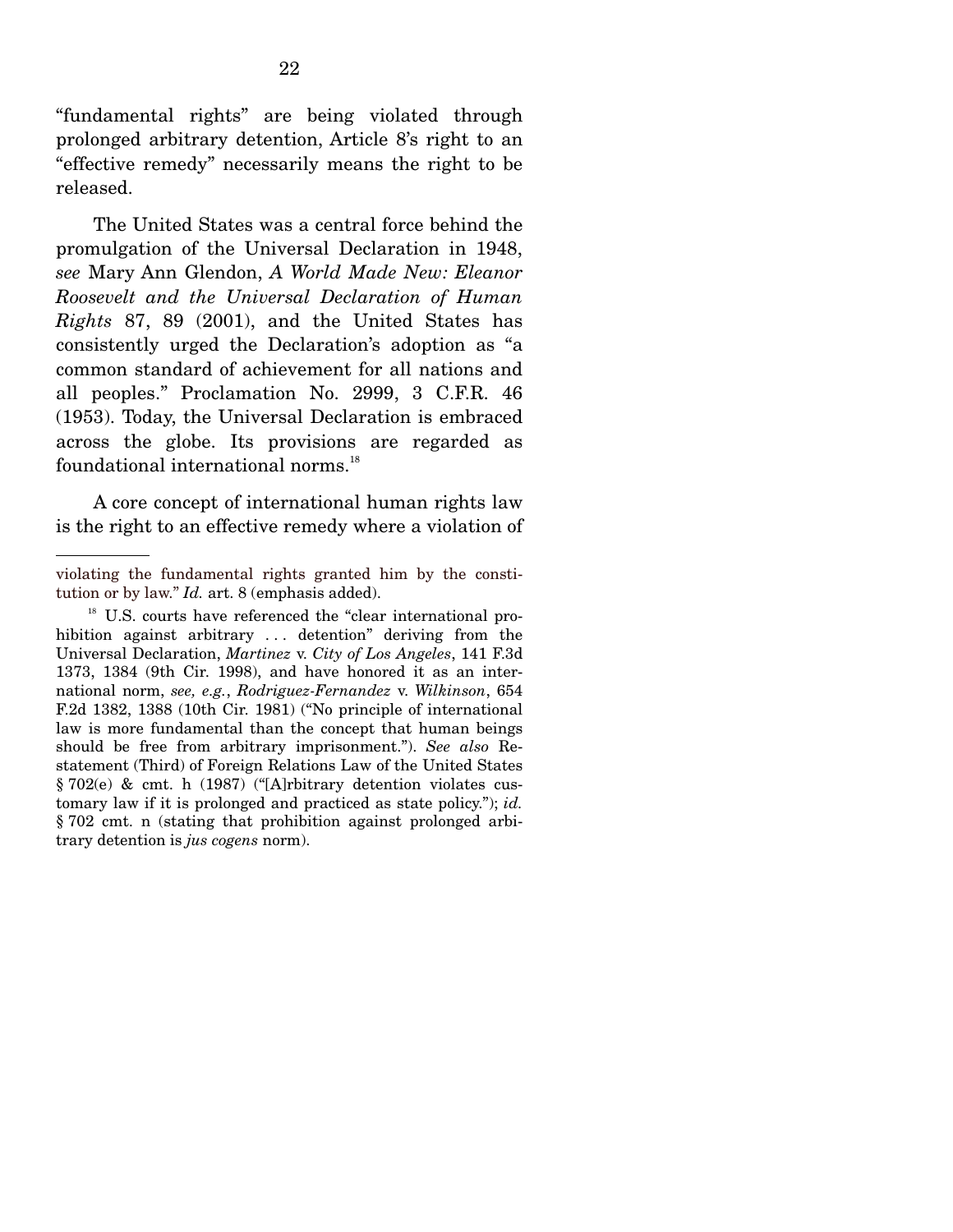"fundamental rights" are being violated through prolonged arbitrary detention, Article 8's right to an "effective remedy" necessarily means the right to be released.

 The United States was a central force behind the promulgation of the Universal Declaration in 1948, *see* Mary Ann Glendon, *A World Made New: Eleanor Roosevelt and the Universal Declaration of Human Rights* 87, 89 (2001), and the United States has consistently urged the Declaration's adoption as "a common standard of achievement for all nations and all peoples." Proclamation No. 2999, 3 C.F.R. 46 (1953). Today, the Universal Declaration is embraced across the globe. Its provisions are regarded as foundational international norms.<sup>18</sup>

 A core concept of international human rights law is the right to an effective remedy where a violation of

violating the fundamental rights granted him by the constitution or by law." *Id.* art. 8 (emphasis added).

<sup>&</sup>lt;sup>18</sup> U.S. courts have referenced the "clear international prohibition against arbitrary ... detention" deriving from the Universal Declaration, *Martinez* v. *City of Los Angeles*, 141 F.3d 1373, 1384 (9th Cir. 1998), and have honored it as an international norm, *see, e.g.*, *Rodriguez-Fernandez* v. *Wilkinson*, 654 F.2d 1382, 1388 (10th Cir. 1981) ("No principle of international law is more fundamental than the concept that human beings should be free from arbitrary imprisonment."). *See also* Restatement (Third) of Foreign Relations Law of the United States § 702(e) & cmt. h (1987) ("[A]rbitrary detention violates customary law if it is prolonged and practiced as state policy."); *id.* § 702 cmt. n (stating that prohibition against prolonged arbitrary detention is *jus cogens* norm).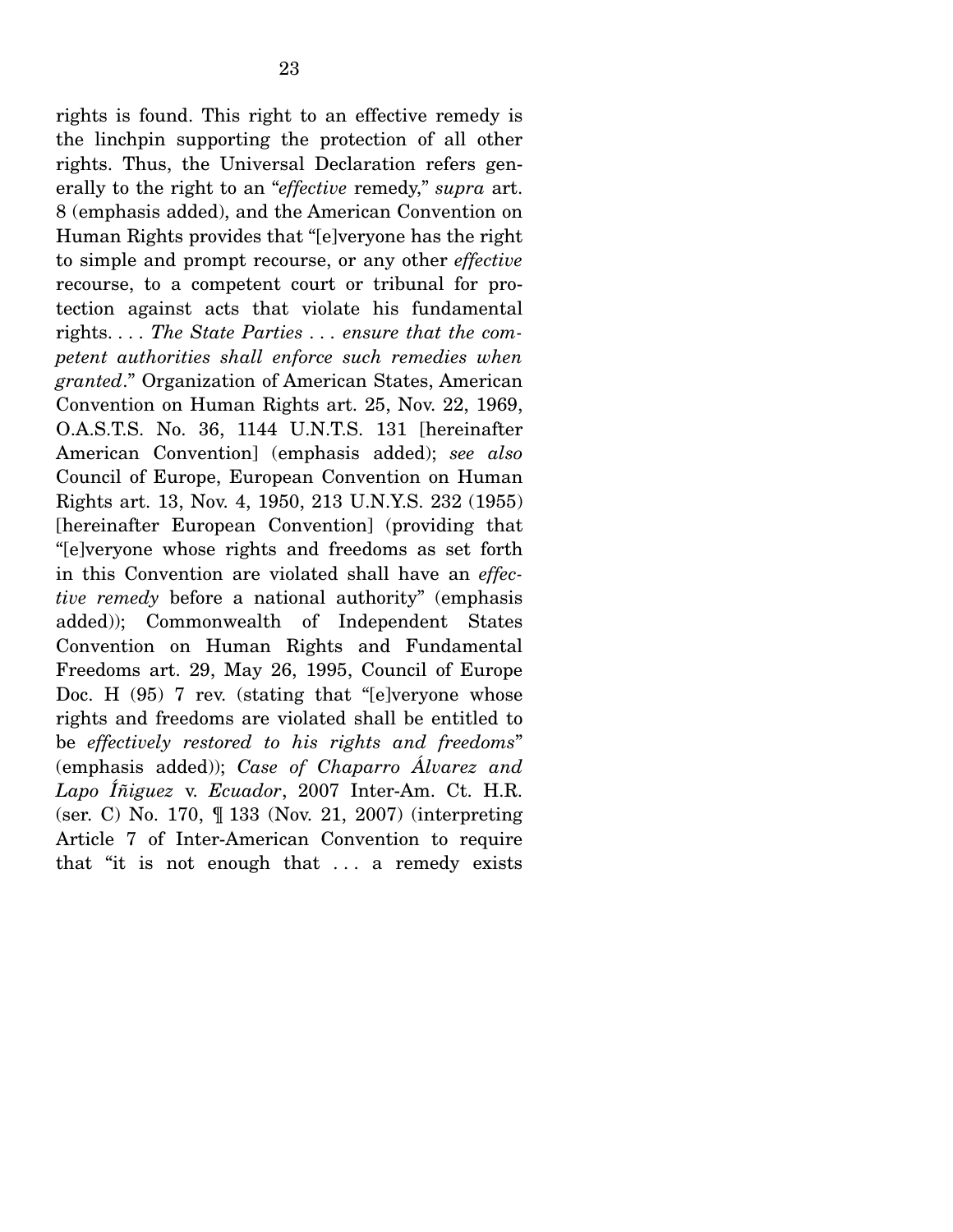rights is found. This right to an effective remedy is the linchpin supporting the protection of all other rights. Thus, the Universal Declaration refers generally to the right to an "*effective* remedy," *supra* art. 8 (emphasis added), and the American Convention on Human Rights provides that "[e]veryone has the right to simple and prompt recourse, or any other *effective* recourse, to a competent court or tribunal for protection against acts that violate his fundamental rights. . . . *The State Parties . . . ensure that the competent authorities shall enforce such remedies when granted*." Organization of American States, American Convention on Human Rights art. 25, Nov. 22, 1969, O.A.S.T.S. No. 36, 1144 U.N.T.S. 131 [hereinafter American Convention] (emphasis added); *see also* Council of Europe, European Convention on Human Rights art. 13, Nov. 4, 1950, 213 U.N.Y.S. 232 (1955) [hereinafter European Convention] (providing that "[e]veryone whose rights and freedoms as set forth in this Convention are violated shall have an *effective remedy* before a national authority" (emphasis added)); Commonwealth of Independent States Convention on Human Rights and Fundamental Freedoms art. 29, May 26, 1995, Council of Europe Doc. H (95) 7 rev. (stating that "[e]veryone whose rights and freedoms are violated shall be entitled to be *effectively restored to his rights and freedoms*" (emphasis added)); *Case of Chaparro Álvarez and Lapo Íñiguez* v. *Ecuador*, 2007 Inter-Am. Ct. H.R. (ser. C) No. 170, ¶ 133 (Nov. 21, 2007) (interpreting Article 7 of Inter-American Convention to require that "it is not enough that ... a remedy exists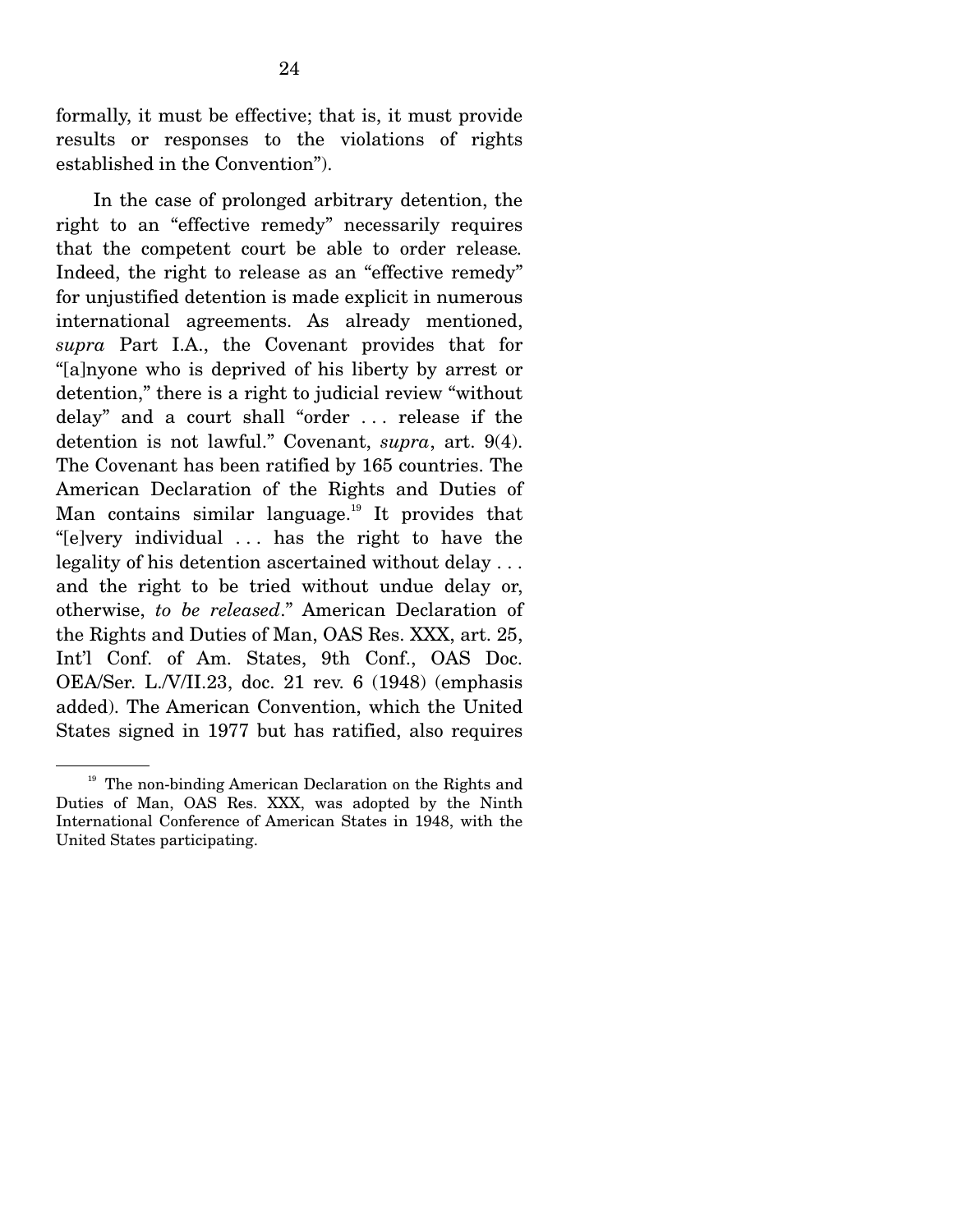formally, it must be effective; that is, it must provide results or responses to the violations of rights established in the Convention").

 In the case of prolonged arbitrary detention, the right to an "effective remedy" necessarily requires that the competent court be able to order release*.*  Indeed, the right to release as an "effective remedy" for unjustified detention is made explicit in numerous international agreements. As already mentioned, *supra* Part I.A., the Covenant provides that for "[a]nyone who is deprived of his liberty by arrest or detention," there is a right to judicial review "without delay" and a court shall "order . . . release if the detention is not lawful." Covenant, *supra*, art. 9(4). The Covenant has been ratified by 165 countries. The American Declaration of the Rights and Duties of Man contains similar language.<sup>19</sup> It provides that "[e]very individual . . . has the right to have the legality of his detention ascertained without delay . . . and the right to be tried without undue delay or, otherwise, *to be released*." American Declaration of the Rights and Duties of Man, OAS Res. XXX, art. 25, Int'l Conf. of Am. States, 9th Conf., OAS Doc. OEA/Ser. L./V/II.23, doc. 21 rev. 6 (1948) (emphasis added). The American Convention, which the United States signed in 1977 but has ratified, also requires

<sup>&</sup>lt;sup>19</sup> The non-binding American Declaration on the Rights and Duties of Man, OAS Res. XXX, was adopted by the Ninth International Conference of American States in 1948, with the United States participating.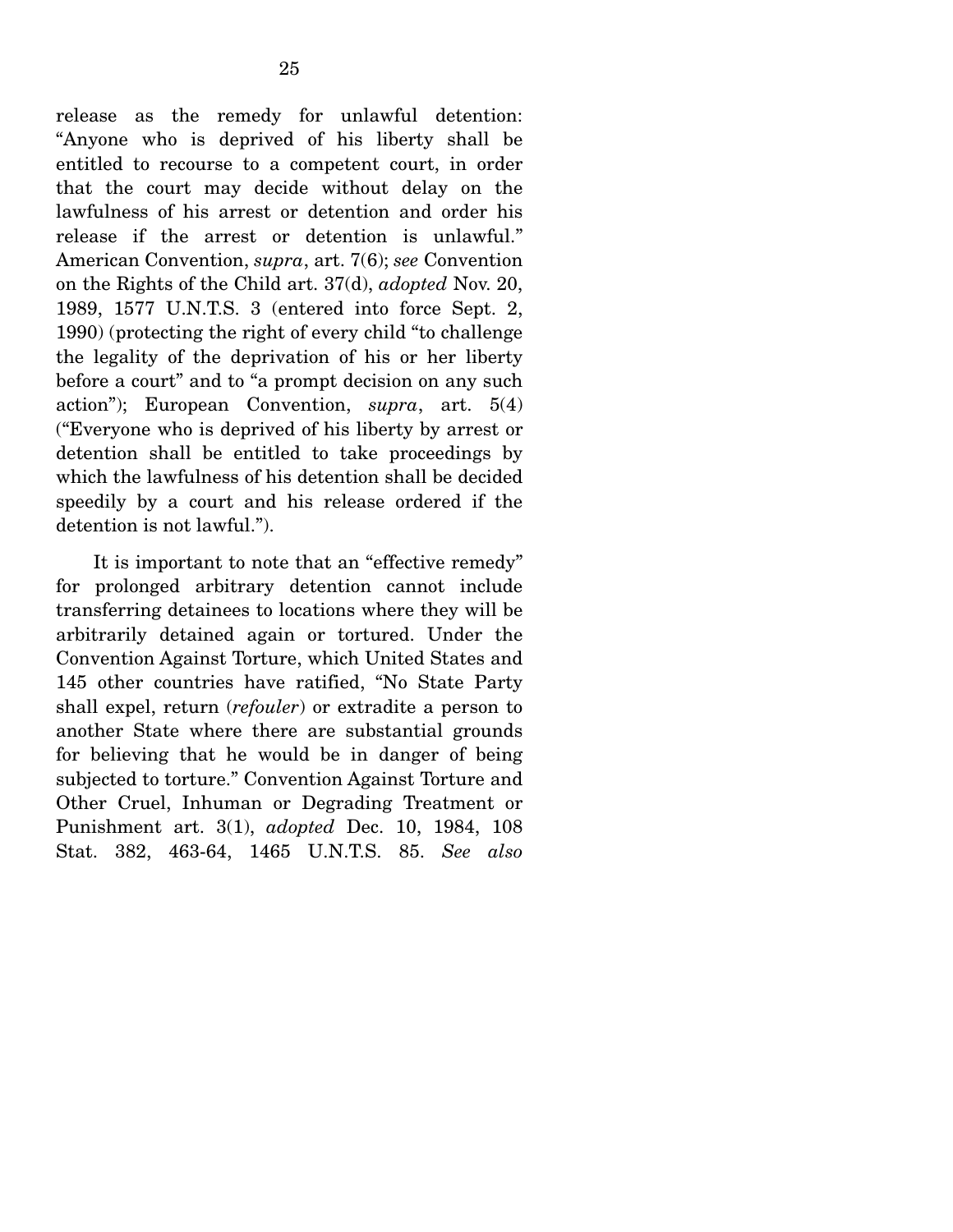release as the remedy for unlawful detention: "Anyone who is deprived of his liberty shall be entitled to recourse to a competent court, in order that the court may decide without delay on the lawfulness of his arrest or detention and order his release if the arrest or detention is unlawful." American Convention, *supra*, art. 7(6); *see* Convention on the Rights of the Child art. 37(d), *adopted* Nov. 20, 1989, 1577 U.N.T.S. 3 (entered into force Sept. 2, 1990) (protecting the right of every child "to challenge the legality of the deprivation of his or her liberty before a court" and to "a prompt decision on any such action"); European Convention, *supra*, art. 5(4) ("Everyone who is deprived of his liberty by arrest or detention shall be entitled to take proceedings by which the lawfulness of his detention shall be decided speedily by a court and his release ordered if the detention is not lawful.").

 It is important to note that an "effective remedy" for prolonged arbitrary detention cannot include transferring detainees to locations where they will be arbitrarily detained again or tortured. Under the Convention Against Torture, which United States and 145 other countries have ratified, "No State Party shall expel, return (*refouler*) or extradite a person to another State where there are substantial grounds for believing that he would be in danger of being subjected to torture." Convention Against Torture and Other Cruel, Inhuman or Degrading Treatment or Punishment art. 3(1), *adopted* Dec. 10, 1984, 108 Stat. 382, 463-64, 1465 U.N.T.S. 85. *See also*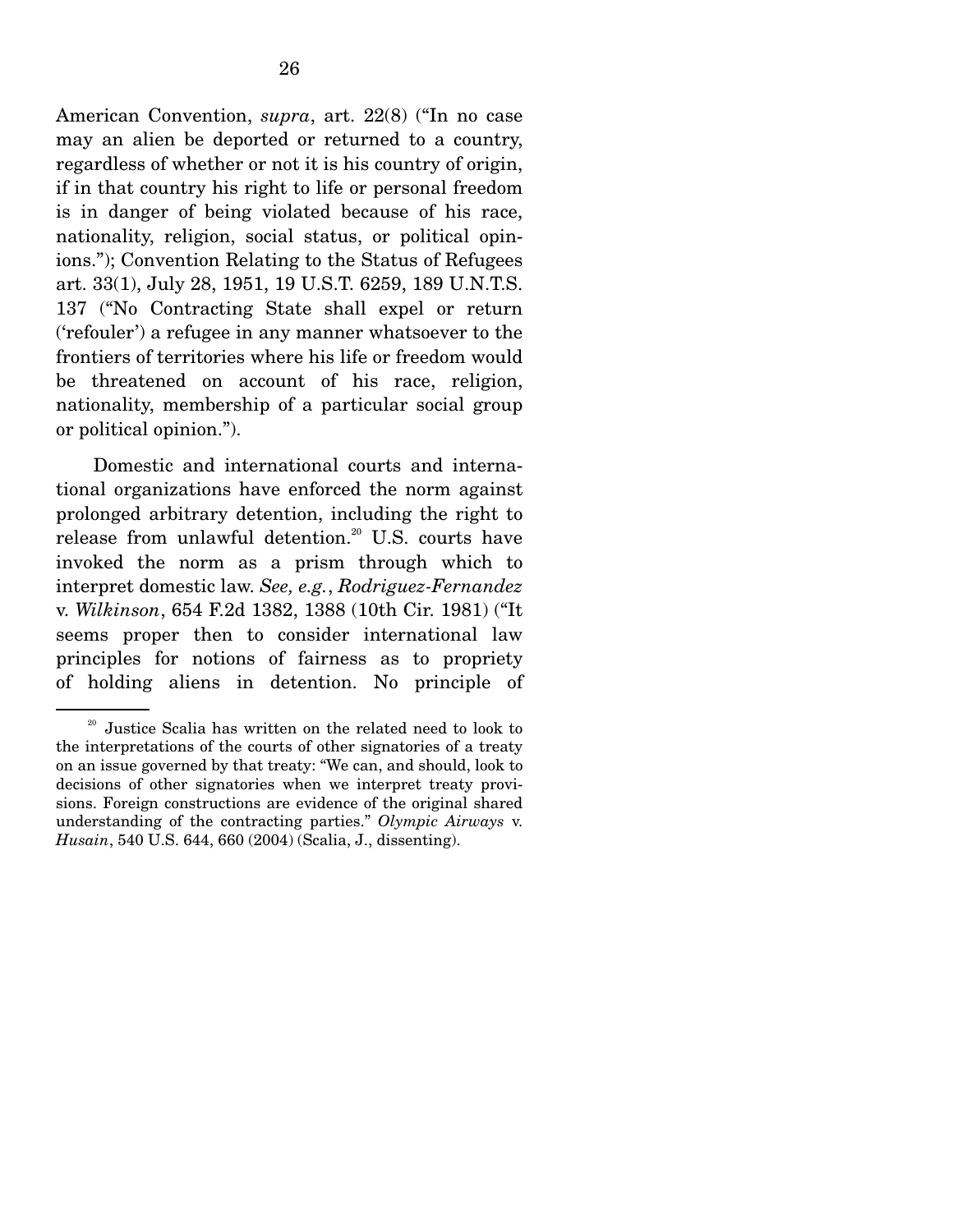American Convention, *supra*, art. 22(8) ("In no case may an alien be deported or returned to a country, regardless of whether or not it is his country of origin, if in that country his right to life or personal freedom is in danger of being violated because of his race, nationality, religion, social status, or political opinions."); Convention Relating to the Status of Refugees art. 33(1), July 28, 1951, 19 U.S.T. 6259, 189 U.N.T.S. 137 ("No Contracting State shall expel or return ('refouler') a refugee in any manner whatsoever to the frontiers of territories where his life or freedom would be threatened on account of his race, religion, nationality, membership of a particular social group or political opinion.").

 Domestic and international courts and international organizations have enforced the norm against prolonged arbitrary detention, including the right to release from unlawful detention.<sup>20</sup> U.S. courts have invoked the norm as a prism through which to interpret domestic law. *See, e.g.*, *Rodriguez-Fernandez* v. *Wilkinson*, 654 F.2d 1382, 1388 (10th Cir. 1981) ("It seems proper then to consider international law principles for notions of fairness as to propriety of holding aliens in detention. No principle of

<sup>&</sup>lt;sup>20</sup> Justice Scalia has written on the related need to look to the interpretations of the courts of other signatories of a treaty on an issue governed by that treaty: "We can, and should, look to decisions of other signatories when we interpret treaty provisions. Foreign constructions are evidence of the original shared understanding of the contracting parties." *Olympic Airways* v. *Husain*, 540 U.S. 644, 660 (2004) (Scalia, J., dissenting).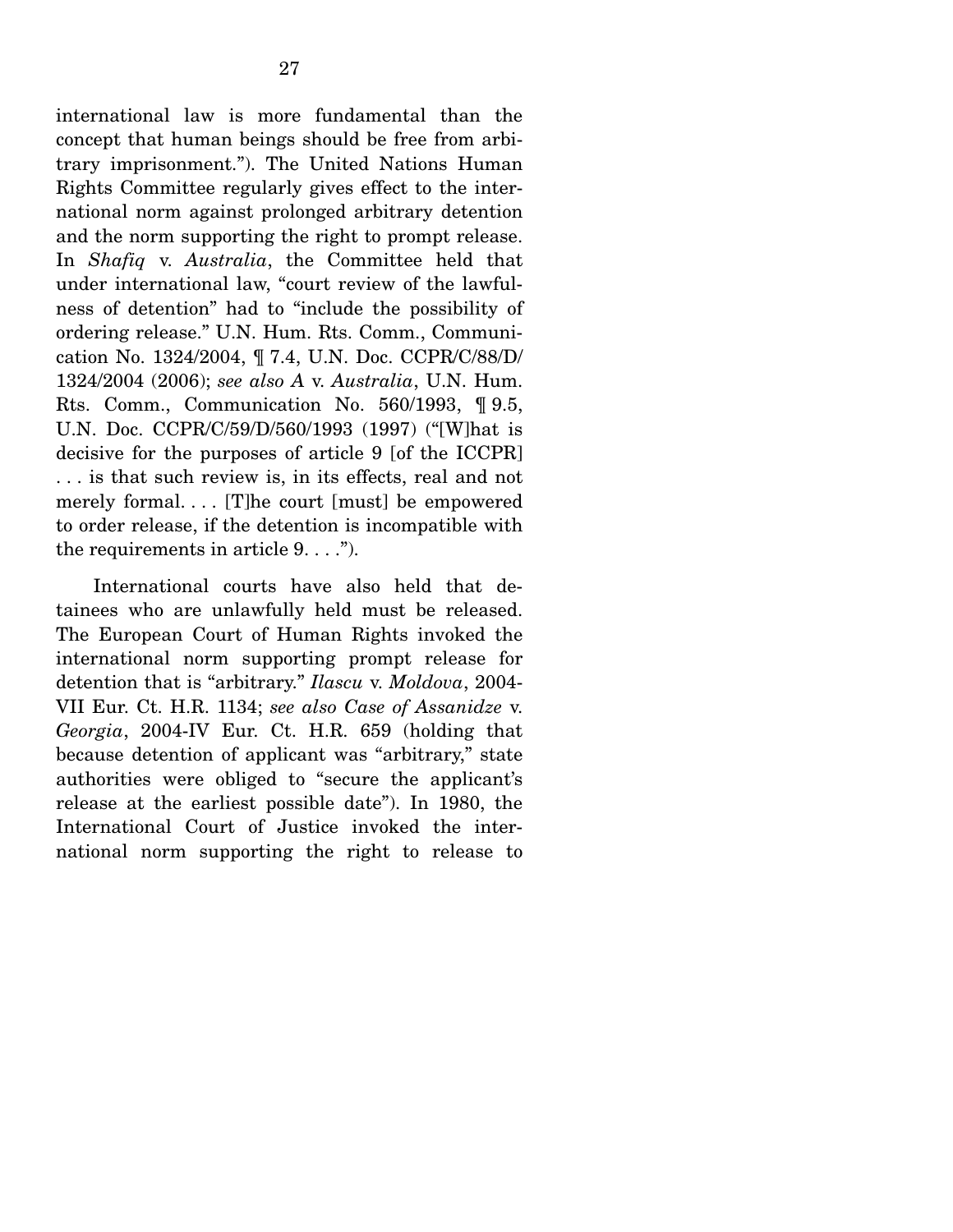international law is more fundamental than the concept that human beings should be free from arbitrary imprisonment."). The United Nations Human Rights Committee regularly gives effect to the international norm against prolonged arbitrary detention and the norm supporting the right to prompt release. In *Shafiq* v. *Australia*, the Committee held that under international law, "court review of the lawfulness of detention" had to "include the possibility of ordering release." U.N. Hum. Rts. Comm., Communication No. 1324/2004, ¶ 7.4, U.N. Doc. CCPR/C/88/D/ 1324/2004 (2006); *see also A* v. *Australia*, U.N. Hum. Rts. Comm., Communication No. 560/1993, ¶ 9.5, U.N. Doc. CCPR/C/59/D/560/1993 (1997) ("[W]hat is decisive for the purposes of article 9 [of the ICCPR] . . . is that such review is, in its effects, real and not merely formal. . . . [T]he court [must] be empowered to order release, if the detention is incompatible with the requirements in article  $9. \ldots$ ").

 International courts have also held that detainees who are unlawfully held must be released. The European Court of Human Rights invoked the international norm supporting prompt release for detention that is "arbitrary." *Ilascu* v. *Moldova*, 2004- VII Eur. Ct. H.R. 1134; *see also Case of Assanidze* v. *Georgia*, 2004-IV Eur. Ct. H.R. 659 (holding that because detention of applicant was "arbitrary," state authorities were obliged to "secure the applicant's release at the earliest possible date"). In 1980, the International Court of Justice invoked the international norm supporting the right to release to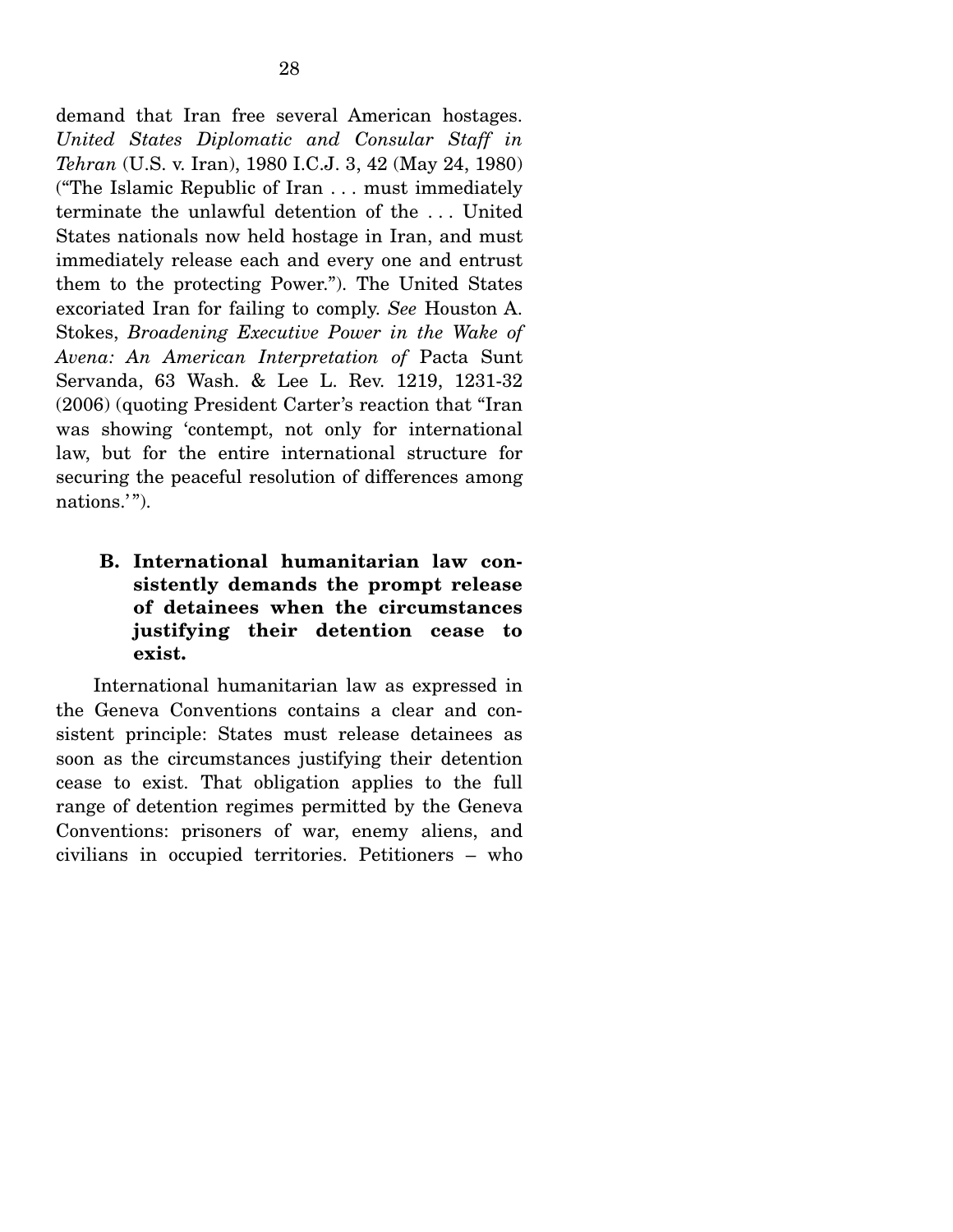demand that Iran free several American hostages. *United States Diplomatic and Consular Staff in Tehran* (U.S. v. Iran), 1980 I.C.J. 3, 42 (May 24, 1980) ("The Islamic Republic of Iran . . . must immediately terminate the unlawful detention of the . . . United States nationals now held hostage in Iran, and must immediately release each and every one and entrust them to the protecting Power."). The United States excoriated Iran for failing to comply. *See* Houston A. Stokes, *Broadening Executive Power in the Wake of Avena: An American Interpretation of* Pacta Sunt Servanda, 63 Wash. & Lee L. Rev. 1219, 1231-32 (2006) (quoting President Carter's reaction that "Iran was showing 'contempt, not only for international law, but for the entire international structure for securing the peaceful resolution of differences among nations.").

### **B. International humanitarian law consistently demands the prompt release of detainees when the circumstances justifying their detention cease to exist.**

 International humanitarian law as expressed in the Geneva Conventions contains a clear and consistent principle: States must release detainees as soon as the circumstances justifying their detention cease to exist. That obligation applies to the full range of detention regimes permitted by the Geneva Conventions: prisoners of war, enemy aliens, and civilians in occupied territories. Petitioners – who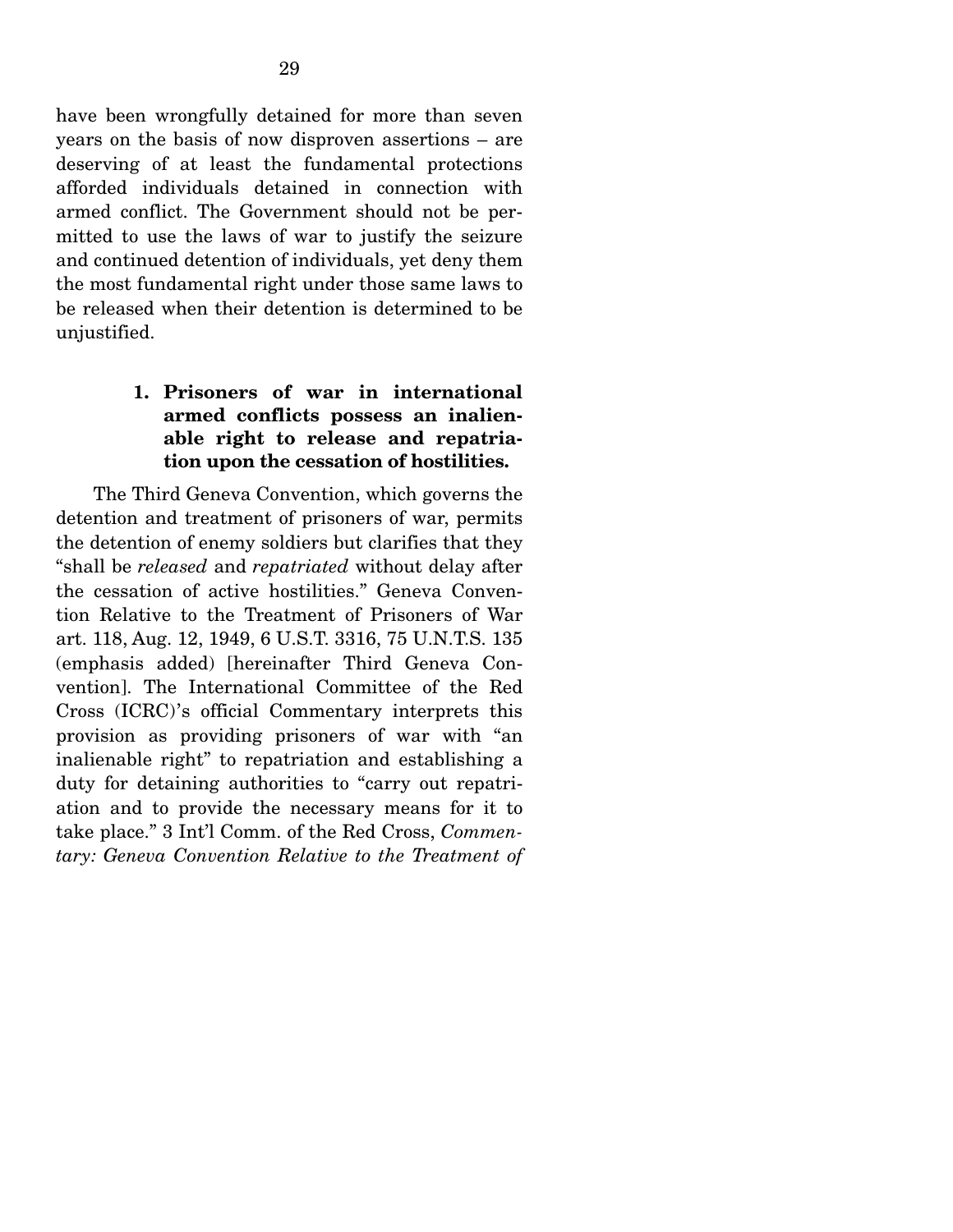have been wrongfully detained for more than seven years on the basis of now disproven assertions – are deserving of at least the fundamental protections afforded individuals detained in connection with armed conflict. The Government should not be permitted to use the laws of war to justify the seizure and continued detention of individuals, yet deny them the most fundamental right under those same laws to be released when their detention is determined to be unjustified.

> **1. Prisoners of war in international armed conflicts possess an inalienable right to release and repatriation upon the cessation of hostilities.**

 The Third Geneva Convention, which governs the detention and treatment of prisoners of war, permits the detention of enemy soldiers but clarifies that they "shall be *released* and *repatriated* without delay after the cessation of active hostilities." Geneva Convention Relative to the Treatment of Prisoners of War art. 118, Aug. 12, 1949, 6 U.S.T. 3316, 75 U.N.T.S. 135 (emphasis added) [hereinafter Third Geneva Convention]. The International Committee of the Red Cross (ICRC)'s official Commentary interprets this provision as providing prisoners of war with "an inalienable right" to repatriation and establishing a duty for detaining authorities to "carry out repatriation and to provide the necessary means for it to take place." 3 Int'l Comm. of the Red Cross, *Commentary: Geneva Convention Relative to the Treatment of*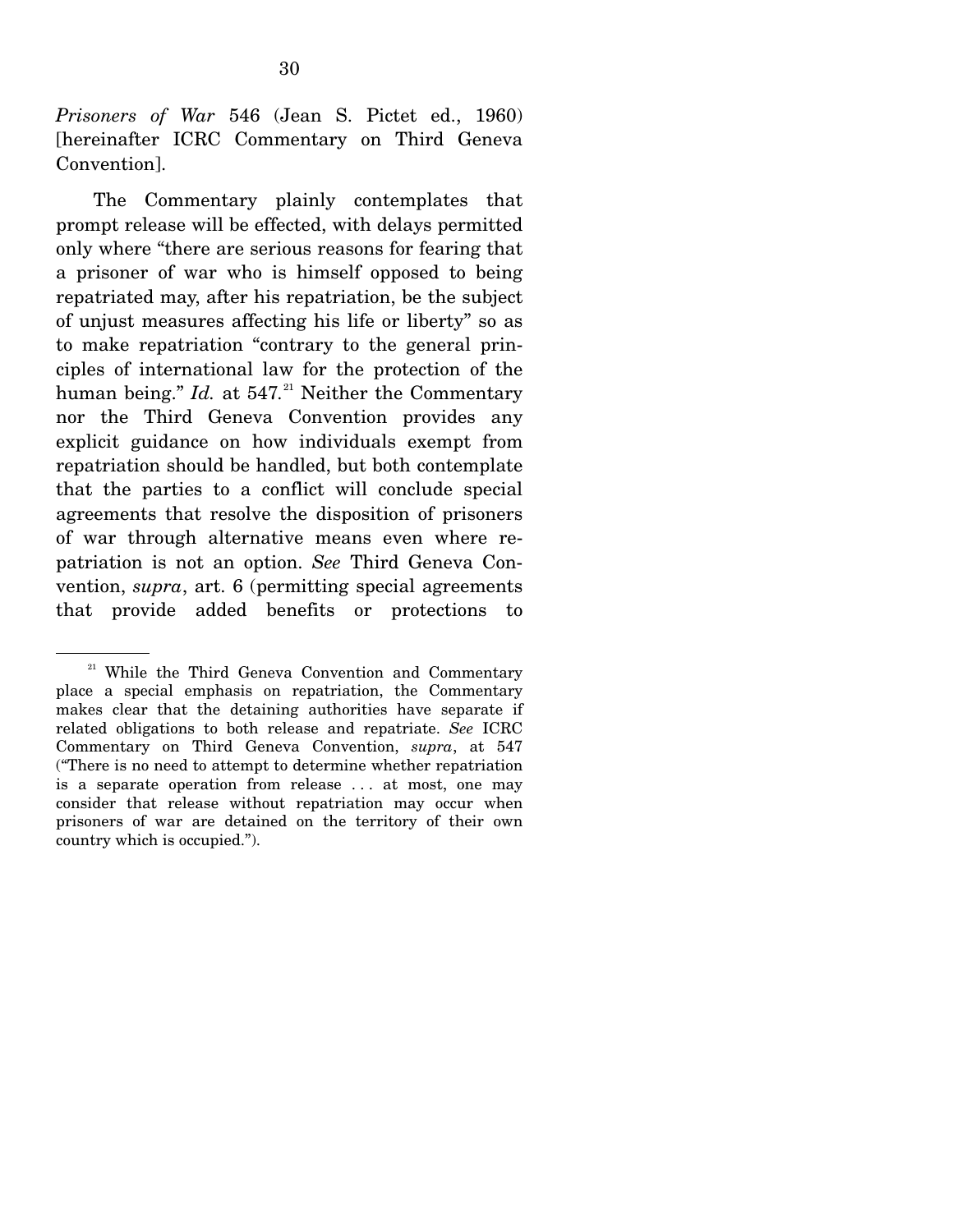*Prisoners of War* 546 (Jean S. Pictet ed., 1960) [hereinafter ICRC Commentary on Third Geneva Convention].

 The Commentary plainly contemplates that prompt release will be effected, with delays permitted only where "there are serious reasons for fearing that a prisoner of war who is himself opposed to being repatriated may, after his repatriation, be the subject of unjust measures affecting his life or liberty" so as to make repatriation "contrary to the general principles of international law for the protection of the human being." *Id.* at 547*.* <sup>21</sup> Neither the Commentary nor the Third Geneva Convention provides any explicit guidance on how individuals exempt from repatriation should be handled, but both contemplate that the parties to a conflict will conclude special agreements that resolve the disposition of prisoners of war through alternative means even where repatriation is not an option. *See* Third Geneva Convention, *supra*, art. 6 (permitting special agreements that provide added benefits or protections to

<sup>&</sup>lt;sup>21</sup> While the Third Geneva Convention and Commentary place a special emphasis on repatriation, the Commentary makes clear that the detaining authorities have separate if related obligations to both release and repatriate. *See* ICRC Commentary on Third Geneva Convention, *supra*, at 547 ("There is no need to attempt to determine whether repatriation is a separate operation from release . . . at most, one may consider that release without repatriation may occur when prisoners of war are detained on the territory of their own country which is occupied.").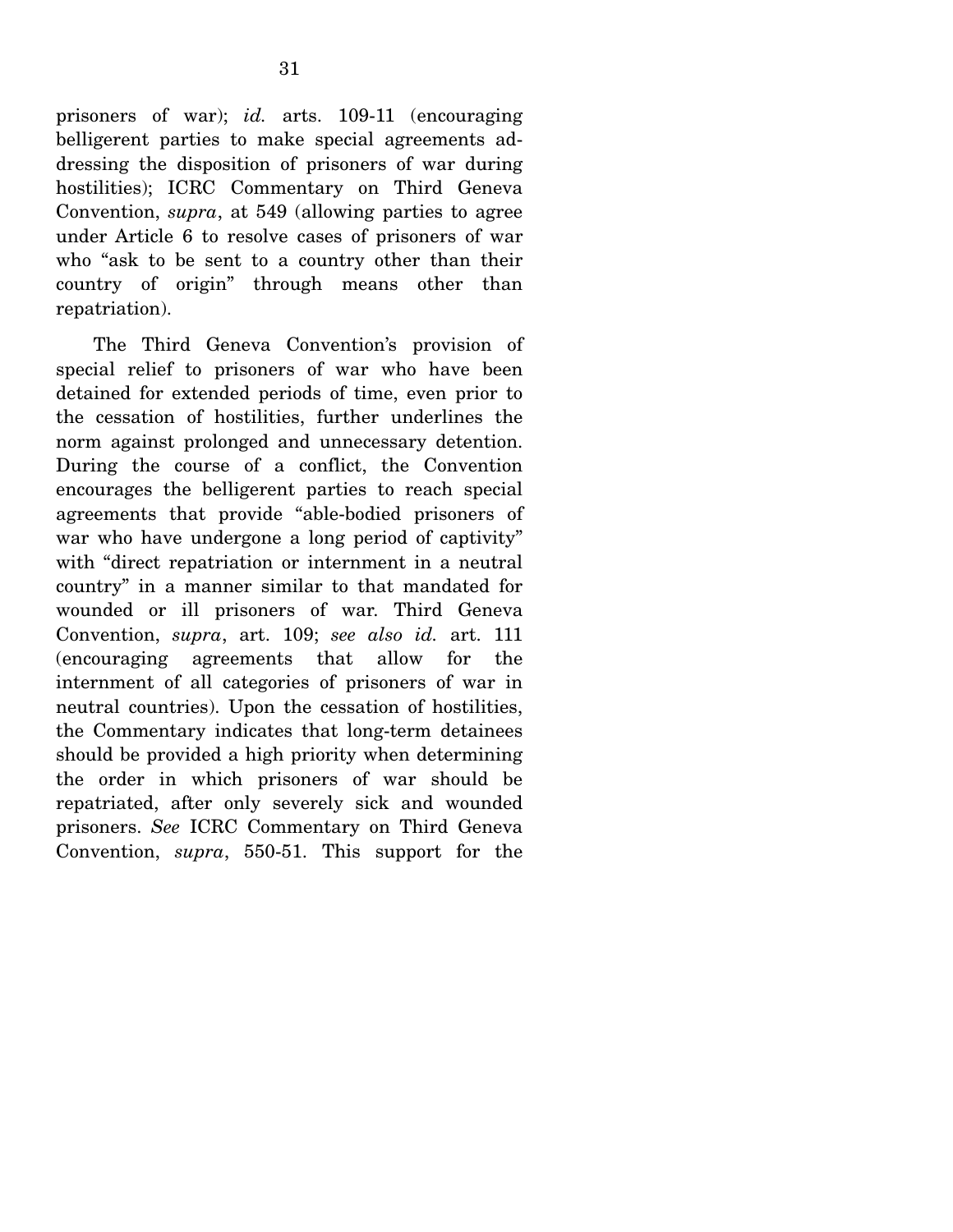prisoners of war); *id.* arts. 109-11 (encouraging belligerent parties to make special agreements addressing the disposition of prisoners of war during hostilities); ICRC Commentary on Third Geneva Convention, *supra*, at 549 (allowing parties to agree under Article 6 to resolve cases of prisoners of war who "ask to be sent to a country other than their country of origin" through means other than repatriation).

 The Third Geneva Convention's provision of special relief to prisoners of war who have been detained for extended periods of time, even prior to the cessation of hostilities, further underlines the norm against prolonged and unnecessary detention. During the course of a conflict, the Convention encourages the belligerent parties to reach special agreements that provide "able-bodied prisoners of war who have undergone a long period of captivity" with "direct repatriation or internment in a neutral country" in a manner similar to that mandated for wounded or ill prisoners of war. Third Geneva Convention, *supra*, art. 109; *see also id.* art. 111 (encouraging agreements that allow for the internment of all categories of prisoners of war in neutral countries). Upon the cessation of hostilities, the Commentary indicates that long-term detainees should be provided a high priority when determining the order in which prisoners of war should be repatriated, after only severely sick and wounded prisoners. *See* ICRC Commentary on Third Geneva Convention, *supra*, 550-51. This support for the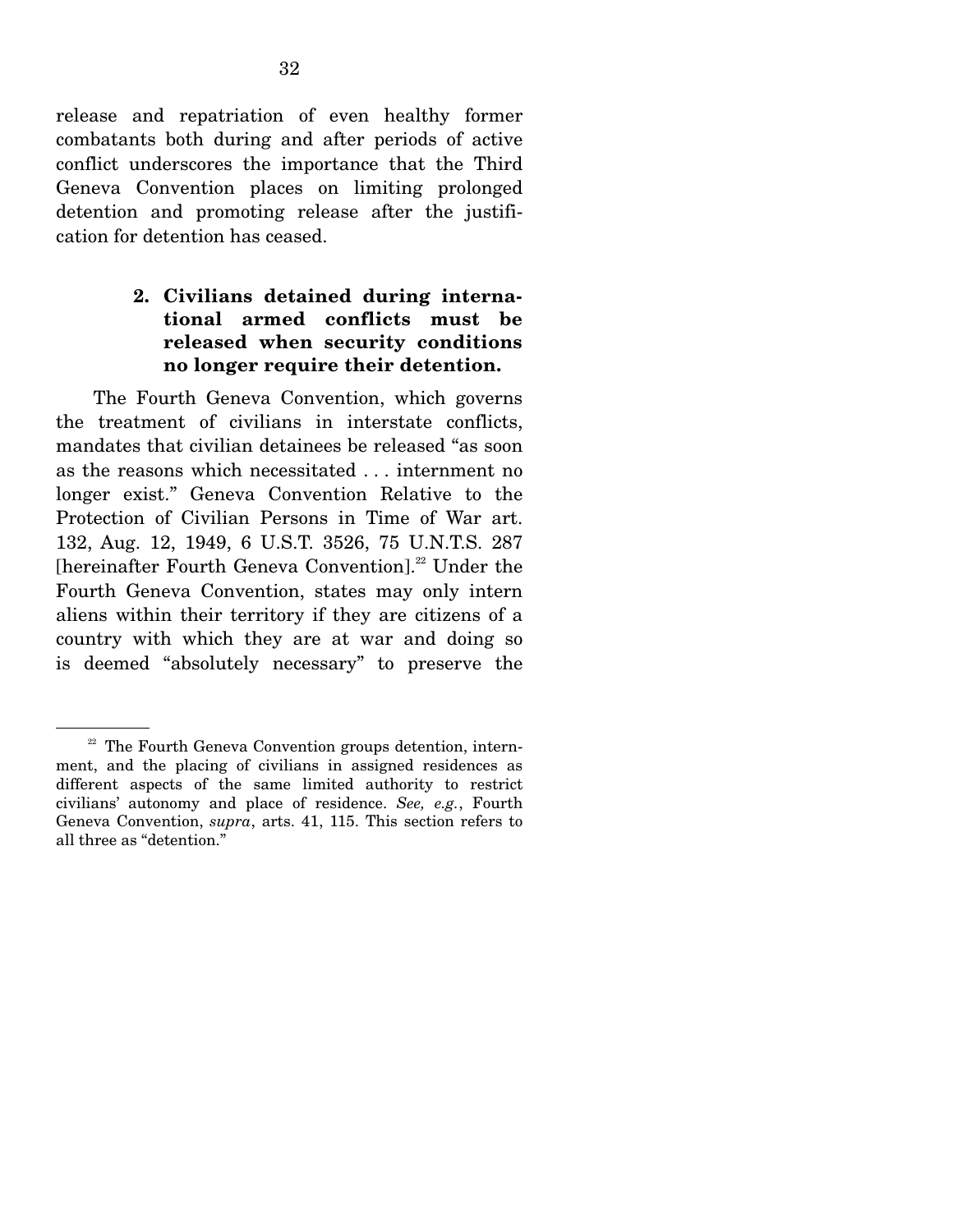release and repatriation of even healthy former combatants both during and after periods of active conflict underscores the importance that the Third Geneva Convention places on limiting prolonged detention and promoting release after the justification for detention has ceased.

### **2. Civilians detained during international armed conflicts must be released when security conditions no longer require their detention.**

 The Fourth Geneva Convention, which governs the treatment of civilians in interstate conflicts, mandates that civilian detainees be released "as soon as the reasons which necessitated . . . internment no longer exist." Geneva Convention Relative to the Protection of Civilian Persons in Time of War art. 132, Aug. 12, 1949, 6 U.S.T. 3526, 75 U.N.T.S. 287 [hereinafter Fourth Geneva Convention].<sup>22</sup> Under the Fourth Geneva Convention, states may only intern aliens within their territory if they are citizens of a country with which they are at war and doing so is deemed "absolutely necessary" to preserve the

 $22$  The Fourth Geneva Convention groups detention, internment, and the placing of civilians in assigned residences as different aspects of the same limited authority to restrict civilians' autonomy and place of residence. *See, e.g.*, Fourth Geneva Convention, *supra*, arts. 41, 115. This section refers to all three as "detention."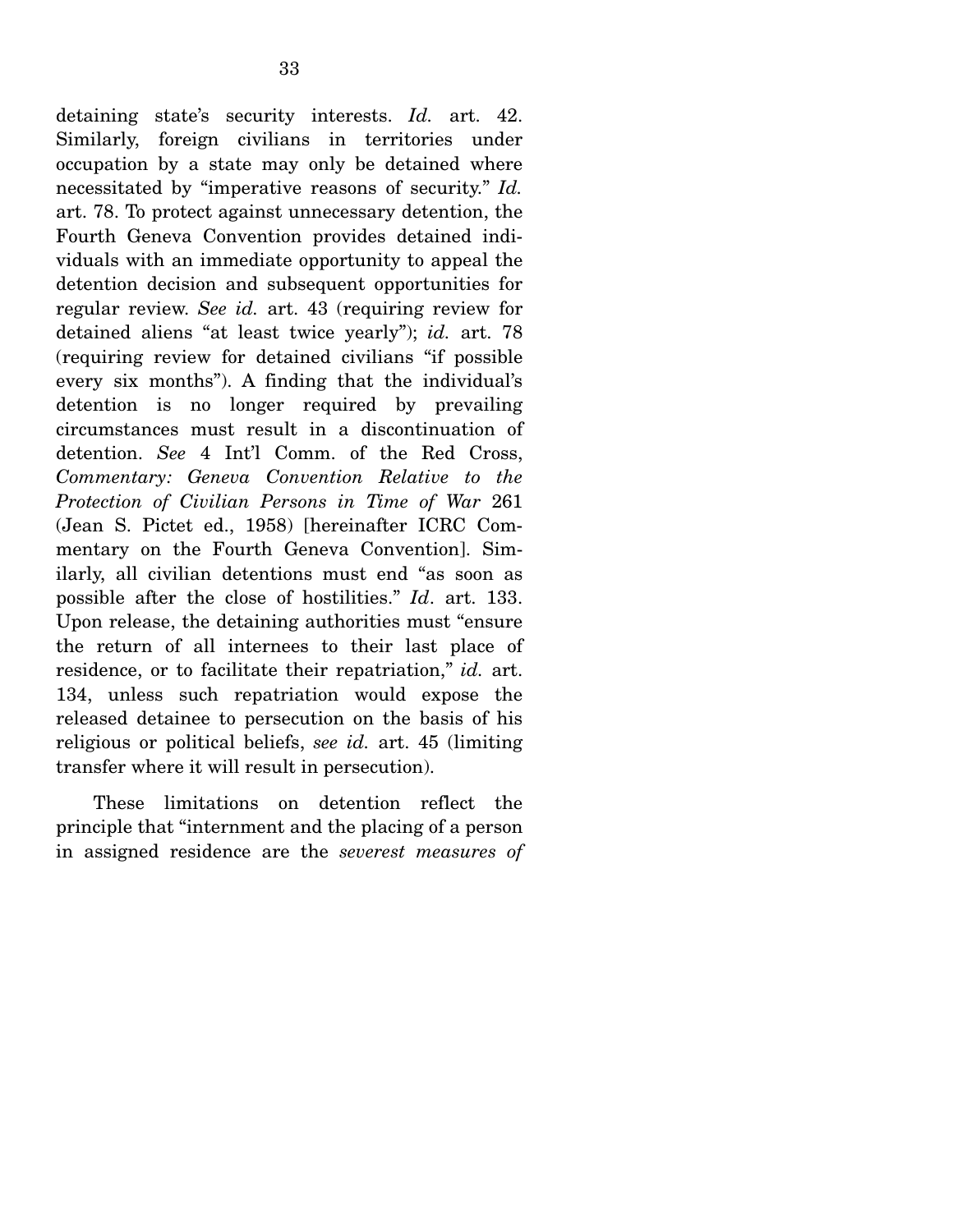detaining state's security interests. *Id.* art. 42. Similarly, foreign civilians in territories under occupation by a state may only be detained where necessitated by "imperative reasons of security." *Id.*  art. 78. To protect against unnecessary detention, the Fourth Geneva Convention provides detained individuals with an immediate opportunity to appeal the detention decision and subsequent opportunities for regular review. *See id.* art. 43 (requiring review for detained aliens "at least twice yearly"); *id.* art. 78 (requiring review for detained civilians "if possible every six months"). A finding that the individual's detention is no longer required by prevailing circumstances must result in a discontinuation of detention. *See* 4 Int'l Comm. of the Red Cross, *Commentary: Geneva Convention Relative to the Protection of Civilian Persons in Time of War* 261 (Jean S. Pictet ed., 1958) [hereinafter ICRC Commentary on the Fourth Geneva Convention]. Similarly, all civilian detentions must end "as soon as possible after the close of hostilities." *Id*. art. 133. Upon release, the detaining authorities must "ensure the return of all internees to their last place of residence, or to facilitate their repatriation," *id.* art. 134, unless such repatriation would expose the released detainee to persecution on the basis of his religious or political beliefs, *see id.* art. 45 (limiting transfer where it will result in persecution).

 These limitations on detention reflect the principle that "internment and the placing of a person in assigned residence are the *severest measures of*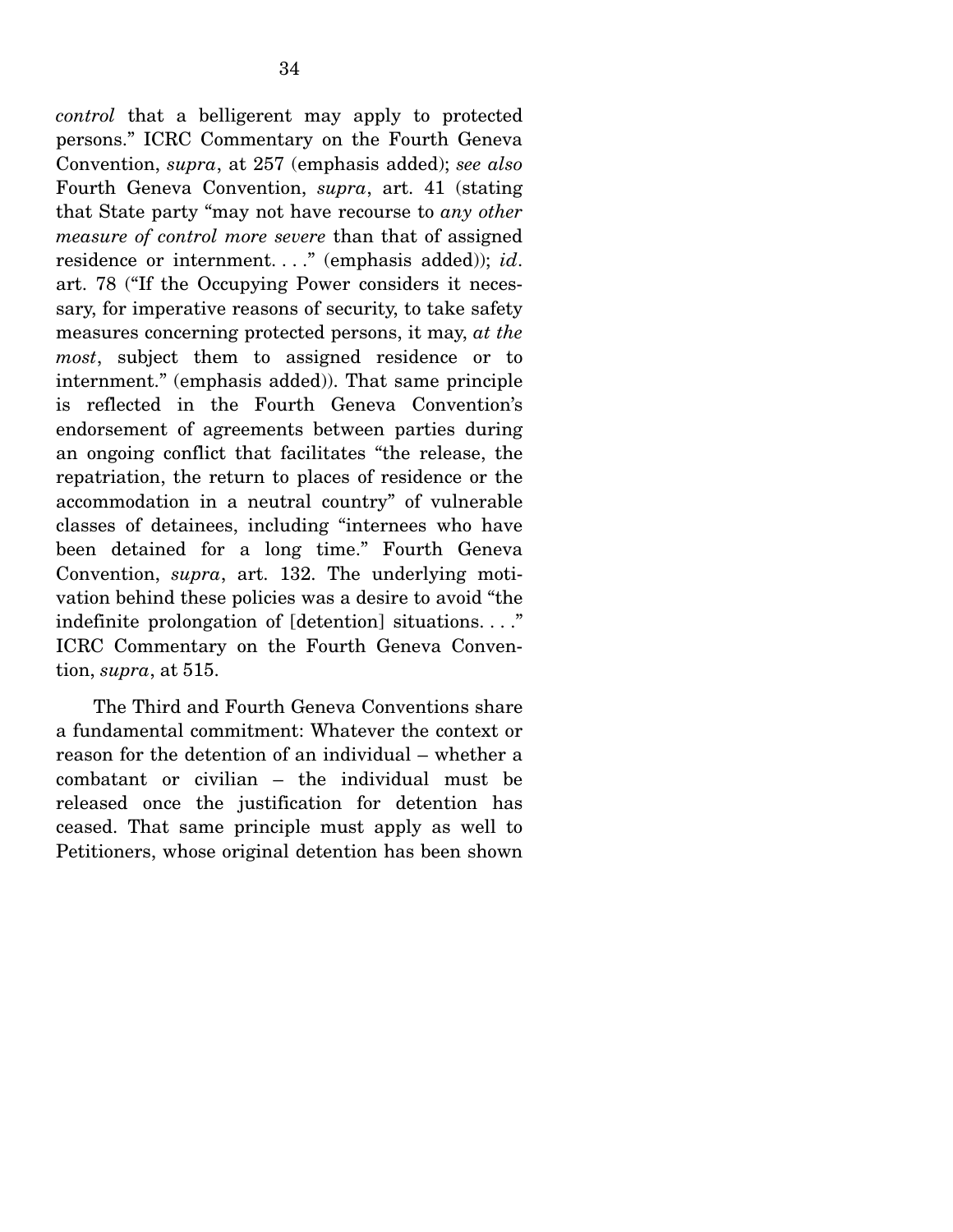*control* that a belligerent may apply to protected persons." ICRC Commentary on the Fourth Geneva Convention, *supra*, at 257 (emphasis added); *see also*  Fourth Geneva Convention, *supra*, art. 41 (stating that State party "may not have recourse to *any other measure of control more severe* than that of assigned residence or internment. . . ." (emphasis added)); *id*. art. 78 ("If the Occupying Power considers it necessary, for imperative reasons of security, to take safety measures concerning protected persons, it may, *at the most*, subject them to assigned residence or to internment." (emphasis added)). That same principle is reflected in the Fourth Geneva Convention's endorsement of agreements between parties during an ongoing conflict that facilitates "the release, the repatriation, the return to places of residence or the accommodation in a neutral country" of vulnerable classes of detainees, including "internees who have been detained for a long time." Fourth Geneva Convention, *supra*, art. 132. The underlying motivation behind these policies was a desire to avoid "the indefinite prolongation of [detention] situations. . . ." ICRC Commentary on the Fourth Geneva Convention, *supra*, at 515.

 The Third and Fourth Geneva Conventions share a fundamental commitment: Whatever the context or reason for the detention of an individual – whether a combatant or civilian – the individual must be released once the justification for detention has ceased. That same principle must apply as well to Petitioners, whose original detention has been shown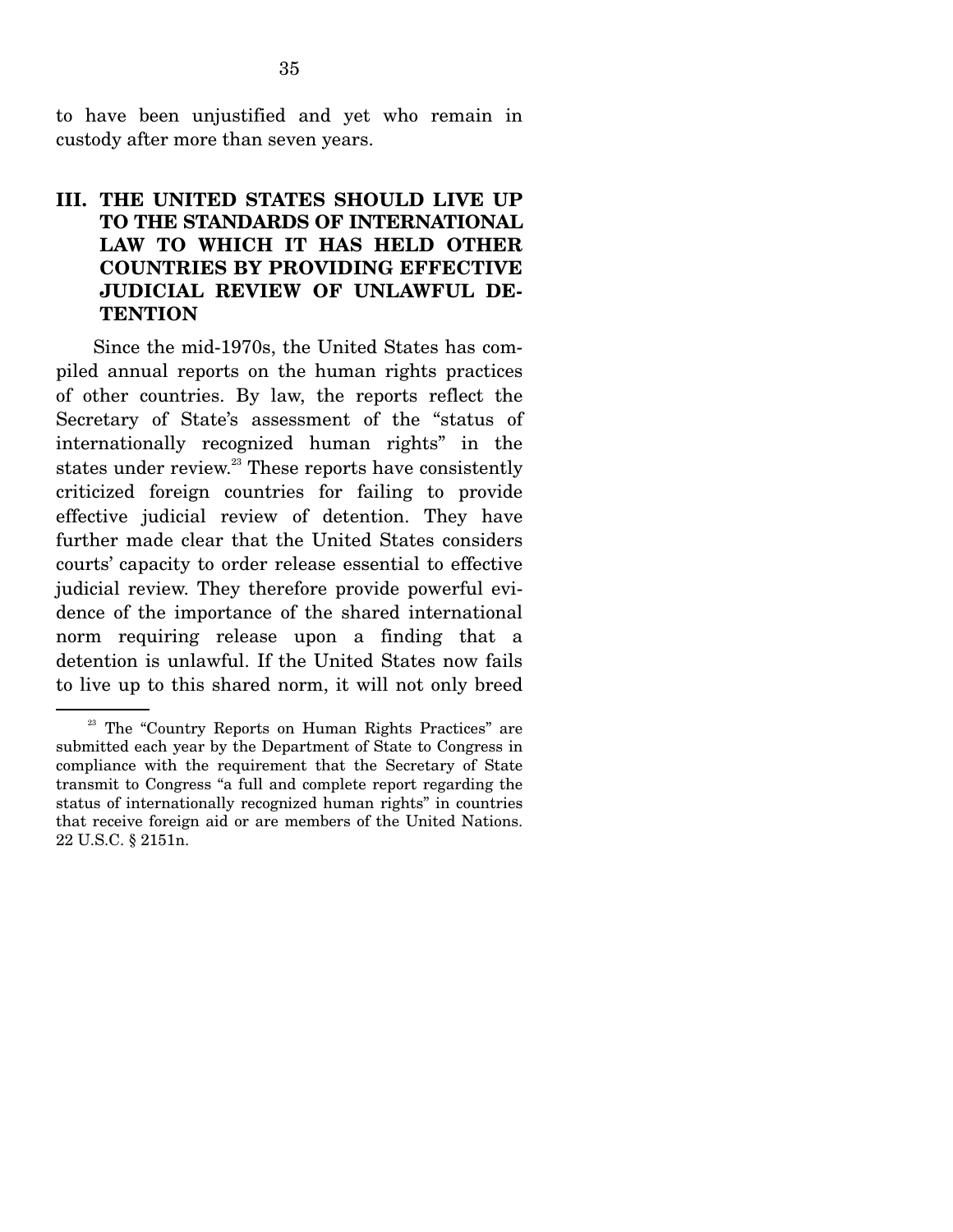to have been unjustified and yet who remain in custody after more than seven years.

### **III. THE UNITED STATES SHOULD LIVE UP TO THE STANDARDS OF INTERNATIONAL LAW TO WHICH IT HAS HELD OTHER COUNTRIES BY PROVIDING EFFECTIVE JUDICIAL REVIEW OF UNLAWFUL DE-TENTION**

 Since the mid-1970s, the United States has compiled annual reports on the human rights practices of other countries. By law, the reports reflect the Secretary of State's assessment of the "status of internationally recognized human rights" in the states under review.<sup>23</sup> These reports have consistently criticized foreign countries for failing to provide effective judicial review of detention. They have further made clear that the United States considers courts' capacity to order release essential to effective judicial review. They therefore provide powerful evidence of the importance of the shared international norm requiring release upon a finding that a detention is unlawful. If the United States now fails to live up to this shared norm, it will not only breed

<sup>&</sup>lt;sup>23</sup> The "Country Reports on Human Rights Practices" are submitted each year by the Department of State to Congress in compliance with the requirement that the Secretary of State transmit to Congress "a full and complete report regarding the status of internationally recognized human rights" in countries that receive foreign aid or are members of the United Nations. 22 U.S.C. § 2151n.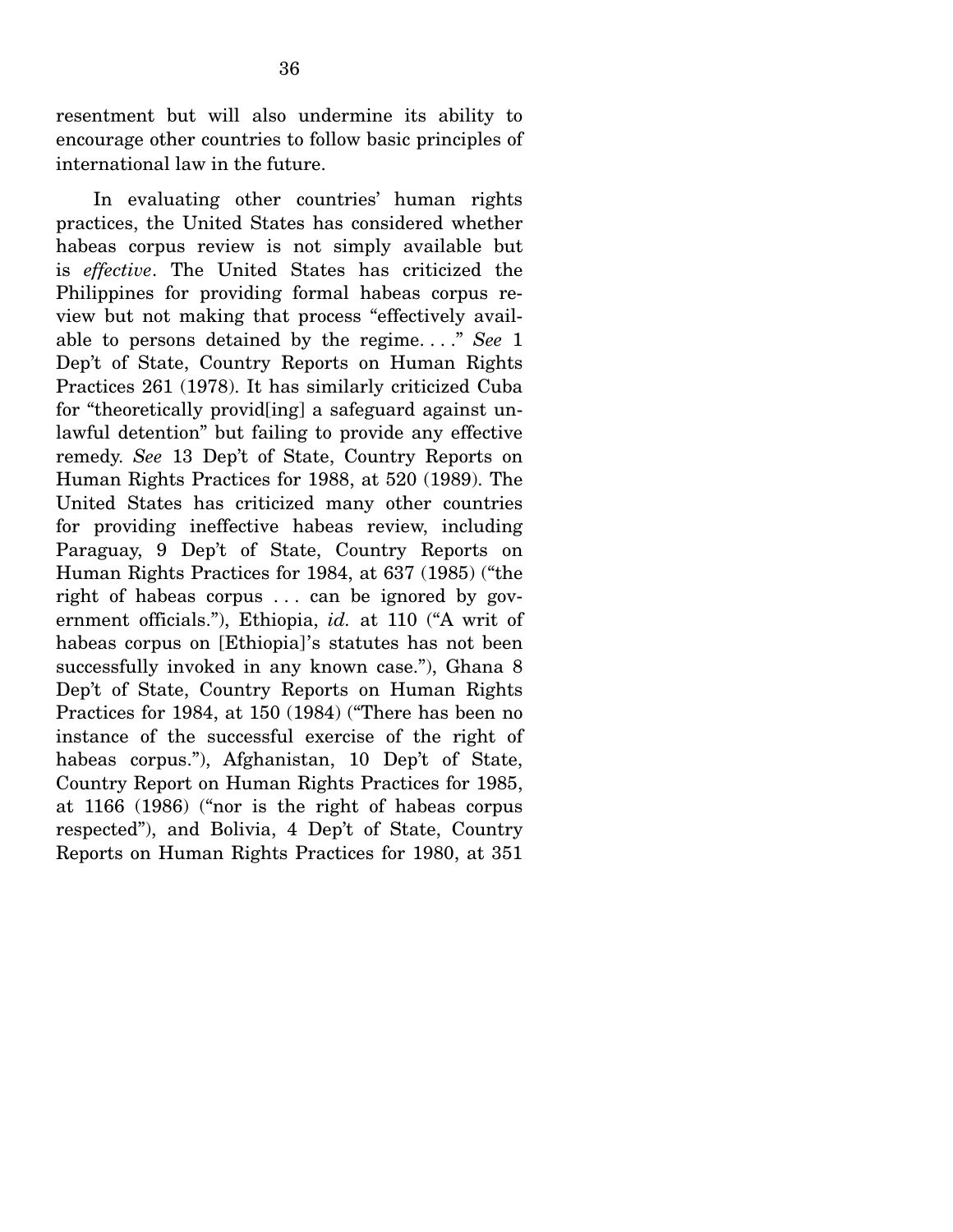resentment but will also undermine its ability to encourage other countries to follow basic principles of international law in the future.

 In evaluating other countries' human rights practices, the United States has considered whether habeas corpus review is not simply available but is *effective*. The United States has criticized the Philippines for providing formal habeas corpus review but not making that process "effectively available to persons detained by the regime. . . ." *See* 1 Dep't of State, Country Reports on Human Rights Practices 261 (1978). It has similarly criticized Cuba for "theoretically provid[ing] a safeguard against unlawful detention" but failing to provide any effective remedy. *See* 13 Dep't of State, Country Reports on Human Rights Practices for 1988, at 520 (1989). The United States has criticized many other countries for providing ineffective habeas review, including Paraguay, 9 Dep't of State, Country Reports on Human Rights Practices for 1984, at 637 (1985) ("the right of habeas corpus  $\dots$  can be ignored by government officials."), Ethiopia, *id.* at 110 ("A writ of habeas corpus on [Ethiopia]'s statutes has not been successfully invoked in any known case."), Ghana 8 Dep't of State, Country Reports on Human Rights Practices for 1984, at 150 (1984) ("There has been no instance of the successful exercise of the right of habeas corpus."), Afghanistan, 10 Dep't of State, Country Report on Human Rights Practices for 1985, at 1166 (1986) ("nor is the right of habeas corpus respected"), and Bolivia, 4 Dep't of State, Country Reports on Human Rights Practices for 1980, at 351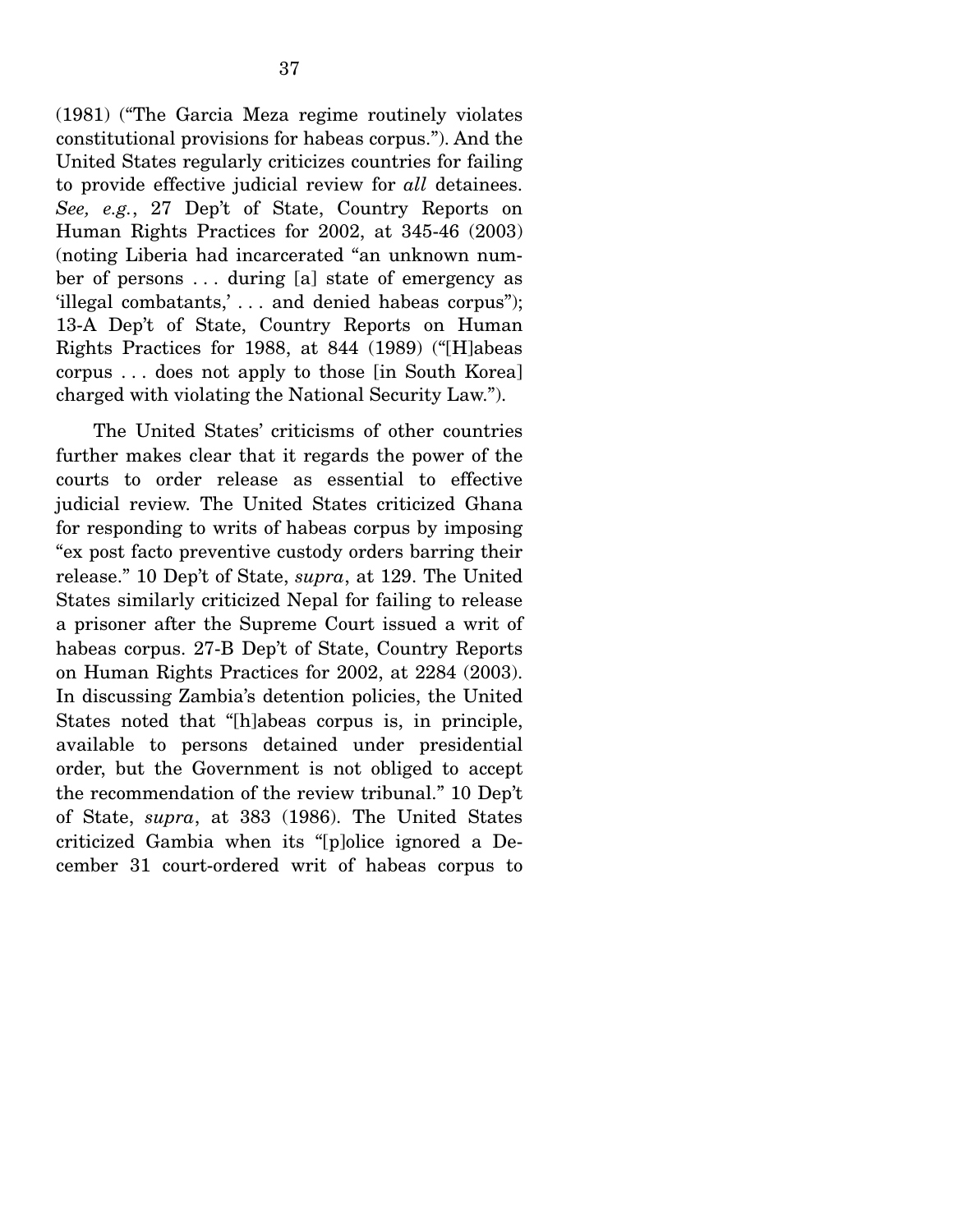(1981) ("The Garcia Meza regime routinely violates constitutional provisions for habeas corpus."). And the United States regularly criticizes countries for failing to provide effective judicial review for *all* detainees. *See, e.g.*, 27 Dep't of State, Country Reports on Human Rights Practices for 2002, at 345-46 (2003) (noting Liberia had incarcerated "an unknown number of persons . . . during [a] state of emergency as 'illegal combatants,' . . . and denied habeas corpus"); 13-A Dep't of State, Country Reports on Human Rights Practices for 1988, at 844 (1989) ("[H]abeas corpus . . . does not apply to those [in South Korea] charged with violating the National Security Law.").

 The United States' criticisms of other countries further makes clear that it regards the power of the courts to order release as essential to effective judicial review. The United States criticized Ghana for responding to writs of habeas corpus by imposing "ex post facto preventive custody orders barring their release." 10 Dep't of State, *supra*, at 129. The United States similarly criticized Nepal for failing to release a prisoner after the Supreme Court issued a writ of habeas corpus. 27-B Dep't of State, Country Reports on Human Rights Practices for 2002, at 2284 (2003). In discussing Zambia's detention policies, the United States noted that "[h]abeas corpus is, in principle, available to persons detained under presidential order, but the Government is not obliged to accept the recommendation of the review tribunal." 10 Dep't of State, *supra*, at 383 (1986). The United States criticized Gambia when its "[p]olice ignored a December 31 court-ordered writ of habeas corpus to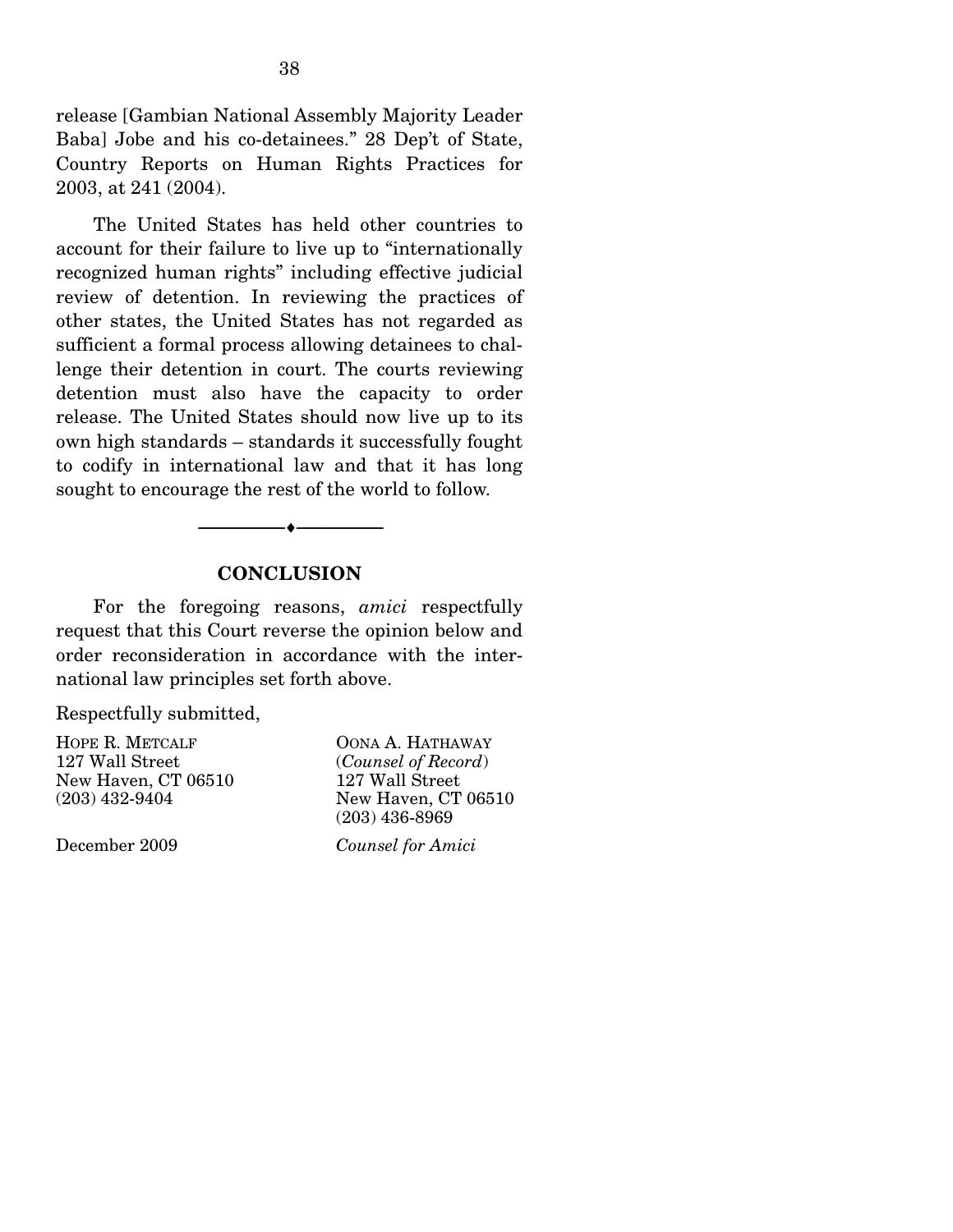release [Gambian National Assembly Majority Leader Baba] Jobe and his co-detainees." 28 Dep't of State, Country Reports on Human Rights Practices for 2003, at 241 (2004).

 The United States has held other countries to account for their failure to live up to "internationally recognized human rights" including effective judicial review of detention. In reviewing the practices of other states, the United States has not regarded as sufficient a formal process allowing detainees to challenge their detention in court. The courts reviewing detention must also have the capacity to order release. The United States should now live up to its own high standards – standards it successfully fought to codify in international law and that it has long sought to encourage the rest of the world to follow.

#### **CONCLUSION**

--------------------------------- ♦ ---------------------------------

 For the foregoing reasons, *amici* respectfully request that this Court reverse the opinion below and order reconsideration in accordance with the international law principles set forth above.

Respectfully submitted,

HOPE R. METCALF 127 Wall Street New Haven, CT 06510 (203) 432-9404

OONA A. HATHAWAY (*Counsel of Record*) 127 Wall Street New Haven, CT 06510 (203) 436-8969

December 2009

*Counsel for Amici*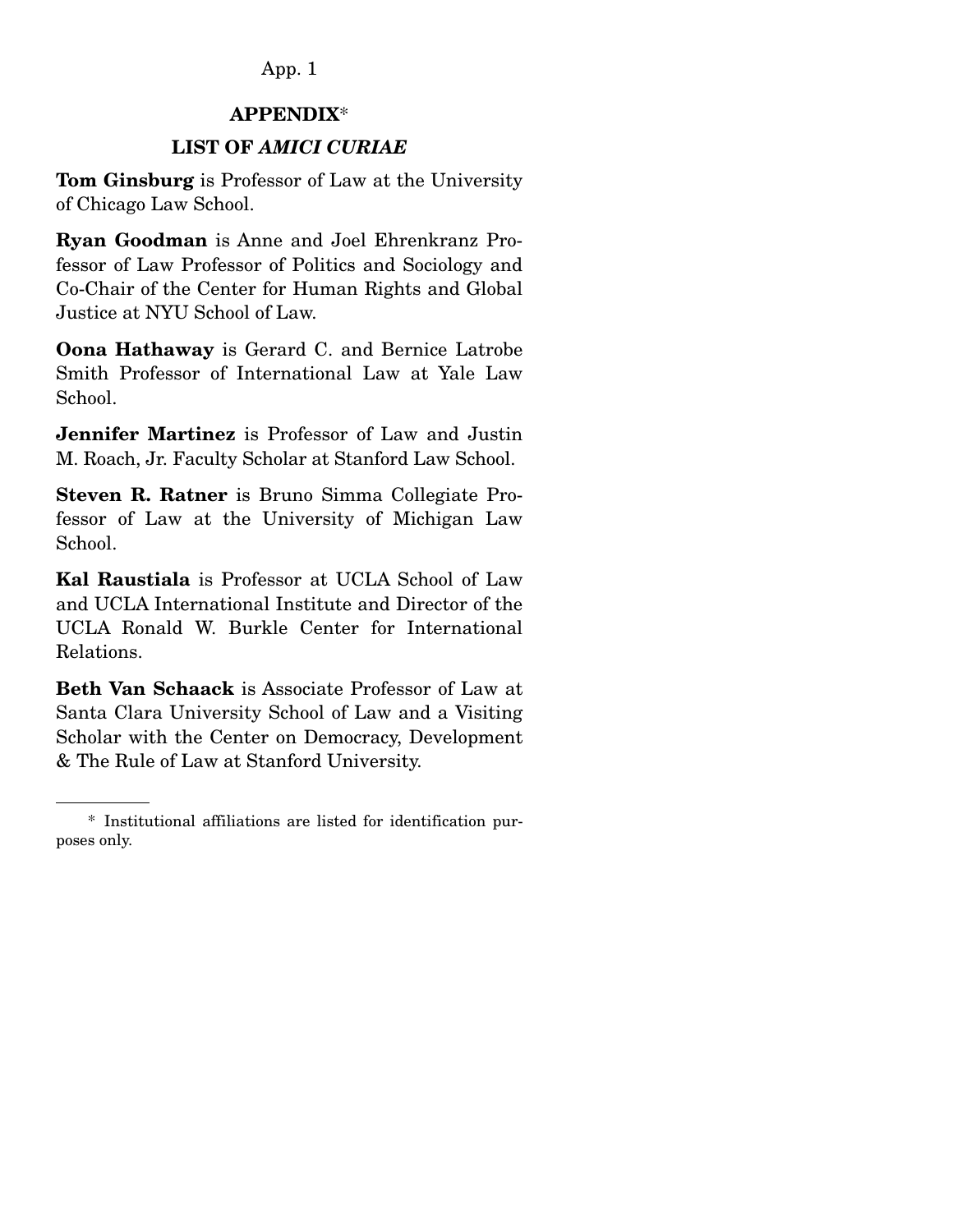### App. 1

### **APPENDIX**\*

### **LIST OF** *AMICI CURIAE*

**Tom Ginsburg** is Professor of Law at the University of Chicago Law School.

**Ryan Goodman** is Anne and Joel Ehrenkranz Professor of Law Professor of Politics and Sociology and Co-Chair of the Center for Human Rights and Global Justice at NYU School of Law.

**Oona Hathaway** is Gerard C. and Bernice Latrobe Smith Professor of International Law at Yale Law School.

**Jennifer Martinez** is Professor of Law and Justin M. Roach, Jr. Faculty Scholar at Stanford Law School.

**Steven R. Ratner** is Bruno Simma Collegiate Professor of Law at the University of Michigan Law School.

**Kal Raustiala** is Professor at UCLA School of Law and UCLA International Institute and Director of the UCLA Ronald W. Burkle Center for International Relations.

**Beth Van Schaack** is Associate Professor of Law at Santa Clara University School of Law and a Visiting Scholar with the Center on Democracy, Development & The Rule of Law at Stanford University.

 <sup>\*</sup> Institutional affiliations are listed for identification purposes only.